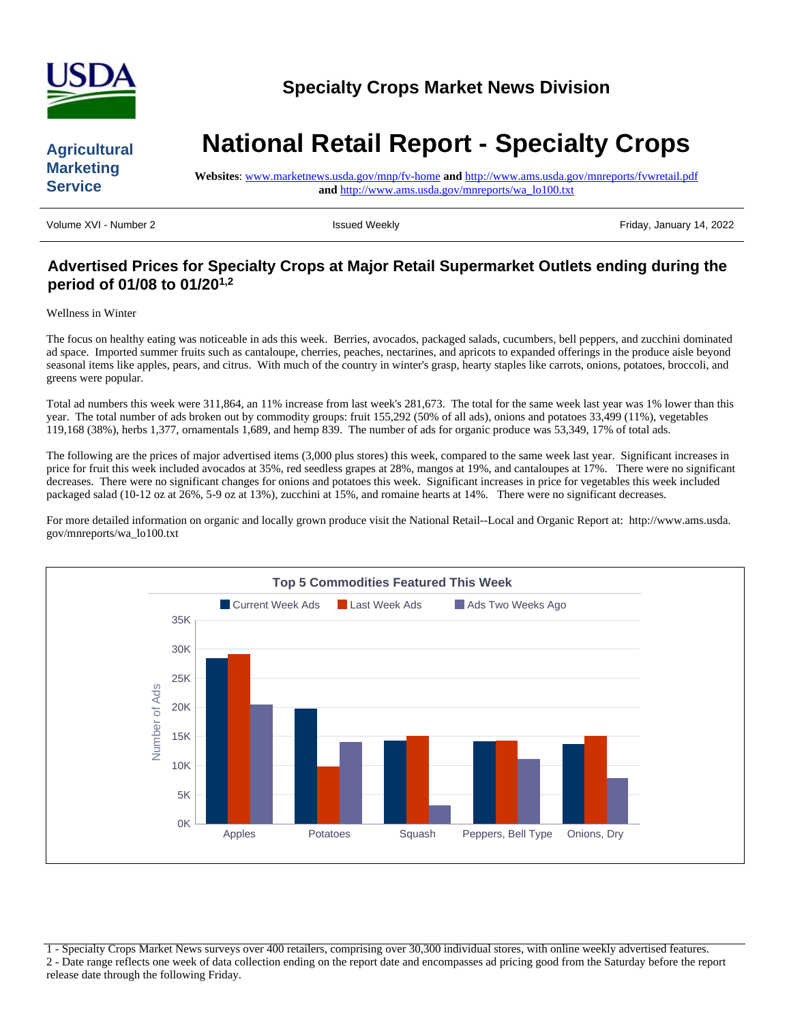

### **Agricultural Marketing Service**

# **National Retail Report - Specialty Crops**

**Websites**: [www.marketnews.usda.gov/mnp/fv-home](http://www.marketnews.usda.gov/mnp/fv-home) **and** <http://www.ams.usda.gov/mnreports/fvwretail.pdf> **and** [http://www.ams.usda.gov/mnreports/wa\\_lo100.txt](http://www.ams.usda.gov/mnreports/wa_lo100.txt)

Volume XVI - Number 2 **Issued Weekly** Friday, January 14, 2022

# **Advertised Prices for Specialty Crops at Major Retail Supermarket Outlets ending during the period of 01/08 to 01/201,2**

Wellness in Winter

The focus on healthy eating was noticeable in ads this week. Berries, avocados, packaged salads, cucumbers, bell peppers, and zucchini dominated ad space. Imported summer fruits such as cantaloupe, cherries, peaches, nectarines, and apricots to expanded offerings in the produce aisle beyond seasonal items like apples, pears, and citrus. With much of the country in winter's grasp, hearty staples like carrots, onions, potatoes, broccoli, and greens were popular.

Total ad numbers this week were 311,864, an 11% increase from last week's 281,673. The total for the same week last year was 1% lower than this year. The total number of ads broken out by commodity groups: fruit 155,292 (50% of all ads), onions and potatoes 33,499 (11%), vegetables 119,168 (38%), herbs 1,377, ornamentals 1,689, and hemp 839. The number of ads for organic produce was 53,349, 17% of total ads.

The following are the prices of major advertised items (3,000 plus stores) this week, compared to the same week last year. Significant increases in price for fruit this week included avocados at 35%, red seedless grapes at 28%, mangos at 19%, and cantaloupes at 17%. There were no significant decreases. There were no significant changes for onions and potatoes this week. Significant increases in price for vegetables this week included packaged salad (10-12 oz at 26%, 5-9 oz at 13%), zucchini at 15%, and romaine hearts at 14%. There were no significant decreases.

For more detailed information on organic and locally grown produce visit the National Retail--Local and Organic Report at: http://www.ams.usda. gov/mnreports/wa\_lo100.txt



1 - Specialty Crops Market News surveys over 400 retailers, comprising over 30,300 individual stores, with online weekly advertised features. 2 - Date range reflects one week of data collection ending on the report date and encompasses ad pricing good from the Saturday before the report release date through the following Friday.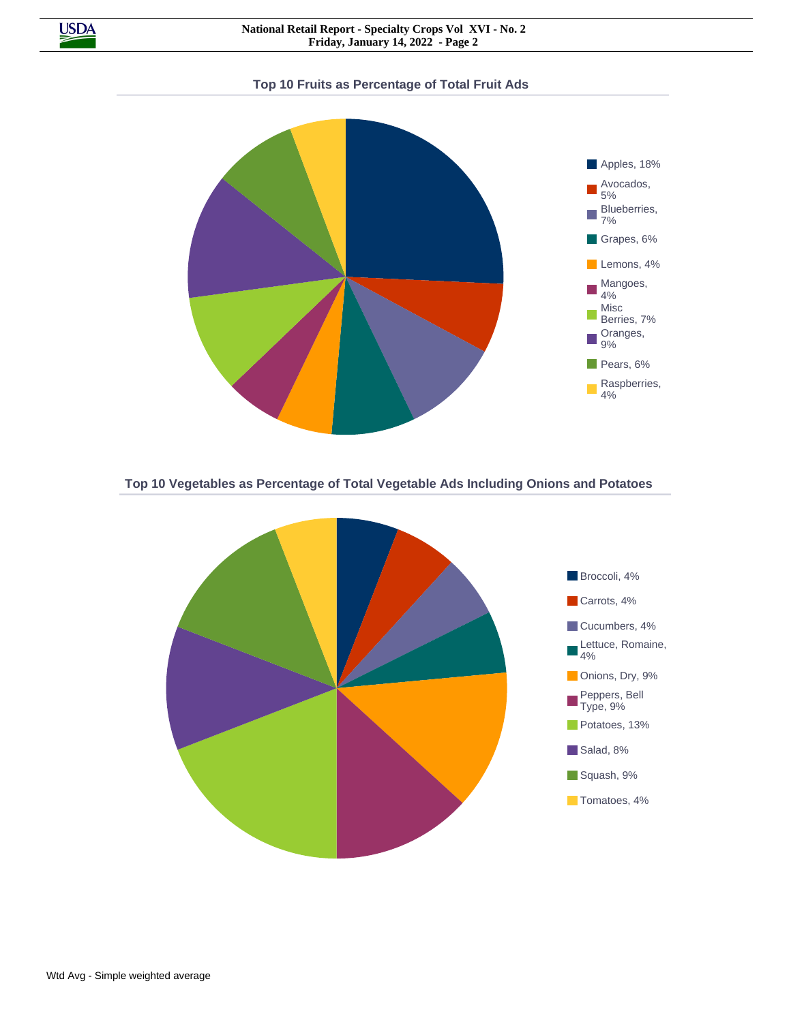

**Top 10 Vegetables as Percentage of Total Vegetable Ads Including Onions and Potatoes**

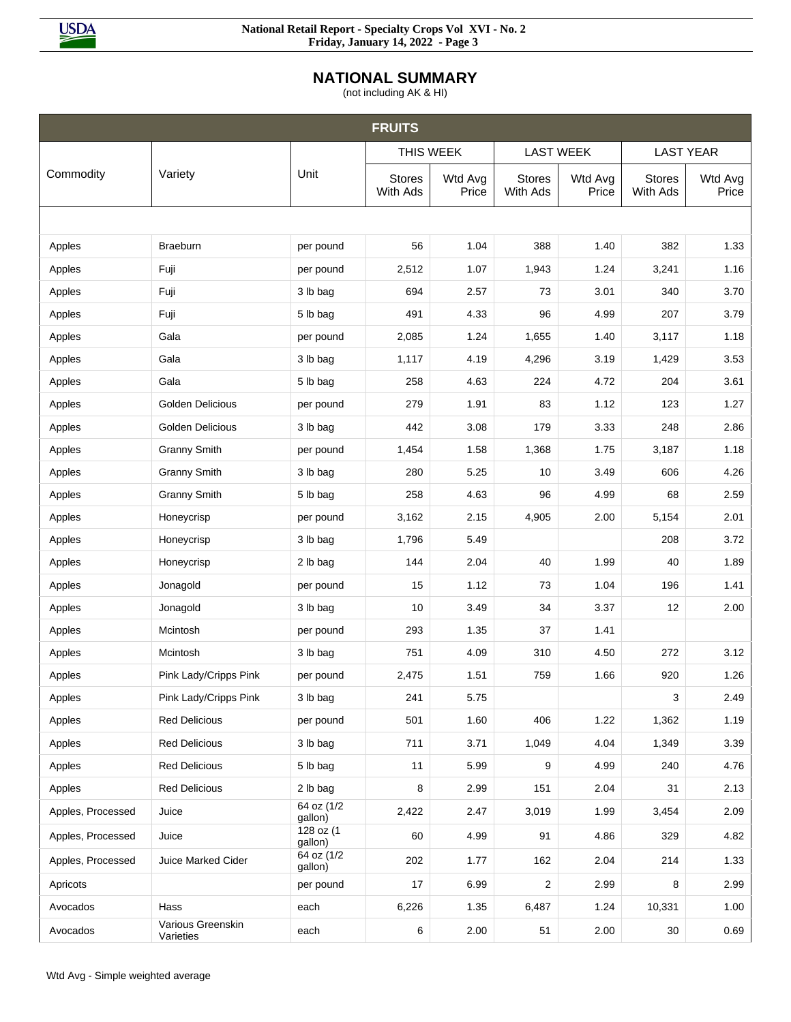

## **NATIONAL SUMMARY**

(not including AK & HI)

|                   |                                |                       | <b>FRUITS</b>             |                  |                           |                  |                           |                  |
|-------------------|--------------------------------|-----------------------|---------------------------|------------------|---------------------------|------------------|---------------------------|------------------|
|                   |                                |                       | THIS WEEK                 |                  | <b>LAST WEEK</b>          |                  |                           | <b>LAST YEAR</b> |
| Commodity         | Variety                        | Unit                  | <b>Stores</b><br>With Ads | Wtd Avg<br>Price | <b>Stores</b><br>With Ads | Wtd Avg<br>Price | <b>Stores</b><br>With Ads | Wtd Avg<br>Price |
|                   |                                |                       |                           |                  |                           |                  |                           |                  |
| Apples            | Braeburn                       | per pound             | 56                        | 1.04             | 388                       | 1.40             | 382                       | 1.33             |
| Apples            | Fuji                           | per pound             | 2,512                     | 1.07             | 1,943                     | 1.24             | 3,241                     | 1.16             |
| Apples            | Fuji                           | 3 lb bag              | 694                       | 2.57             | 73                        | 3.01             | 340                       | 3.70             |
| Apples            | Fuji                           | 5 lb bag              | 491                       | 4.33             | 96                        | 4.99             | 207                       | 3.79             |
| Apples            | Gala                           | per pound             | 2,085                     | 1.24             | 1,655                     | 1.40             | 3,117                     | 1.18             |
| Apples            | Gala                           | 3 lb bag              | 1,117                     | 4.19             | 4,296                     | 3.19             | 1,429                     | 3.53             |
| Apples            | Gala                           | 5 lb bag              | 258                       | 4.63             | 224                       | 4.72             | 204                       | 3.61             |
| Apples            | <b>Golden Delicious</b>        | per pound             | 279                       | 1.91             | 83                        | 1.12             | 123                       | 1.27             |
| Apples            | <b>Golden Delicious</b>        | 3 lb bag              | 442                       | 3.08             | 179                       | 3.33             | 248                       | 2.86             |
| Apples            | <b>Granny Smith</b>            | per pound             | 1,454                     | 1.58             | 1,368                     | 1.75             | 3,187                     | 1.18             |
| Apples            | <b>Granny Smith</b>            | 3 lb bag              | 280                       | 5.25             | 10                        | 3.49             | 606                       | 4.26             |
| Apples            | <b>Granny Smith</b>            | 5 lb bag              | 258                       | 4.63             | 96                        | 4.99             | 68                        | 2.59             |
| Apples            | Honeycrisp                     | per pound             | 3,162                     | 2.15             | 4,905                     | 2.00             | 5,154                     | 2.01             |
| Apples            | Honeycrisp                     | 3 lb bag              | 1,796                     | 5.49             |                           |                  | 208                       | 3.72             |
| Apples            | Honeycrisp                     | 2 lb bag              | 144                       | 2.04             | 40                        | 1.99             | 40                        | 1.89             |
| Apples            | Jonagold                       | per pound             | 15                        | 1.12             | 73                        | 1.04             | 196                       | 1.41             |
| Apples            | Jonagold                       | 3 lb bag              | 10                        | 3.49             | 34                        | 3.37             | 12                        | 2.00             |
| Apples            | Mcintosh                       | per pound             | 293                       | 1.35             | 37                        | 1.41             |                           |                  |
| Apples            | Mcintosh                       | 3 lb bag              | 751                       | 4.09             | 310                       | 4.50             | 272                       | 3.12             |
| Apples            | Pink Lady/Cripps Pink          | per pound             | 2,475                     | 1.51             | 759                       | 1.66             | 920                       | 1.26             |
| Apples            | Pink Lady/Cripps Pink          | 3 lb bag              | 241                       | 5.75             |                           |                  | 3                         | 2.49             |
| Apples            | <b>Red Delicious</b>           | per pound             | 501                       | 1.60             | 406                       | 1.22             | 1,362                     | 1.19             |
| Apples            | <b>Red Delicious</b>           | 3 lb bag              | 711                       | 3.71             | 1,049                     | 4.04             | 1,349                     | 3.39             |
| Apples            | <b>Red Delicious</b>           | 5 lb bag              | 11                        | 5.99             | 9                         | 4.99             | 240                       | 4.76             |
| Apples            | <b>Red Delicious</b>           | 2 lb bag              | 8                         | 2.99             | 151                       | 2.04             | 31                        | 2.13             |
| Apples, Processed | Juice                          | 64 oz (1/2<br>gallon) | 2,422                     | 2.47             | 3,019                     | 1.99             | 3,454                     | 2.09             |
| Apples, Processed | Juice                          | 128 oz (1<br>gallon)  | 60                        | 4.99             | 91                        | 4.86             | 329                       | 4.82             |
| Apples, Processed | Juice Marked Cider             | 64 oz (1/2<br>gallon) | 202                       | 1.77             | 162                       | 2.04             | 214                       | 1.33             |
| Apricots          |                                | per pound             | 17                        | 6.99             | $\overline{c}$            | 2.99             | 8                         | 2.99             |
| Avocados          | Hass                           | each                  | 6,226                     | 1.35             | 6,487                     | 1.24             | 10,331                    | 1.00             |
| Avocados          | Various Greenskin<br>Varieties | each                  | 6                         | 2.00             | 51                        | 2.00             | 30                        | 0.69             |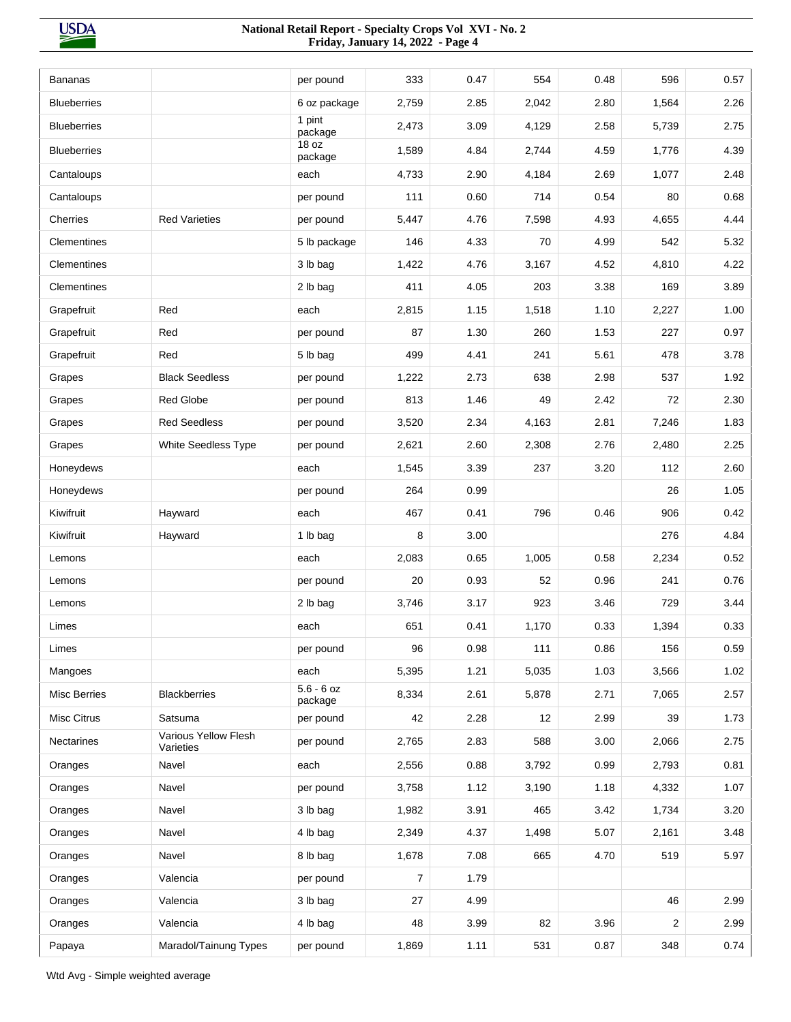| 333<br>0.47<br>0.48<br>596<br>0.57<br><b>Bananas</b><br>554<br>per pound<br>2.26<br><b>Blueberries</b><br>6 oz package<br>2,759<br>2.85<br>2,042<br>2.80<br>1,564<br>1 pint<br><b>Blueberries</b><br>2,473<br>3.09<br>4,129<br>2.58<br>5,739<br>2.75<br>package<br>18 oz<br><b>Blueberries</b><br>1,589<br>4.84<br>4.59<br>4.39<br>2,744<br>1,776<br>package<br>2.48<br>4,733<br>2.90<br>4,184<br>2.69<br>1,077<br>Cantaloups<br>each<br>111<br>0.54<br>0.68<br>Cantaloups<br>0.60<br>714<br>80<br>per pound<br><b>Red Varieties</b><br>4.44<br>Cherries<br>5,447<br>4.76<br>7,598<br>4.93<br>4,655<br>per pound<br>Clementines<br>5 lb package<br>146<br>4.33<br>70<br>4.99<br>542<br>5.32<br>4.22<br>Clementines<br>3 lb bag<br>1,422<br>4.76<br>3,167<br>4.52<br>4,810<br>411<br>3.38<br>3.89<br>Clementines<br>2 lb bag<br>4.05<br>203<br>169<br>Red<br>2,815<br>1.15<br>1,518<br>1.10<br>2,227<br>1.00<br>Grapefruit<br>each<br>87<br>1.30<br>260<br>0.97<br>Grapefruit<br>Red<br>per pound<br>1.53<br>227<br>Red<br>499<br>3.78<br>Grapefruit<br>5 lb bag<br>4.41<br>241<br>5.61<br>478<br><b>Black Seedless</b><br>2.98<br>1.92<br>1,222<br>2.73<br>638<br>537<br>Grapes<br>per pound<br>Red Globe<br>813<br>1.46<br>2.42<br>72<br>2.30<br>49<br>Grapes<br>per pound<br>1.83<br><b>Red Seedless</b><br>3,520<br>2.34<br>4,163<br>2.81<br>7,246<br>Grapes<br>per pound<br>2.25<br><b>White Seedless Type</b><br>2,621<br>2.60<br>2,308<br>2.76<br>2,480<br>Grapes<br>per pound<br>3.20<br>2.60<br>Honeydews<br>1,545<br>3.39<br>237<br>112<br>each<br>1.05<br>Honeydews<br>264<br>0.99<br>26<br>per pound<br>Kiwifruit<br>Hayward<br>467<br>0.41<br>796<br>0.46<br>906<br>0.42<br>each<br>8<br>4.84<br>Kiwifruit<br>Hayward<br>1 lb bag<br>3.00<br>276<br>0.52<br>2,083<br>0.65<br>1,005<br>0.58<br>2,234<br>Lemons<br>each<br>20<br>0.93<br>52<br>0.96<br>241<br>0.76<br>Lemons<br>per pound<br>2 lb bag<br>3,746<br>3.17<br>923<br>3.46<br>729<br>3.44<br>Lemons<br>0.33<br>1,394<br>0.33<br>Limes<br>each<br>651<br>0.41<br>1,170<br>96<br>0.98<br>111<br>0.86<br>156<br>0.59<br>Limes<br>per pound<br>5,395<br>1.21<br>1.03<br>1.02<br>Mangoes<br>each<br>5,035<br>3,566<br>$5.6 - 6$ oz<br><b>Blackberries</b><br>8,334<br>2.57<br><b>Misc Berries</b><br>2.61<br>5,878<br>2.71<br>7,065<br>package<br><b>Misc Citrus</b><br>2.28<br>2.99<br>39<br>Satsuma<br>per pound<br>42<br>12<br>1.73<br>Various Yellow Flesh<br>2,765<br>2.83<br>588<br>3.00<br>2.75<br>Nectarines<br>per pound<br>2,066<br>Varieties<br>Navel<br>0.88<br>0.99<br>0.81<br>each<br>2,556<br>3,792<br>2,793<br>Oranges<br>Navel<br>1.18<br>4,332<br>1.07<br>per pound<br>3,758<br>1.12<br>3,190<br>Oranges<br>1,982<br>3.91<br>3.42<br>3.20<br>Navel<br>3 lb bag<br>465<br>1,734<br>Oranges<br>2,349<br>5.07<br>3.48<br>Oranges<br>Navel<br>4 lb bag<br>4.37<br>1,498<br>2,161<br>5.97<br>Navel<br>8 lb bag<br>1,678<br>7.08<br>665<br>4.70<br>519<br>Oranges<br>Valencia<br>Oranges<br>per pound<br>7<br>1.79<br>Valencia<br>4.99<br>46<br>2.99<br>Oranges<br>3 lb bag<br>27<br>82<br>3.96<br>2.99<br>Oranges<br>Valencia<br>4 lb bag<br>48<br>3.99<br>2<br>0.74<br>Maradol/Tainung Types<br>per pound<br>1,869<br>1.11<br>531<br>0.87<br>348<br>Papaya |  |  |  |  |  |
|------------------------------------------------------------------------------------------------------------------------------------------------------------------------------------------------------------------------------------------------------------------------------------------------------------------------------------------------------------------------------------------------------------------------------------------------------------------------------------------------------------------------------------------------------------------------------------------------------------------------------------------------------------------------------------------------------------------------------------------------------------------------------------------------------------------------------------------------------------------------------------------------------------------------------------------------------------------------------------------------------------------------------------------------------------------------------------------------------------------------------------------------------------------------------------------------------------------------------------------------------------------------------------------------------------------------------------------------------------------------------------------------------------------------------------------------------------------------------------------------------------------------------------------------------------------------------------------------------------------------------------------------------------------------------------------------------------------------------------------------------------------------------------------------------------------------------------------------------------------------------------------------------------------------------------------------------------------------------------------------------------------------------------------------------------------------------------------------------------------------------------------------------------------------------------------------------------------------------------------------------------------------------------------------------------------------------------------------------------------------------------------------------------------------------------------------------------------------------------------------------------------------------------------------------------------------------------------------------------------------------------------------------------------------------------------------------------------------------------------------------------------------------------------------------------------------------------------------------------------------------------------------------------------------------------------------------------------------------------------------------------------------------------------------------------------------------------------------------------------------------------------------------------------------------------------------------------------------------------------|--|--|--|--|--|
|                                                                                                                                                                                                                                                                                                                                                                                                                                                                                                                                                                                                                                                                                                                                                                                                                                                                                                                                                                                                                                                                                                                                                                                                                                                                                                                                                                                                                                                                                                                                                                                                                                                                                                                                                                                                                                                                                                                                                                                                                                                                                                                                                                                                                                                                                                                                                                                                                                                                                                                                                                                                                                                                                                                                                                                                                                                                                                                                                                                                                                                                                                                                                                                                                                          |  |  |  |  |  |
|                                                                                                                                                                                                                                                                                                                                                                                                                                                                                                                                                                                                                                                                                                                                                                                                                                                                                                                                                                                                                                                                                                                                                                                                                                                                                                                                                                                                                                                                                                                                                                                                                                                                                                                                                                                                                                                                                                                                                                                                                                                                                                                                                                                                                                                                                                                                                                                                                                                                                                                                                                                                                                                                                                                                                                                                                                                                                                                                                                                                                                                                                                                                                                                                                                          |  |  |  |  |  |
|                                                                                                                                                                                                                                                                                                                                                                                                                                                                                                                                                                                                                                                                                                                                                                                                                                                                                                                                                                                                                                                                                                                                                                                                                                                                                                                                                                                                                                                                                                                                                                                                                                                                                                                                                                                                                                                                                                                                                                                                                                                                                                                                                                                                                                                                                                                                                                                                                                                                                                                                                                                                                                                                                                                                                                                                                                                                                                                                                                                                                                                                                                                                                                                                                                          |  |  |  |  |  |
|                                                                                                                                                                                                                                                                                                                                                                                                                                                                                                                                                                                                                                                                                                                                                                                                                                                                                                                                                                                                                                                                                                                                                                                                                                                                                                                                                                                                                                                                                                                                                                                                                                                                                                                                                                                                                                                                                                                                                                                                                                                                                                                                                                                                                                                                                                                                                                                                                                                                                                                                                                                                                                                                                                                                                                                                                                                                                                                                                                                                                                                                                                                                                                                                                                          |  |  |  |  |  |
|                                                                                                                                                                                                                                                                                                                                                                                                                                                                                                                                                                                                                                                                                                                                                                                                                                                                                                                                                                                                                                                                                                                                                                                                                                                                                                                                                                                                                                                                                                                                                                                                                                                                                                                                                                                                                                                                                                                                                                                                                                                                                                                                                                                                                                                                                                                                                                                                                                                                                                                                                                                                                                                                                                                                                                                                                                                                                                                                                                                                                                                                                                                                                                                                                                          |  |  |  |  |  |
|                                                                                                                                                                                                                                                                                                                                                                                                                                                                                                                                                                                                                                                                                                                                                                                                                                                                                                                                                                                                                                                                                                                                                                                                                                                                                                                                                                                                                                                                                                                                                                                                                                                                                                                                                                                                                                                                                                                                                                                                                                                                                                                                                                                                                                                                                                                                                                                                                                                                                                                                                                                                                                                                                                                                                                                                                                                                                                                                                                                                                                                                                                                                                                                                                                          |  |  |  |  |  |
|                                                                                                                                                                                                                                                                                                                                                                                                                                                                                                                                                                                                                                                                                                                                                                                                                                                                                                                                                                                                                                                                                                                                                                                                                                                                                                                                                                                                                                                                                                                                                                                                                                                                                                                                                                                                                                                                                                                                                                                                                                                                                                                                                                                                                                                                                                                                                                                                                                                                                                                                                                                                                                                                                                                                                                                                                                                                                                                                                                                                                                                                                                                                                                                                                                          |  |  |  |  |  |
|                                                                                                                                                                                                                                                                                                                                                                                                                                                                                                                                                                                                                                                                                                                                                                                                                                                                                                                                                                                                                                                                                                                                                                                                                                                                                                                                                                                                                                                                                                                                                                                                                                                                                                                                                                                                                                                                                                                                                                                                                                                                                                                                                                                                                                                                                                                                                                                                                                                                                                                                                                                                                                                                                                                                                                                                                                                                                                                                                                                                                                                                                                                                                                                                                                          |  |  |  |  |  |
|                                                                                                                                                                                                                                                                                                                                                                                                                                                                                                                                                                                                                                                                                                                                                                                                                                                                                                                                                                                                                                                                                                                                                                                                                                                                                                                                                                                                                                                                                                                                                                                                                                                                                                                                                                                                                                                                                                                                                                                                                                                                                                                                                                                                                                                                                                                                                                                                                                                                                                                                                                                                                                                                                                                                                                                                                                                                                                                                                                                                                                                                                                                                                                                                                                          |  |  |  |  |  |
|                                                                                                                                                                                                                                                                                                                                                                                                                                                                                                                                                                                                                                                                                                                                                                                                                                                                                                                                                                                                                                                                                                                                                                                                                                                                                                                                                                                                                                                                                                                                                                                                                                                                                                                                                                                                                                                                                                                                                                                                                                                                                                                                                                                                                                                                                                                                                                                                                                                                                                                                                                                                                                                                                                                                                                                                                                                                                                                                                                                                                                                                                                                                                                                                                                          |  |  |  |  |  |
|                                                                                                                                                                                                                                                                                                                                                                                                                                                                                                                                                                                                                                                                                                                                                                                                                                                                                                                                                                                                                                                                                                                                                                                                                                                                                                                                                                                                                                                                                                                                                                                                                                                                                                                                                                                                                                                                                                                                                                                                                                                                                                                                                                                                                                                                                                                                                                                                                                                                                                                                                                                                                                                                                                                                                                                                                                                                                                                                                                                                                                                                                                                                                                                                                                          |  |  |  |  |  |
|                                                                                                                                                                                                                                                                                                                                                                                                                                                                                                                                                                                                                                                                                                                                                                                                                                                                                                                                                                                                                                                                                                                                                                                                                                                                                                                                                                                                                                                                                                                                                                                                                                                                                                                                                                                                                                                                                                                                                                                                                                                                                                                                                                                                                                                                                                                                                                                                                                                                                                                                                                                                                                                                                                                                                                                                                                                                                                                                                                                                                                                                                                                                                                                                                                          |  |  |  |  |  |
|                                                                                                                                                                                                                                                                                                                                                                                                                                                                                                                                                                                                                                                                                                                                                                                                                                                                                                                                                                                                                                                                                                                                                                                                                                                                                                                                                                                                                                                                                                                                                                                                                                                                                                                                                                                                                                                                                                                                                                                                                                                                                                                                                                                                                                                                                                                                                                                                                                                                                                                                                                                                                                                                                                                                                                                                                                                                                                                                                                                                                                                                                                                                                                                                                                          |  |  |  |  |  |
|                                                                                                                                                                                                                                                                                                                                                                                                                                                                                                                                                                                                                                                                                                                                                                                                                                                                                                                                                                                                                                                                                                                                                                                                                                                                                                                                                                                                                                                                                                                                                                                                                                                                                                                                                                                                                                                                                                                                                                                                                                                                                                                                                                                                                                                                                                                                                                                                                                                                                                                                                                                                                                                                                                                                                                                                                                                                                                                                                                                                                                                                                                                                                                                                                                          |  |  |  |  |  |
|                                                                                                                                                                                                                                                                                                                                                                                                                                                                                                                                                                                                                                                                                                                                                                                                                                                                                                                                                                                                                                                                                                                                                                                                                                                                                                                                                                                                                                                                                                                                                                                                                                                                                                                                                                                                                                                                                                                                                                                                                                                                                                                                                                                                                                                                                                                                                                                                                                                                                                                                                                                                                                                                                                                                                                                                                                                                                                                                                                                                                                                                                                                                                                                                                                          |  |  |  |  |  |
|                                                                                                                                                                                                                                                                                                                                                                                                                                                                                                                                                                                                                                                                                                                                                                                                                                                                                                                                                                                                                                                                                                                                                                                                                                                                                                                                                                                                                                                                                                                                                                                                                                                                                                                                                                                                                                                                                                                                                                                                                                                                                                                                                                                                                                                                                                                                                                                                                                                                                                                                                                                                                                                                                                                                                                                                                                                                                                                                                                                                                                                                                                                                                                                                                                          |  |  |  |  |  |
|                                                                                                                                                                                                                                                                                                                                                                                                                                                                                                                                                                                                                                                                                                                                                                                                                                                                                                                                                                                                                                                                                                                                                                                                                                                                                                                                                                                                                                                                                                                                                                                                                                                                                                                                                                                                                                                                                                                                                                                                                                                                                                                                                                                                                                                                                                                                                                                                                                                                                                                                                                                                                                                                                                                                                                                                                                                                                                                                                                                                                                                                                                                                                                                                                                          |  |  |  |  |  |
|                                                                                                                                                                                                                                                                                                                                                                                                                                                                                                                                                                                                                                                                                                                                                                                                                                                                                                                                                                                                                                                                                                                                                                                                                                                                                                                                                                                                                                                                                                                                                                                                                                                                                                                                                                                                                                                                                                                                                                                                                                                                                                                                                                                                                                                                                                                                                                                                                                                                                                                                                                                                                                                                                                                                                                                                                                                                                                                                                                                                                                                                                                                                                                                                                                          |  |  |  |  |  |
|                                                                                                                                                                                                                                                                                                                                                                                                                                                                                                                                                                                                                                                                                                                                                                                                                                                                                                                                                                                                                                                                                                                                                                                                                                                                                                                                                                                                                                                                                                                                                                                                                                                                                                                                                                                                                                                                                                                                                                                                                                                                                                                                                                                                                                                                                                                                                                                                                                                                                                                                                                                                                                                                                                                                                                                                                                                                                                                                                                                                                                                                                                                                                                                                                                          |  |  |  |  |  |
|                                                                                                                                                                                                                                                                                                                                                                                                                                                                                                                                                                                                                                                                                                                                                                                                                                                                                                                                                                                                                                                                                                                                                                                                                                                                                                                                                                                                                                                                                                                                                                                                                                                                                                                                                                                                                                                                                                                                                                                                                                                                                                                                                                                                                                                                                                                                                                                                                                                                                                                                                                                                                                                                                                                                                                                                                                                                                                                                                                                                                                                                                                                                                                                                                                          |  |  |  |  |  |
|                                                                                                                                                                                                                                                                                                                                                                                                                                                                                                                                                                                                                                                                                                                                                                                                                                                                                                                                                                                                                                                                                                                                                                                                                                                                                                                                                                                                                                                                                                                                                                                                                                                                                                                                                                                                                                                                                                                                                                                                                                                                                                                                                                                                                                                                                                                                                                                                                                                                                                                                                                                                                                                                                                                                                                                                                                                                                                                                                                                                                                                                                                                                                                                                                                          |  |  |  |  |  |
|                                                                                                                                                                                                                                                                                                                                                                                                                                                                                                                                                                                                                                                                                                                                                                                                                                                                                                                                                                                                                                                                                                                                                                                                                                                                                                                                                                                                                                                                                                                                                                                                                                                                                                                                                                                                                                                                                                                                                                                                                                                                                                                                                                                                                                                                                                                                                                                                                                                                                                                                                                                                                                                                                                                                                                                                                                                                                                                                                                                                                                                                                                                                                                                                                                          |  |  |  |  |  |
|                                                                                                                                                                                                                                                                                                                                                                                                                                                                                                                                                                                                                                                                                                                                                                                                                                                                                                                                                                                                                                                                                                                                                                                                                                                                                                                                                                                                                                                                                                                                                                                                                                                                                                                                                                                                                                                                                                                                                                                                                                                                                                                                                                                                                                                                                                                                                                                                                                                                                                                                                                                                                                                                                                                                                                                                                                                                                                                                                                                                                                                                                                                                                                                                                                          |  |  |  |  |  |
|                                                                                                                                                                                                                                                                                                                                                                                                                                                                                                                                                                                                                                                                                                                                                                                                                                                                                                                                                                                                                                                                                                                                                                                                                                                                                                                                                                                                                                                                                                                                                                                                                                                                                                                                                                                                                                                                                                                                                                                                                                                                                                                                                                                                                                                                                                                                                                                                                                                                                                                                                                                                                                                                                                                                                                                                                                                                                                                                                                                                                                                                                                                                                                                                                                          |  |  |  |  |  |
|                                                                                                                                                                                                                                                                                                                                                                                                                                                                                                                                                                                                                                                                                                                                                                                                                                                                                                                                                                                                                                                                                                                                                                                                                                                                                                                                                                                                                                                                                                                                                                                                                                                                                                                                                                                                                                                                                                                                                                                                                                                                                                                                                                                                                                                                                                                                                                                                                                                                                                                                                                                                                                                                                                                                                                                                                                                                                                                                                                                                                                                                                                                                                                                                                                          |  |  |  |  |  |
|                                                                                                                                                                                                                                                                                                                                                                                                                                                                                                                                                                                                                                                                                                                                                                                                                                                                                                                                                                                                                                                                                                                                                                                                                                                                                                                                                                                                                                                                                                                                                                                                                                                                                                                                                                                                                                                                                                                                                                                                                                                                                                                                                                                                                                                                                                                                                                                                                                                                                                                                                                                                                                                                                                                                                                                                                                                                                                                                                                                                                                                                                                                                                                                                                                          |  |  |  |  |  |
|                                                                                                                                                                                                                                                                                                                                                                                                                                                                                                                                                                                                                                                                                                                                                                                                                                                                                                                                                                                                                                                                                                                                                                                                                                                                                                                                                                                                                                                                                                                                                                                                                                                                                                                                                                                                                                                                                                                                                                                                                                                                                                                                                                                                                                                                                                                                                                                                                                                                                                                                                                                                                                                                                                                                                                                                                                                                                                                                                                                                                                                                                                                                                                                                                                          |  |  |  |  |  |
|                                                                                                                                                                                                                                                                                                                                                                                                                                                                                                                                                                                                                                                                                                                                                                                                                                                                                                                                                                                                                                                                                                                                                                                                                                                                                                                                                                                                                                                                                                                                                                                                                                                                                                                                                                                                                                                                                                                                                                                                                                                                                                                                                                                                                                                                                                                                                                                                                                                                                                                                                                                                                                                                                                                                                                                                                                                                                                                                                                                                                                                                                                                                                                                                                                          |  |  |  |  |  |
|                                                                                                                                                                                                                                                                                                                                                                                                                                                                                                                                                                                                                                                                                                                                                                                                                                                                                                                                                                                                                                                                                                                                                                                                                                                                                                                                                                                                                                                                                                                                                                                                                                                                                                                                                                                                                                                                                                                                                                                                                                                                                                                                                                                                                                                                                                                                                                                                                                                                                                                                                                                                                                                                                                                                                                                                                                                                                                                                                                                                                                                                                                                                                                                                                                          |  |  |  |  |  |
|                                                                                                                                                                                                                                                                                                                                                                                                                                                                                                                                                                                                                                                                                                                                                                                                                                                                                                                                                                                                                                                                                                                                                                                                                                                                                                                                                                                                                                                                                                                                                                                                                                                                                                                                                                                                                                                                                                                                                                                                                                                                                                                                                                                                                                                                                                                                                                                                                                                                                                                                                                                                                                                                                                                                                                                                                                                                                                                                                                                                                                                                                                                                                                                                                                          |  |  |  |  |  |
|                                                                                                                                                                                                                                                                                                                                                                                                                                                                                                                                                                                                                                                                                                                                                                                                                                                                                                                                                                                                                                                                                                                                                                                                                                                                                                                                                                                                                                                                                                                                                                                                                                                                                                                                                                                                                                                                                                                                                                                                                                                                                                                                                                                                                                                                                                                                                                                                                                                                                                                                                                                                                                                                                                                                                                                                                                                                                                                                                                                                                                                                                                                                                                                                                                          |  |  |  |  |  |
|                                                                                                                                                                                                                                                                                                                                                                                                                                                                                                                                                                                                                                                                                                                                                                                                                                                                                                                                                                                                                                                                                                                                                                                                                                                                                                                                                                                                                                                                                                                                                                                                                                                                                                                                                                                                                                                                                                                                                                                                                                                                                                                                                                                                                                                                                                                                                                                                                                                                                                                                                                                                                                                                                                                                                                                                                                                                                                                                                                                                                                                                                                                                                                                                                                          |  |  |  |  |  |
|                                                                                                                                                                                                                                                                                                                                                                                                                                                                                                                                                                                                                                                                                                                                                                                                                                                                                                                                                                                                                                                                                                                                                                                                                                                                                                                                                                                                                                                                                                                                                                                                                                                                                                                                                                                                                                                                                                                                                                                                                                                                                                                                                                                                                                                                                                                                                                                                                                                                                                                                                                                                                                                                                                                                                                                                                                                                                                                                                                                                                                                                                                                                                                                                                                          |  |  |  |  |  |
|                                                                                                                                                                                                                                                                                                                                                                                                                                                                                                                                                                                                                                                                                                                                                                                                                                                                                                                                                                                                                                                                                                                                                                                                                                                                                                                                                                                                                                                                                                                                                                                                                                                                                                                                                                                                                                                                                                                                                                                                                                                                                                                                                                                                                                                                                                                                                                                                                                                                                                                                                                                                                                                                                                                                                                                                                                                                                                                                                                                                                                                                                                                                                                                                                                          |  |  |  |  |  |
|                                                                                                                                                                                                                                                                                                                                                                                                                                                                                                                                                                                                                                                                                                                                                                                                                                                                                                                                                                                                                                                                                                                                                                                                                                                                                                                                                                                                                                                                                                                                                                                                                                                                                                                                                                                                                                                                                                                                                                                                                                                                                                                                                                                                                                                                                                                                                                                                                                                                                                                                                                                                                                                                                                                                                                                                                                                                                                                                                                                                                                                                                                                                                                                                                                          |  |  |  |  |  |
|                                                                                                                                                                                                                                                                                                                                                                                                                                                                                                                                                                                                                                                                                                                                                                                                                                                                                                                                                                                                                                                                                                                                                                                                                                                                                                                                                                                                                                                                                                                                                                                                                                                                                                                                                                                                                                                                                                                                                                                                                                                                                                                                                                                                                                                                                                                                                                                                                                                                                                                                                                                                                                                                                                                                                                                                                                                                                                                                                                                                                                                                                                                                                                                                                                          |  |  |  |  |  |
|                                                                                                                                                                                                                                                                                                                                                                                                                                                                                                                                                                                                                                                                                                                                                                                                                                                                                                                                                                                                                                                                                                                                                                                                                                                                                                                                                                                                                                                                                                                                                                                                                                                                                                                                                                                                                                                                                                                                                                                                                                                                                                                                                                                                                                                                                                                                                                                                                                                                                                                                                                                                                                                                                                                                                                                                                                                                                                                                                                                                                                                                                                                                                                                                                                          |  |  |  |  |  |
|                                                                                                                                                                                                                                                                                                                                                                                                                                                                                                                                                                                                                                                                                                                                                                                                                                                                                                                                                                                                                                                                                                                                                                                                                                                                                                                                                                                                                                                                                                                                                                                                                                                                                                                                                                                                                                                                                                                                                                                                                                                                                                                                                                                                                                                                                                                                                                                                                                                                                                                                                                                                                                                                                                                                                                                                                                                                                                                                                                                                                                                                                                                                                                                                                                          |  |  |  |  |  |
|                                                                                                                                                                                                                                                                                                                                                                                                                                                                                                                                                                                                                                                                                                                                                                                                                                                                                                                                                                                                                                                                                                                                                                                                                                                                                                                                                                                                                                                                                                                                                                                                                                                                                                                                                                                                                                                                                                                                                                                                                                                                                                                                                                                                                                                                                                                                                                                                                                                                                                                                                                                                                                                                                                                                                                                                                                                                                                                                                                                                                                                                                                                                                                                                                                          |  |  |  |  |  |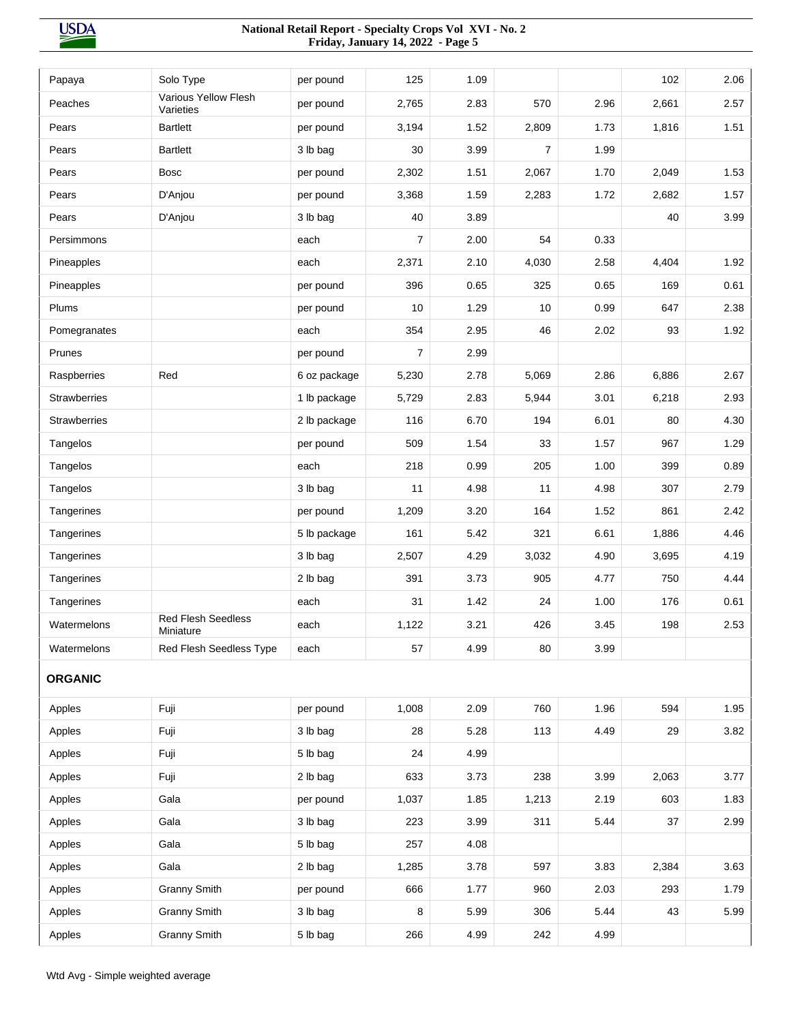| Papaya              | Solo Type                              | per pound    | 125            | 1.09 |                |      | 102   | 2.06 |
|---------------------|----------------------------------------|--------------|----------------|------|----------------|------|-------|------|
| Peaches             | Various Yellow Flesh<br>Varieties      | per pound    | 2,765          | 2.83 | 570            | 2.96 | 2,661 | 2.57 |
| Pears               | <b>Bartlett</b>                        | per pound    | 3,194          | 1.52 | 2,809          | 1.73 | 1,816 | 1.51 |
| Pears               | <b>Bartlett</b>                        | 3 lb bag     | 30             | 3.99 | $\overline{7}$ | 1.99 |       |      |
| Pears               | <b>Bosc</b>                            | per pound    | 2,302          | 1.51 | 2,067          | 1.70 | 2,049 | 1.53 |
| Pears               | D'Anjou                                | per pound    | 3,368          | 1.59 | 2,283          | 1.72 | 2,682 | 1.57 |
| Pears               | D'Anjou                                | 3 lb bag     | 40             | 3.89 |                |      | 40    | 3.99 |
| Persimmons          |                                        | each         | 7              | 2.00 | 54             | 0.33 |       |      |
| Pineapples          |                                        | each         | 2,371          | 2.10 | 4,030          | 2.58 | 4,404 | 1.92 |
| Pineapples          |                                        | per pound    | 396            | 0.65 | 325            | 0.65 | 169   | 0.61 |
| Plums               |                                        | per pound    | 10             | 1.29 | 10             | 0.99 | 647   | 2.38 |
| Pomegranates        |                                        | each         | 354            | 2.95 | 46             | 2.02 | 93    | 1.92 |
| Prunes              |                                        | per pound    | $\overline{7}$ | 2.99 |                |      |       |      |
| Raspberries         | Red                                    | 6 oz package | 5,230          | 2.78 | 5,069          | 2.86 | 6,886 | 2.67 |
| <b>Strawberries</b> |                                        | 1 lb package | 5,729          | 2.83 | 5,944          | 3.01 | 6,218 | 2.93 |
| <b>Strawberries</b> |                                        | 2 lb package | 116            | 6.70 | 194            | 6.01 | 80    | 4.30 |
| Tangelos            |                                        | per pound    | 509            | 1.54 | 33             | 1.57 | 967   | 1.29 |
| Tangelos            |                                        | each         | 218            | 0.99 | 205            | 1.00 | 399   | 0.89 |
| Tangelos            |                                        | 3 lb bag     | 11             | 4.98 | 11             | 4.98 | 307   | 2.79 |
| Tangerines          |                                        | per pound    | 1,209          | 3.20 | 164            | 1.52 | 861   | 2.42 |
| Tangerines          |                                        | 5 lb package | 161            | 5.42 | 321            | 6.61 | 1,886 | 4.46 |
| Tangerines          |                                        | 3 lb bag     | 2,507          | 4.29 | 3,032          | 4.90 | 3,695 | 4.19 |
| Tangerines          |                                        | 2 lb bag     | 391            | 3.73 | 905            | 4.77 | 750   | 4.44 |
| Tangerines          |                                        | each         | 31             | 1.42 | 24             | 1.00 | 176   | 0.61 |
| Watermelons         | <b>Red Flesh Seedless</b><br>Miniature | each         | 1,122          | 3.21 | 426            | 3.45 | 198   | 2.53 |
| Watermelons         | Red Flesh Seedless Type                | each         | 57             | 4.99 | 80             | 3.99 |       |      |
| <b>ORGANIC</b>      |                                        |              |                |      |                |      |       |      |
| Apples              | Fuji                                   | per pound    | 1,008          | 2.09 | 760            | 1.96 | 594   | 1.95 |
| Apples              | Fuji                                   | 3 lb bag     | 28             | 5.28 | 113            | 4.49 | 29    | 3.82 |
| Apples              | Fuji                                   | 5 lb bag     | 24             | 4.99 |                |      |       |      |
| Apples              | Fuji                                   | 2 lb bag     | 633            | 3.73 | 238            | 3.99 | 2,063 | 3.77 |
| Apples              | Gala                                   | per pound    | 1,037          | 1.85 | 1,213          | 2.19 | 603   | 1.83 |
| Apples              | Gala                                   | 3 lb bag     | 223            | 3.99 | 311            | 5.44 | 37    | 2.99 |
| Apples              | Gala                                   | 5 lb bag     | 257            | 4.08 |                |      |       |      |
| Apples              | Gala                                   | 2 lb bag     | 1,285          | 3.78 | 597            | 3.83 | 2,384 | 3.63 |
| Apples              | <b>Granny Smith</b>                    | per pound    | 666            | 1.77 | 960            | 2.03 | 293   | 1.79 |
| Apples              | <b>Granny Smith</b>                    | 3 lb bag     | 8              | 5.99 | 306            | 5.44 | 43    | 5.99 |
| Apples              | <b>Granny Smith</b>                    | 5 lb bag     | 266            | 4.99 | 242            | 4.99 |       |      |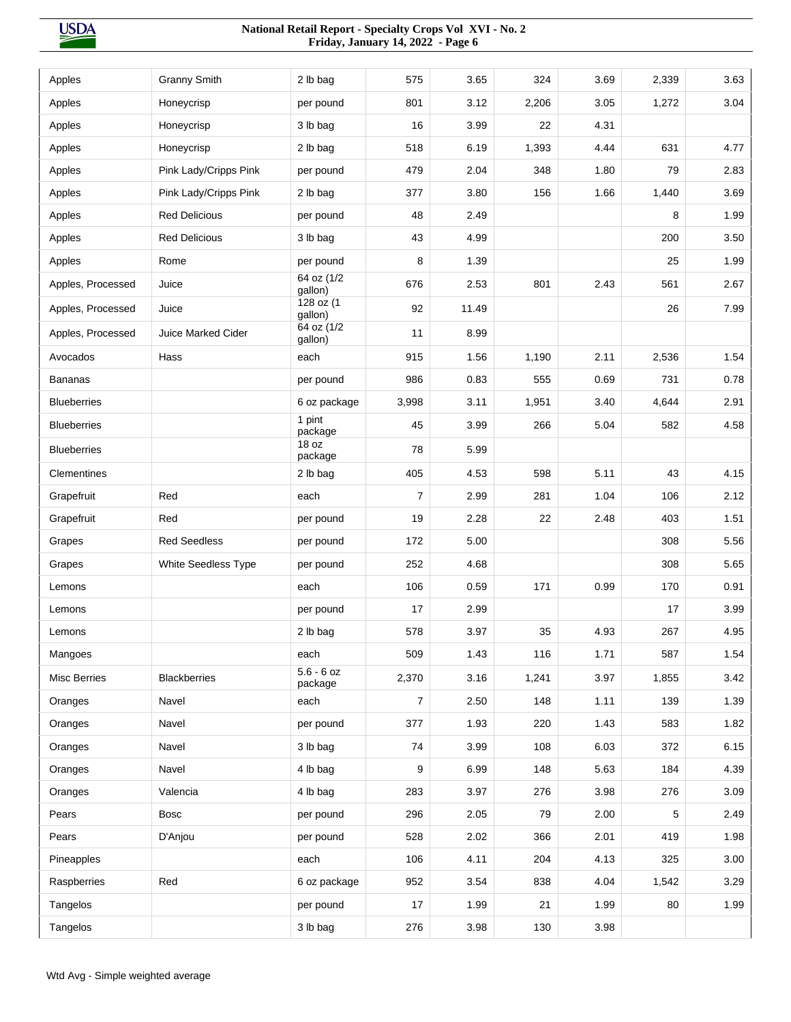| Apples              | <b>Granny Smith</b>       | 2 lb bag                | 575            | 3.65  | 324   | 3.69 | 2,339 | 3.63 |
|---------------------|---------------------------|-------------------------|----------------|-------|-------|------|-------|------|
| Apples              | Honeycrisp                | per pound               | 801            | 3.12  | 2,206 | 3.05 | 1,272 | 3.04 |
| Apples              | Honeycrisp                | 3 lb bag                | 16             | 3.99  | 22    | 4.31 |       |      |
| Apples              | Honeycrisp                | 2 lb bag                | 518            | 6.19  | 1,393 | 4.44 | 631   | 4.77 |
| Apples              | Pink Lady/Cripps Pink     | per pound               | 479            | 2.04  | 348   | 1.80 | 79    | 2.83 |
| Apples              | Pink Lady/Cripps Pink     | 2 lb bag                | 377            | 3.80  | 156   | 1.66 | 1,440 | 3.69 |
| Apples              | <b>Red Delicious</b>      | per pound               | 48             | 2.49  |       |      | 8     | 1.99 |
| Apples              | <b>Red Delicious</b>      | 3 lb bag                | 43             | 4.99  |       |      | 200   | 3.50 |
| Apples              | Rome                      | per pound               | 8              | 1.39  |       |      | 25    | 1.99 |
| Apples, Processed   | Juice                     | 64 oz (1/2<br>gallon)   | 676            | 2.53  | 801   | 2.43 | 561   | 2.67 |
| Apples, Processed   | Juice                     | 128 oz (1<br>gallon)    | 92             | 11.49 |       |      | 26    | 7.99 |
| Apples, Processed   | <b>Juice Marked Cider</b> | 64 oz (1/2<br>gallon)   | 11             | 8.99  |       |      |       |      |
| Avocados            | Hass                      | each                    | 915            | 1.56  | 1,190 | 2.11 | 2,536 | 1.54 |
| <b>Bananas</b>      |                           | per pound               | 986            | 0.83  | 555   | 0.69 | 731   | 0.78 |
| <b>Blueberries</b>  |                           | 6 oz package            | 3,998          | 3.11  | 1,951 | 3.40 | 4,644 | 2.91 |
| <b>Blueberries</b>  |                           | 1 pint<br>package       | 45             | 3.99  | 266   | 5.04 | 582   | 4.58 |
| <b>Blueberries</b>  |                           | 18 oz<br>package        | 78             | 5.99  |       |      |       |      |
| Clementines         |                           | 2 lb bag                | 405            | 4.53  | 598   | 5.11 | 43    | 4.15 |
| Grapefruit          | Red                       | each                    | $\overline{7}$ | 2.99  | 281   | 1.04 | 106   | 2.12 |
| Grapefruit          | Red                       | per pound               | 19             | 2.28  | 22    | 2.48 | 403   | 1.51 |
| Grapes              | <b>Red Seedless</b>       | per pound               | 172            | 5.00  |       |      | 308   | 5.56 |
| Grapes              | White Seedless Type       | per pound               | 252            | 4.68  |       |      | 308   | 5.65 |
| Lemons              |                           | each                    | 106            | 0.59  | 171   | 0.99 | 170   | 0.91 |
| Lemons              |                           | per pound               | 17             | 2.99  |       |      | 17    | 3.99 |
| Lemons              |                           | $2 \,$ lb bag           | 578            | 3.97  | 35    | 4.93 | 267   | 4.95 |
| Mangoes             |                           | each                    | 509            | 1.43  | 116   | 1.71 | 587   | 1.54 |
| <b>Misc Berries</b> | Blackberries              | $5.6 - 6$ oz<br>package | 2,370          | 3.16  | 1,241 | 3.97 | 1,855 | 3.42 |
| Oranges             | Navel                     | each                    | 7              | 2.50  | 148   | 1.11 | 139   | 1.39 |
| Oranges             | Navel                     | per pound               | 377            | 1.93  | 220   | 1.43 | 583   | 1.82 |
| Oranges             | Navel                     | 3 lb bag                | 74             | 3.99  | 108   | 6.03 | 372   | 6.15 |
| Oranges             | Navel                     | 4 lb bag                | 9              | 6.99  | 148   | 5.63 | 184   | 4.39 |
| Oranges             | Valencia                  | 4 lb bag                | 283            | 3.97  | 276   | 3.98 | 276   | 3.09 |
| Pears               | <b>Bosc</b>               | per pound               | 296            | 2.05  | 79    | 2.00 | 5     | 2.49 |
| Pears               | D'Anjou                   | per pound               | 528            | 2.02  | 366   | 2.01 | 419   | 1.98 |
| Pineapples          |                           | each                    | 106            | 4.11  | 204   | 4.13 | 325   | 3.00 |
| Raspberries         | Red                       | 6 oz package            | 952            | 3.54  | 838   | 4.04 | 1,542 | 3.29 |
| Tangelos            |                           | per pound               | 17             | 1.99  | 21    | 1.99 | 80    | 1.99 |
| Tangelos            |                           | 3 lb bag                | 276            | 3.98  | 130   | 3.98 |       |      |
|                     |                           |                         |                |       |       |      |       |      |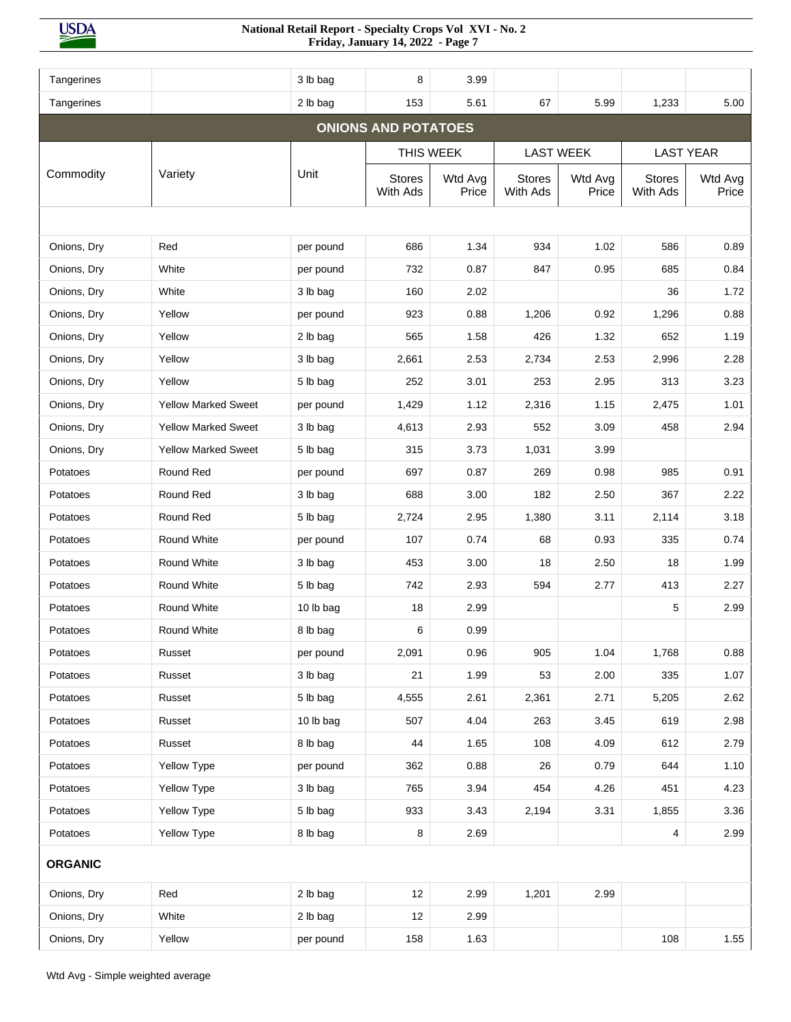| Tangerines     |                            | 3 lb bag  | 8                          | 3.99             |                           |                  |                           |                  |
|----------------|----------------------------|-----------|----------------------------|------------------|---------------------------|------------------|---------------------------|------------------|
| Tangerines     |                            | 2 lb bag  | 153                        | 5.61             | 67                        | 5.99             | 1,233                     | 5.00             |
|                |                            |           | <b>ONIONS AND POTATOES</b> |                  |                           |                  |                           |                  |
|                |                            |           |                            | THIS WEEK        | <b>LAST WEEK</b>          |                  |                           | <b>LAST YEAR</b> |
| Commodity      | Variety                    | Unit      | <b>Stores</b><br>With Ads  | Wtd Avg<br>Price | <b>Stores</b><br>With Ads | Wtd Avg<br>Price | <b>Stores</b><br>With Ads | Wtd Avg<br>Price |
|                |                            |           |                            |                  |                           |                  |                           |                  |
| Onions, Dry    | Red                        | per pound | 686                        | 1.34             | 934                       | 1.02             | 586                       | 0.89             |
| Onions, Dry    | White                      | per pound | 732                        | 0.87             | 847                       | 0.95             | 685                       | 0.84             |
| Onions, Dry    | White                      | 3 lb bag  | 160                        | 2.02             |                           |                  | 36                        | 1.72             |
| Onions, Dry    | Yellow                     | per pound | 923                        | 0.88             | 1,206                     | 0.92             | 1,296                     | 0.88             |
| Onions, Dry    | Yellow                     | 2 lb bag  | 565                        | 1.58             | 426                       | 1.32             | 652                       | 1.19             |
| Onions, Dry    | Yellow                     | 3 lb bag  | 2,661                      | 2.53             | 2,734                     | 2.53             | 2,996                     | 2.28             |
| Onions, Dry    | Yellow                     | 5 lb bag  | 252                        | 3.01             | 253                       | 2.95             | 313                       | 3.23             |
| Onions, Dry    | <b>Yellow Marked Sweet</b> | per pound | 1,429                      | 1.12             | 2,316                     | 1.15             | 2,475                     | 1.01             |
| Onions, Dry    | <b>Yellow Marked Sweet</b> | 3 lb bag  | 4,613                      | 2.93             | 552                       | 3.09             | 458                       | 2.94             |
| Onions, Dry    | <b>Yellow Marked Sweet</b> | 5 lb bag  | 315                        | 3.73             | 1,031                     | 3.99             |                           |                  |
| Potatoes       | Round Red                  | per pound | 697                        | 0.87             | 269                       | 0.98             | 985                       | 0.91             |
| Potatoes       | Round Red                  | 3 lb bag  | 688                        | 3.00             | 182                       | 2.50             | 367                       | 2.22             |
| Potatoes       | Round Red                  | 5 lb bag  | 2,724                      | 2.95             | 1,380                     | 3.11             | 2,114                     | 3.18             |
| Potatoes       | Round White                | per pound | 107                        | 0.74             | 68                        | 0.93             | 335                       | 0.74             |
| Potatoes       | Round White                | 3 lb bag  | 453                        | 3.00             | 18                        | 2.50             | 18                        | 1.99             |
| Potatoes       | Round White                | 5 lb bag  | 742                        | 2.93             | 594                       | 2.77             | 413                       | 2.27             |
| Potatoes       | Round White                | 10 lb bag | 18                         | 2.99             |                           |                  | 5                         | 2.99             |
| Potatoes       | Round White                | 8 lb bag  | 6                          | 0.99             |                           |                  |                           |                  |
| Potatoes       | Russet                     | per pound | 2,091                      | 0.96             | 905                       | 1.04             | 1,768                     | 0.88             |
| Potatoes       | Russet                     | 3 lb bag  | 21                         | 1.99             | 53                        | 2.00             | 335                       | 1.07             |
| Potatoes       | Russet                     | 5 lb bag  | 4,555                      | 2.61             | 2,361                     | 2.71             | 5,205                     | 2.62             |
| Potatoes       | Russet                     | 10 lb bag | 507                        | 4.04             | 263                       | 3.45             | 619                       | 2.98             |
| Potatoes       | Russet                     | 8 lb bag  | 44                         | 1.65             | 108                       | 4.09             | 612                       | 2.79             |
| Potatoes       | Yellow Type                | per pound | 362                        | 0.88             | 26                        | 0.79             | 644                       | 1.10             |
| Potatoes       | Yellow Type                | 3 lb bag  | 765                        | 3.94             | 454                       | 4.26             | 451                       | 4.23             |
| Potatoes       | Yellow Type                | 5 lb bag  | 933                        | 3.43             | 2,194                     | 3.31             | 1,855                     | 3.36             |
| Potatoes       | Yellow Type                | 8 lb bag  | 8                          | 2.69             |                           |                  | 4                         | 2.99             |
| <b>ORGANIC</b> |                            |           |                            |                  |                           |                  |                           |                  |
| Onions, Dry    | Red                        | 2 lb bag  | 12                         | 2.99             | 1,201                     | 2.99             |                           |                  |
| Onions, Dry    | White                      | 2 lb bag  | 12                         | 2.99             |                           |                  |                           |                  |
| Onions, Dry    | Yellow                     | per pound | 158                        | 1.63             |                           |                  | 108                       | 1.55             |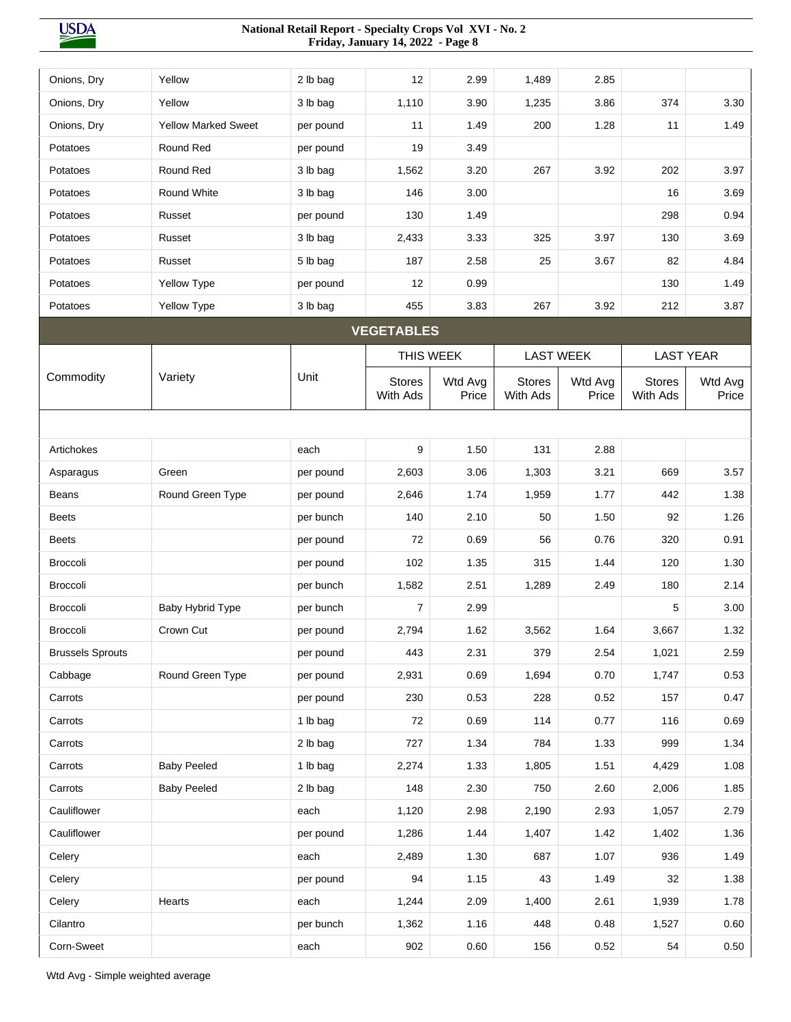| Onions, Dry             | Yellow                     | 2 lb bag  | 12                        | 2.99             | 1,489                     | 2.85             |                           |                  |
|-------------------------|----------------------------|-----------|---------------------------|------------------|---------------------------|------------------|---------------------------|------------------|
| Onions, Dry             | Yellow                     | 3 lb bag  | 1,110                     | 3.90             | 1,235                     | 3.86             | 374                       | 3.30             |
| Onions, Dry             | <b>Yellow Marked Sweet</b> | per pound | 11                        | 1.49             | 200                       | 1.28             | 11                        | 1.49             |
| Potatoes                | Round Red                  | per pound | 19                        | 3.49             |                           |                  |                           |                  |
| Potatoes                | Round Red                  | 3 lb bag  | 1,562                     | 3.20             | 267                       | 3.92             | 202                       | 3.97             |
| Potatoes                | Round White                | 3 lb bag  | 146                       | 3.00             |                           |                  | 16                        | 3.69             |
| Potatoes                | Russet                     | per pound | 130                       | 1.49             |                           |                  | 298                       | 0.94             |
| Potatoes                | Russet                     | 3 lb bag  | 2,433                     | 3.33             | 325                       | 3.97             | 130                       | 3.69             |
| Potatoes                | Russet                     | 5 lb bag  | 187                       | 2.58             | 25                        | 3.67             | 82                        | 4.84             |
| Potatoes                | Yellow Type                | per pound | 12                        | 0.99             |                           |                  | 130                       | 1.49             |
| Potatoes                | Yellow Type                | 3 lb bag  | 455                       | 3.83             | 267                       | 3.92             | 212                       | 3.87             |
|                         |                            |           | <b>VEGETABLES</b>         |                  |                           |                  |                           |                  |
|                         |                            |           |                           | THIS WEEK        |                           | <b>LAST WEEK</b> |                           | <b>LAST YEAR</b> |
| Commodity               | Variety                    | Unit      | <b>Stores</b><br>With Ads | Wtd Avg<br>Price | <b>Stores</b><br>With Ads | Wtd Avg<br>Price | <b>Stores</b><br>With Ads | Wtd Avg<br>Price |
|                         |                            |           |                           |                  |                           |                  |                           |                  |
| Artichokes              |                            | each      | 9                         | 1.50             | 131                       | 2.88             |                           |                  |
| Asparagus               | Green                      | per pound | 2,603                     | 3.06             | 1,303                     | 3.21             | 669                       | 3.57             |
| <b>Beans</b>            | Round Green Type           | per pound | 2,646                     | 1.74             | 1,959                     | 1.77             | 442                       | 1.38             |
| <b>Beets</b>            |                            | per bunch | 140                       | 2.10             | 50                        | 1.50             | 92                        | 1.26             |
| <b>Beets</b>            |                            | per pound | 72                        | 0.69             | 56                        | 0.76             | 320                       | 0.91             |
| Broccoli                |                            | per pound | 102                       | 1.35             | 315                       | 1.44             | 120                       | 1.30             |
| <b>Broccoli</b>         |                            | per bunch | 1,582                     | 2.51             | 1,289                     | 2.49             | 180                       | 2.14             |
| <b>Broccoli</b>         | Baby Hybrid Type           | per bunch | 7                         | 2.99             |                           |                  | 5                         | 3.00             |
| Broccoli                | Crown Cut                  | per pound | 2,794                     | 1.62             | 3,562                     | 1.64             | 3,667                     | 1.32             |
| <b>Brussels Sprouts</b> |                            | per pound | 443                       | 2.31             | 379                       | 2.54             | 1,021                     | 2.59             |
| Cabbage                 | Round Green Type           | per pound | 2,931                     | 0.69             | 1,694                     | 0.70             | 1,747                     | 0.53             |
| Carrots                 |                            | per pound | 230                       | 0.53             | 228                       | 0.52             | 157                       | 0.47             |
| Carrots                 |                            | 1 lb bag  | 72                        | 0.69             | 114                       | 0.77             | 116                       | 0.69             |
| Carrots                 |                            | 2 lb bag  | 727                       | 1.34             | 784                       | 1.33             | 999                       | 1.34             |
| Carrots                 | <b>Baby Peeled</b>         | 1 lb bag  | 2,274                     | 1.33             | 1,805                     | 1.51             | 4,429                     | 1.08             |
| Carrots                 | <b>Baby Peeled</b>         | 2 lb bag  | 148                       | 2.30             | 750                       | 2.60             | 2,006                     | 1.85             |
| Cauliflower             |                            | each      | 1,120                     | 2.98             | 2,190                     | 2.93             | 1,057                     | 2.79             |
| Cauliflower             |                            | per pound | 1,286                     | 1.44             | 1,407                     | 1.42             | 1,402                     | 1.36             |
| Celery                  |                            | each      | 2,489                     | 1.30             | 687                       | 1.07             | 936                       | 1.49             |
| Celery                  |                            | per pound | 94                        | 1.15             | 43                        | 1.49             | 32                        | 1.38             |
| Celery                  | Hearts                     | each      | 1,244                     | 2.09             | 1,400                     | 2.61             | 1,939                     | 1.78             |
| Cilantro                |                            | per bunch | 1,362                     | 1.16             | 448                       | 0.48             | 1,527                     | 0.60             |
| Corn-Sweet              |                            | each      | 902                       | 0.60             | 156                       | 0.52             | 54                        | 0.50             |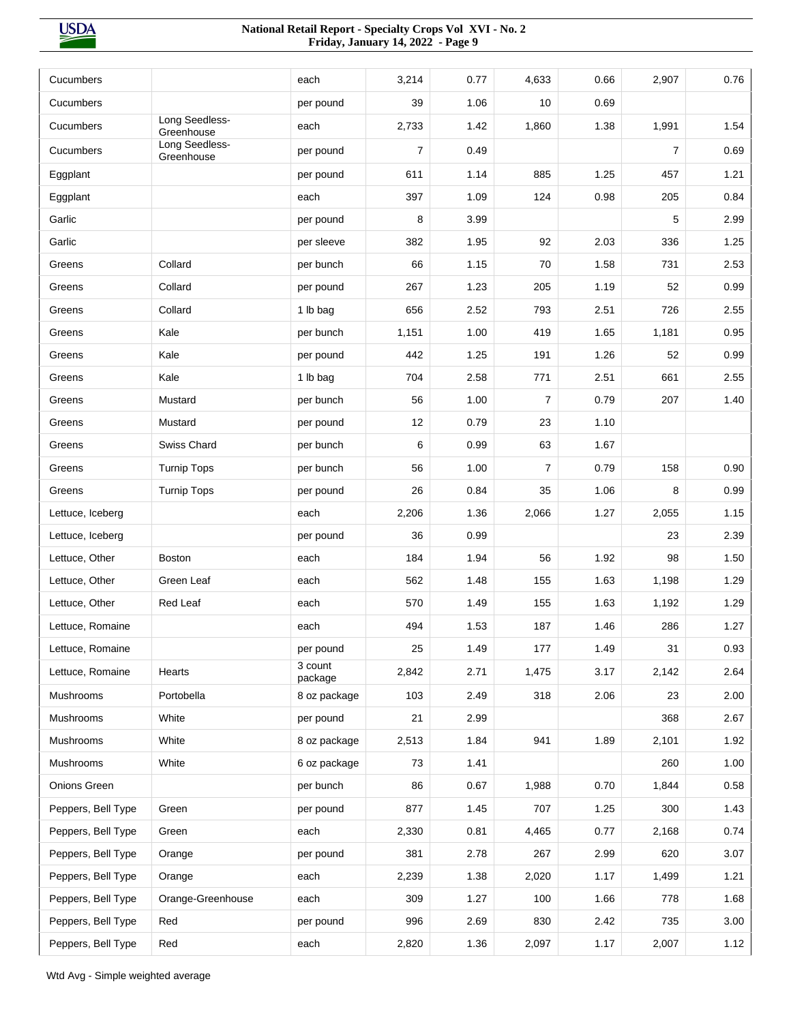| Cucumbers          |                              |                    |                | 0.77 |                |      |                | 0.76 |
|--------------------|------------------------------|--------------------|----------------|------|----------------|------|----------------|------|
|                    |                              | each               | 3,214          |      | 4,633          | 0.66 | 2,907          |      |
| Cucumbers          | Long Seedless-               | per pound          | 39             | 1.06 | 10             | 0.69 |                |      |
| Cucumbers          | Greenhouse<br>Long Seedless- | each               | 2,733          | 1.42 | 1,860          | 1.38 | 1,991          | 1.54 |
| Cucumbers          | Greenhouse                   | per pound          | $\overline{7}$ | 0.49 |                |      | $\overline{7}$ | 0.69 |
| Eggplant           |                              | per pound          | 611            | 1.14 | 885            | 1.25 | 457            | 1.21 |
| Eggplant           |                              | each               | 397            | 1.09 | 124            | 0.98 | 205            | 0.84 |
| Garlic             |                              | per pound          | 8              | 3.99 |                |      | 5              | 2.99 |
| Garlic             |                              | per sleeve         | 382            | 1.95 | 92             | 2.03 | 336            | 1.25 |
| Greens             | Collard                      | per bunch          | 66             | 1.15 | 70             | 1.58 | 731            | 2.53 |
| Greens             | Collard                      | per pound          | 267            | 1.23 | 205            | 1.19 | 52             | 0.99 |
| Greens             | Collard                      | 1 lb bag           | 656            | 2.52 | 793            | 2.51 | 726            | 2.55 |
| Greens             | Kale                         | per bunch          | 1,151          | 1.00 | 419            | 1.65 | 1,181          | 0.95 |
| Greens             | Kale                         | per pound          | 442            | 1.25 | 191            | 1.26 | 52             | 0.99 |
| Greens             | Kale                         | 1 lb bag           | 704            | 2.58 | 771            | 2.51 | 661            | 2.55 |
| Greens             | Mustard                      | per bunch          | 56             | 1.00 | $\overline{7}$ | 0.79 | 207            | 1.40 |
| Greens             | Mustard                      | per pound          | 12             | 0.79 | 23             | 1.10 |                |      |
| Greens             | Swiss Chard                  | per bunch          | 6              | 0.99 | 63             | 1.67 |                |      |
| Greens             | <b>Turnip Tops</b>           | per bunch          | 56             | 1.00 | $\overline{7}$ | 0.79 | 158            | 0.90 |
| Greens             | <b>Turnip Tops</b>           | per pound          | 26             | 0.84 | 35             | 1.06 | 8              | 0.99 |
| Lettuce, Iceberg   |                              | each               | 2,206          | 1.36 | 2,066          | 1.27 | 2,055          | 1.15 |
| Lettuce, Iceberg   |                              | per pound          | 36             | 0.99 |                |      | 23             | 2.39 |
| Lettuce, Other     | <b>Boston</b>                | each               | 184            | 1.94 | 56             | 1.92 | 98             | 1.50 |
| Lettuce, Other     | Green Leaf                   | each               | 562            | 1.48 | 155            | 1.63 | 1,198          | 1.29 |
| Lettuce, Other     | Red Leaf                     | each               | 570            | 1.49 | 155            | 1.63 | 1,192          | 1.29 |
| Lettuce, Romaine   |                              | each               | 494            | 1.53 | 187            | 1.46 | 286            | 1.27 |
| Lettuce, Romaine   |                              | per pound          | 25             | 1.49 | 177            | 1.49 | 31             | 0.93 |
| Lettuce, Romaine   | Hearts                       | 3 count<br>package | 2,842          | 2.71 | 1,475          | 3.17 | 2,142          | 2.64 |
| Mushrooms          | Portobella                   | 8 oz package       | 103            | 2.49 | 318            | 2.06 | 23             | 2.00 |
| Mushrooms          | White                        | per pound          | 21             | 2.99 |                |      | 368            | 2.67 |
| Mushrooms          | White                        | 8 oz package       | 2,513          | 1.84 | 941            | 1.89 | 2,101          | 1.92 |
| Mushrooms          | White                        | 6 oz package       | 73             | 1.41 |                |      | 260            | 1.00 |
| Onions Green       |                              | per bunch          | 86             | 0.67 | 1,988          | 0.70 | 1,844          | 0.58 |
| Peppers, Bell Type | Green                        | per pound          | 877            | 1.45 | 707            | 1.25 | 300            | 1.43 |
| Peppers, Bell Type | Green                        | each               | 2,330          | 0.81 | 4,465          | 0.77 | 2,168          | 0.74 |
| Peppers, Bell Type | Orange                       | per pound          | 381            | 2.78 | 267            | 2.99 | 620            | 3.07 |
| Peppers, Bell Type | Orange                       | each               | 2,239          | 1.38 | 2,020          | 1.17 | 1,499          | 1.21 |
| Peppers, Bell Type | Orange-Greenhouse            | each               | 309            | 1.27 | 100            | 1.66 | 778            | 1.68 |
| Peppers, Bell Type | Red                          | per pound          | 996            | 2.69 | 830            | 2.42 | 735            | 3.00 |
| Peppers, Bell Type | Red                          | each               | 2,820          | 1.36 | 2,097          | 1.17 | 2,007          | 1.12 |
|                    |                              |                    |                |      |                |      |                |      |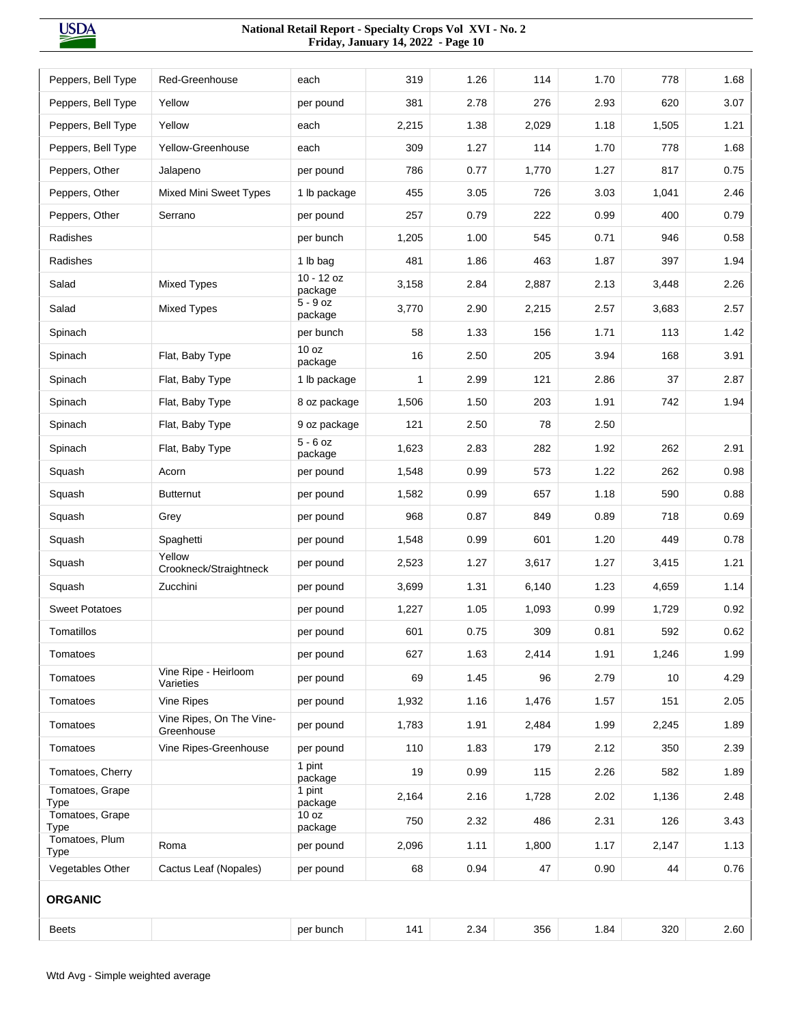| Peppers, Bell Type            | Red-Greenhouse                         | each                    | 319   | 1.26 | 114   | 1.70 | 778   | 1.68 |
|-------------------------------|----------------------------------------|-------------------------|-------|------|-------|------|-------|------|
| Peppers, Bell Type            | Yellow                                 | per pound               | 381   | 2.78 | 276   | 2.93 | 620   | 3.07 |
| Peppers, Bell Type            | Yellow                                 | each                    | 2,215 | 1.38 | 2,029 | 1.18 | 1,505 | 1.21 |
| Peppers, Bell Type            | Yellow-Greenhouse                      | each                    | 309   | 1.27 | 114   | 1.70 | 778   | 1.68 |
| Peppers, Other                | Jalapeno                               | per pound               | 786   | 0.77 | 1,770 | 1.27 | 817   | 0.75 |
| Peppers, Other                | <b>Mixed Mini Sweet Types</b>          | 1 lb package            | 455   | 3.05 | 726   | 3.03 | 1,041 | 2.46 |
| Peppers, Other                | Serrano                                | per pound               | 257   | 0.79 | 222   | 0.99 | 400   | 0.79 |
| Radishes                      |                                        | per bunch               | 1,205 | 1.00 | 545   | 0.71 | 946   | 0.58 |
| Radishes                      |                                        | 1 lb bag                | 481   | 1.86 | 463   | 1.87 | 397   | 1.94 |
| Salad                         | <b>Mixed Types</b>                     | $10 - 12$ oz<br>package | 3,158 | 2.84 | 2,887 | 2.13 | 3,448 | 2.26 |
| Salad                         | <b>Mixed Types</b>                     | $5 - 9$ oz<br>package   | 3,770 | 2.90 | 2,215 | 2.57 | 3,683 | 2.57 |
| Spinach                       |                                        | per bunch               | 58    | 1.33 | 156   | 1.71 | 113   | 1.42 |
| Spinach                       | Flat, Baby Type                        | 10 oz<br>package        | 16    | 2.50 | 205   | 3.94 | 168   | 3.91 |
| Spinach                       | Flat, Baby Type                        | 1 lb package            | 1     | 2.99 | 121   | 2.86 | 37    | 2.87 |
| Spinach                       | Flat, Baby Type                        | 8 oz package            | 1,506 | 1.50 | 203   | 1.91 | 742   | 1.94 |
| Spinach                       | Flat, Baby Type                        | 9 oz package            | 121   | 2.50 | 78    | 2.50 |       |      |
| Spinach                       | Flat, Baby Type                        | $5 - 6$ oz<br>package   | 1,623 | 2.83 | 282   | 1.92 | 262   | 2.91 |
| Squash                        | Acorn                                  | per pound               | 1,548 | 0.99 | 573   | 1.22 | 262   | 0.98 |
| Squash                        | <b>Butternut</b>                       | per pound               | 1,582 | 0.99 | 657   | 1.18 | 590   | 0.88 |
| Squash                        | Grey                                   | per pound               | 968   | 0.87 | 849   | 0.89 | 718   | 0.69 |
| Squash                        | Spaghetti                              | per pound               | 1,548 | 0.99 | 601   | 1.20 | 449   | 0.78 |
| Squash                        | Yellow<br>Crookneck/Straightneck       | per pound               | 2,523 | 1.27 | 3,617 | 1.27 | 3,415 | 1.21 |
| Squash                        | Zucchini                               | per pound               | 3,699 | 1.31 | 6,140 | 1.23 | 4,659 | 1.14 |
| <b>Sweet Potatoes</b>         |                                        | per pound               | 1,227 | 1.05 | 1,093 | 0.99 | 1,729 | 0.92 |
| Tomatillos                    |                                        | per pound               | 601   | 0.75 | 309   | 0.81 | 592   | 0.62 |
| Tomatoes                      |                                        | per pound               | 627   | 1.63 | 2,414 | 1.91 | 1,246 | 1.99 |
| Tomatoes                      | Vine Ripe - Heirloom<br>Varieties      | per pound               | 69    | 1.45 | 96    | 2.79 | 10    | 4.29 |
| Tomatoes                      | Vine Ripes                             | per pound               | 1,932 | 1.16 | 1,476 | 1.57 | 151   | 2.05 |
| Tomatoes                      | Vine Ripes, On The Vine-<br>Greenhouse | per pound               | 1,783 | 1.91 | 2,484 | 1.99 | 2,245 | 1.89 |
| Tomatoes                      | Vine Ripes-Greenhouse                  | per pound               | 110   | 1.83 | 179   | 2.12 | 350   | 2.39 |
| Tomatoes, Cherry              |                                        | 1 pint<br>package       | 19    | 0.99 | 115   | 2.26 | 582   | 1.89 |
| Tomatoes, Grape<br>Type       |                                        | 1 pint<br>package       | 2,164 | 2.16 | 1,728 | 2.02 | 1,136 | 2.48 |
| Tomatoes, Grape<br>Type       |                                        | 10 oz<br>package        | 750   | 2.32 | 486   | 2.31 | 126   | 3.43 |
| Tomatoes, Plum<br><b>Type</b> | Roma                                   | per pound               | 2,096 | 1.11 | 1,800 | 1.17 | 2,147 | 1.13 |
| Vegetables Other              | Cactus Leaf (Nopales)                  | per pound               | 68    | 0.94 | 47    | 0.90 | 44    | 0.76 |
| <b>ORGANIC</b>                |                                        |                         |       |      |       |      |       |      |
| <b>Beets</b>                  |                                        | per bunch               | 141   | 2.34 | 356   | 1.84 | 320   | 2.60 |
|                               |                                        |                         |       |      |       |      |       |      |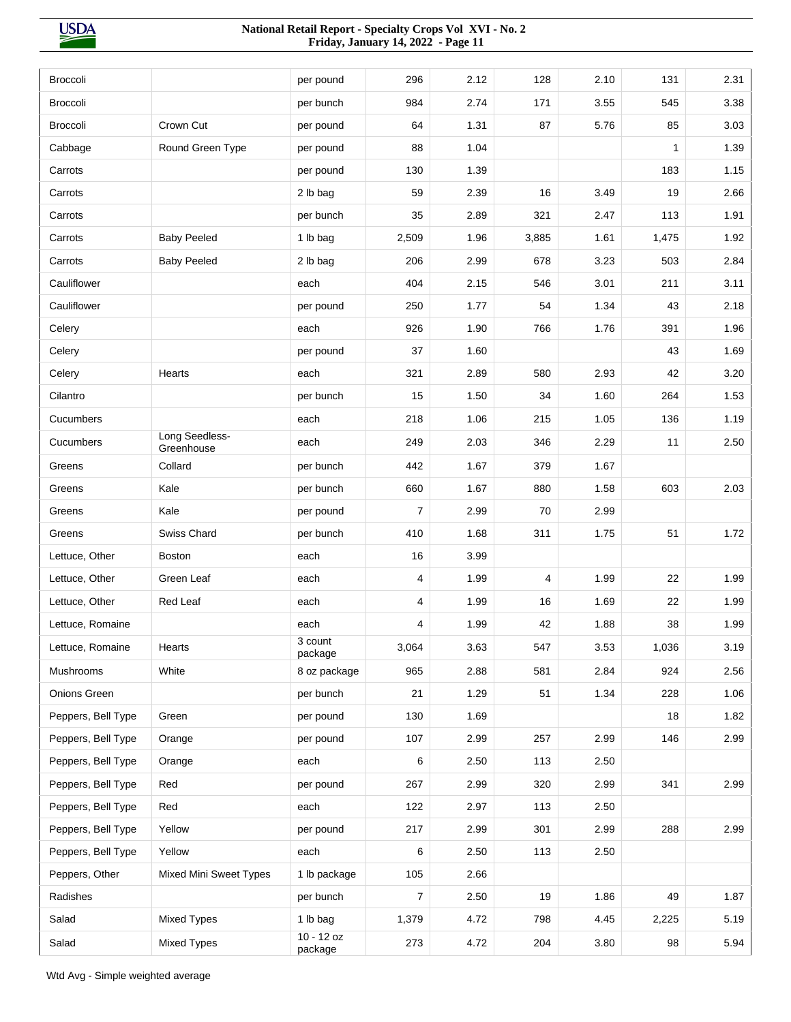| <b>Broccoli</b>    |                              | per pound          | 296            | 2.12 | 128   | 2.10 | 131   | 2.31 |
|--------------------|------------------------------|--------------------|----------------|------|-------|------|-------|------|
| <b>Broccoli</b>    |                              | per bunch          | 984            | 2.74 | 171   | 3.55 | 545   | 3.38 |
| <b>Broccoli</b>    | Crown Cut                    | per pound          | 64             | 1.31 | 87    | 5.76 | 85    | 3.03 |
| Cabbage            | Round Green Type             | per pound          | 88             | 1.04 |       |      | 1     | 1.39 |
| Carrots            |                              | per pound          | 130            | 1.39 |       |      | 183   | 1.15 |
| Carrots            |                              | 2 lb bag           | 59             | 2.39 | 16    | 3.49 | 19    | 2.66 |
| Carrots            |                              | per bunch          | 35             | 2.89 | 321   | 2.47 | 113   | 1.91 |
| Carrots            | <b>Baby Peeled</b>           | 1 lb bag           | 2,509          | 1.96 | 3,885 | 1.61 | 1,475 | 1.92 |
| Carrots            | <b>Baby Peeled</b>           | 2 lb bag           | 206            | 2.99 | 678   | 3.23 | 503   | 2.84 |
| Cauliflower        |                              | each               | 404            | 2.15 | 546   | 3.01 | 211   | 3.11 |
| Cauliflower        |                              | per pound          | 250            | 1.77 | 54    | 1.34 | 43    | 2.18 |
| Celery             |                              | each               | 926            | 1.90 | 766   | 1.76 | 391   | 1.96 |
| Celery             |                              | per pound          | 37             | 1.60 |       |      | 43    | 1.69 |
| Celery             | Hearts                       | each               | 321            | 2.89 | 580   | 2.93 | 42    | 3.20 |
| Cilantro           |                              | per bunch          | 15             | 1.50 | 34    | 1.60 | 264   | 1.53 |
| Cucumbers          |                              | each               | 218            | 1.06 | 215   | 1.05 | 136   | 1.19 |
| Cucumbers          | Long Seedless-<br>Greenhouse | each               | 249            | 2.03 | 346   | 2.29 | 11    | 2.50 |
| Greens             | Collard                      | per bunch          | 442            | 1.67 | 379   | 1.67 |       |      |
| Greens             | Kale                         | per bunch          | 660            | 1.67 | 880   | 1.58 | 603   | 2.03 |
| Greens             | Kale                         | per pound          | $\overline{7}$ | 2.99 | 70    | 2.99 |       |      |
| Greens             | Swiss Chard                  | per bunch          | 410            | 1.68 | 311   | 1.75 | 51    | 1.72 |
| Lettuce, Other     | <b>Boston</b>                | each               | 16             | 3.99 |       |      |       |      |
| Lettuce, Other     | Green Leaf                   | each               | 4              | 1.99 | 4     | 1.99 | 22    | 1.99 |
| Lettuce, Other     | Red Leaf                     | each               | 4              | 1.99 | 16    | 1.69 | 22    | 1.99 |
| Lettuce, Romaine   |                              | each               | 4              | 1.99 | 42    | 1.88 | 38    | 1.99 |
| Lettuce, Romaine   | Hearts                       | 3 count<br>package | 3,064          | 3.63 | 547   | 3.53 | 1,036 | 3.19 |
| Mushrooms          | White                        | 8 oz package       | 965            | 2.88 | 581   | 2.84 | 924   | 2.56 |
| Onions Green       |                              | per bunch          | 21             | 1.29 | 51    | 1.34 | 228   | 1.06 |
| Peppers, Bell Type | Green                        | per pound          | 130            | 1.69 |       |      | 18    | 1.82 |
| Peppers, Bell Type | Orange                       | per pound          | 107            | 2.99 | 257   | 2.99 | 146   | 2.99 |
| Peppers, Bell Type | Orange                       | each               | 6              | 2.50 | 113   | 2.50 |       |      |
| Peppers, Bell Type | Red                          | per pound          | 267            | 2.99 | 320   | 2.99 | 341   | 2.99 |
| Peppers, Bell Type | Red                          | each               | 122            | 2.97 | 113   | 2.50 |       |      |
| Peppers, Bell Type | Yellow                       | per pound          | 217            | 2.99 | 301   | 2.99 | 288   | 2.99 |
| Peppers, Bell Type | Yellow                       | each               | 6              | 2.50 | 113   | 2.50 |       |      |
| Peppers, Other     | Mixed Mini Sweet Types       | 1 lb package       | 105            | 2.66 |       |      |       |      |
| Radishes           |                              | per bunch          | 7              | 2.50 | 19    | 1.86 | 49    | 1.87 |
| Salad              | Mixed Types                  | 1 lb bag           | 1,379          | 4.72 | 798   | 4.45 | 2,225 | 5.19 |
| Salad              | <b>Mixed Types</b>           | 10 - 12 oz         | 273            | 4.72 | 204   | 3.80 | 98    | 5.94 |
|                    |                              | package            |                |      |       |      |       |      |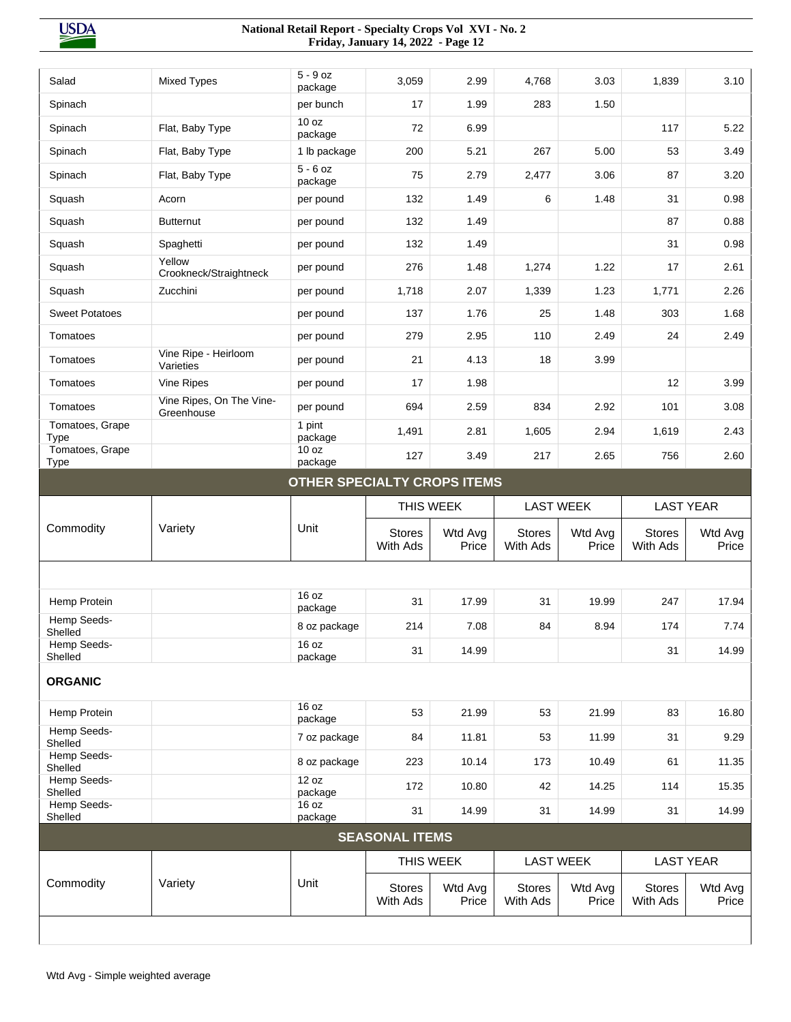| Salad                          | <b>Mixed Types</b>                     | $5 - 9$ oz<br>package       | 3,059                     | 2.99             | 4,768                     | 3.03             | 1,839                     | 3.10                      |
|--------------------------------|----------------------------------------|-----------------------------|---------------------------|------------------|---------------------------|------------------|---------------------------|---------------------------|
| Spinach                        |                                        | per bunch                   | 17                        | 1.99             | 283                       | 1.50             |                           |                           |
| Spinach                        | Flat, Baby Type                        | 10 oz<br>package            | 72                        | 6.99             |                           |                  | 117                       | 5.22                      |
| Spinach                        | Flat, Baby Type                        | 1 lb package                | 200                       | 5.21             | 267                       | 5.00             | 53                        | 3.49                      |
| Spinach                        | Flat, Baby Type                        | $5 - 6$ oz<br>package       | 75                        | 2.79             | 2,477                     | 3.06             | 87                        | 3.20                      |
| Squash                         | Acorn                                  | per pound                   | 132                       | 1.49             | 6                         | 1.48             | 31                        | 0.98                      |
| Squash                         | <b>Butternut</b>                       | per pound                   | 132                       | 1.49             |                           |                  | 87                        | 0.88                      |
| Squash                         | Spaghetti                              | per pound                   | 132                       | 1.49             |                           |                  | 31                        | 0.98                      |
| Squash                         | Yellow<br>Crookneck/Straightneck       | per pound                   | 276                       | 1.48             | 1,274                     | 1.22             | 17                        | 2.61                      |
| Squash                         | Zucchini                               | per pound                   | 1,718                     | 2.07             | 1,339                     | 1.23             | 1,771                     | 2.26                      |
| <b>Sweet Potatoes</b>          |                                        | per pound                   | 137                       | 1.76             | 25                        | 1.48             | 303                       | 1.68                      |
| Tomatoes                       |                                        | per pound                   | 279                       | 2.95             | 110                       | 2.49             | 24                        | 2.49                      |
| Tomatoes                       | Vine Ripe - Heirloom<br>Varieties      | per pound                   | 21                        | 4.13             | 18                        | 3.99             |                           |                           |
| Tomatoes                       | Vine Ripes                             | per pound                   | 17                        | 1.98             |                           |                  | 12                        | 3.99                      |
| Tomatoes                       | Vine Ripes, On The Vine-<br>Greenhouse | per pound                   | 694                       | 2.59             | 834                       | 2.92             | 101                       | 3.08                      |
| Tomatoes, Grape<br><b>Type</b> |                                        | 1 pint<br>package           | 1,491                     | 2.81             | 1,605                     | 2.94             | 1,619                     | 2.43                      |
| Tomatoes, Grape<br>Type        |                                        | 10 oz<br>package            | 127                       | 3.49             | 217                       | 2.65             | 756                       | 2.60                      |
|                                |                                        | OTHER SPECIALTY CROPS ITEMS |                           |                  |                           |                  |                           |                           |
|                                |                                        |                             | THIS WEEK                 |                  | <b>LAST WEEK</b>          |                  | <b>LAST YEAR</b>          |                           |
| Commodity                      | Variety                                | Unit                        | <b>Stores</b><br>With Ads | Wtd Avg<br>Price | <b>Stores</b><br>With Ads | Wtd Avg<br>Price | <b>Stores</b><br>With Ads | Wtd Avg<br>Price          |
|                                |                                        |                             |                           |                  |                           |                  |                           |                           |
| Hemp Protein                   |                                        | 16 oz                       | 31                        | 17.99            | 31                        | 19.99            | 247                       | 17.94                     |
| Hemp Seeds-                    |                                        | package                     |                           | 7.08             | 84                        | 8.94             | 174                       |                           |
| Shelled<br>Hemp Seeds-         |                                        | 8 oz package                | 214                       |                  |                           |                  |                           | 7.74                      |
|                                |                                        |                             |                           |                  |                           |                  |                           |                           |
| Shelled                        |                                        | 16 oz<br>package            | 31                        | 14.99            |                           |                  | 31                        | 14.99                     |
| <b>ORGANIC</b>                 |                                        |                             |                           |                  |                           |                  |                           |                           |
|                                |                                        | 16 oz                       | 53                        | 21.99            | 53                        | 21.99            | 83                        | 16.80                     |
| Hemp Protein<br>Hemp Seeds-    |                                        | package                     |                           |                  |                           |                  |                           |                           |
| Shelled<br>Hemp Seeds-         |                                        | 7 oz package                | 84                        | 11.81            | 53                        | 11.99            | 31                        | 9.29                      |
| Shelled<br>Hemp Seeds-         |                                        | 8 oz package<br>12 oz       | 223                       | 10.14            | 173                       | 10.49            | 61                        | 11.35                     |
| Shelled                        |                                        | package                     | 172                       | 10.80            | 42                        | 14.25            | 114                       | 15.35                     |
| Hemp Seeds-<br>Shelled         |                                        | 16 oz<br>package            | 31                        | 14.99            | 31                        | 14.99            | 31                        |                           |
|                                |                                        |                             | <b>SEASONAL ITEMS</b>     |                  |                           |                  |                           |                           |
|                                |                                        |                             | THIS WEEK                 |                  | <b>LAST WEEK</b>          |                  |                           | 14.99<br><b>LAST YEAR</b> |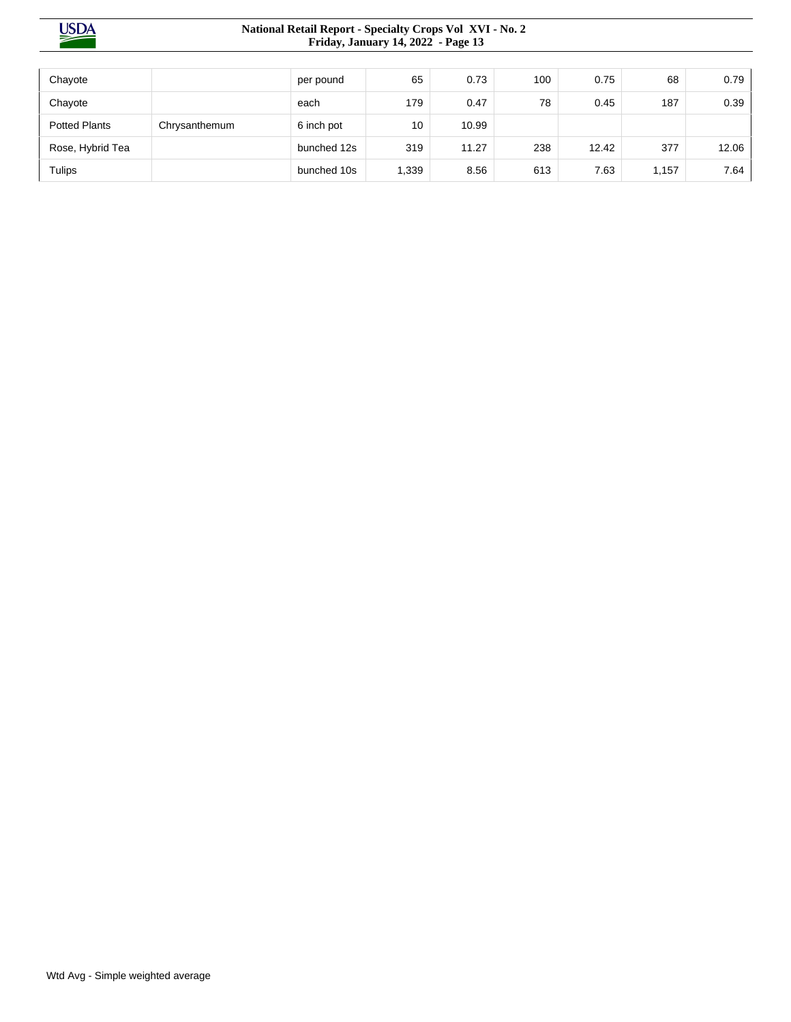| Chayote              |               | per pound   | 65    | 0.73  | 100 | 0.75  | 68    | 0.79  |
|----------------------|---------------|-------------|-------|-------|-----|-------|-------|-------|
| Chayote              |               | each        | 179   | 0.47  | 78  | 0.45  | 187   | 0.39  |
| <b>Potted Plants</b> | Chrysanthemum | 6 inch pot  | 10    | 10.99 |     |       |       |       |
| Rose, Hybrid Tea     |               | bunched 12s | 319   | 11.27 | 238 | 12.42 | 377   | 12.06 |
| <b>Tulips</b>        |               | bunched 10s | 1,339 | 8.56  | 613 | 7.63  | 1,157 | 7.64  |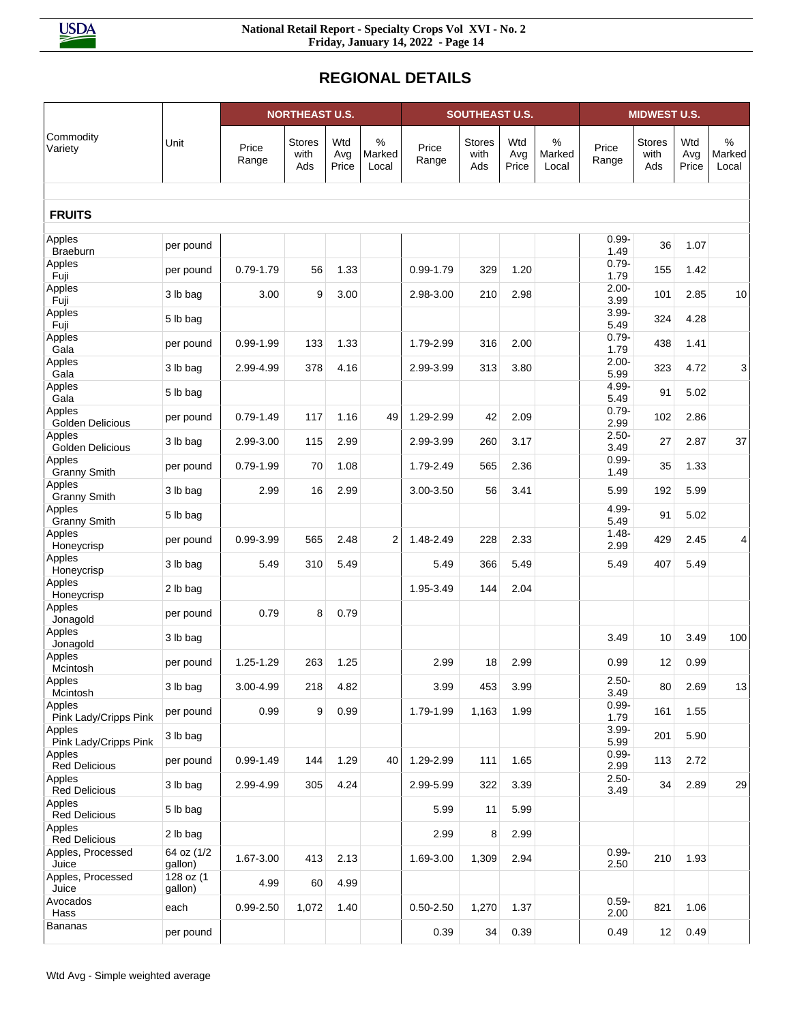# **REGIONAL DETAILS**

|                                           |                      | <b>NORTHEAST U.S.</b>      |                       |                     | <b>SOUTHEAST U.S.</b> |                |                              |                     | <b>MIDWEST U.S.</b>     |                              |                              |                     |                      |
|-------------------------------------------|----------------------|----------------------------|-----------------------|---------------------|-----------------------|----------------|------------------------------|---------------------|-------------------------|------------------------------|------------------------------|---------------------|----------------------|
| Commodity<br>Variety                      | Unit                 | Price<br>Range             | Stores<br>with<br>Ads | Wtd<br>Avg<br>Price | %<br>Marked<br>Local  | Price<br>Range | <b>Stores</b><br>with<br>Ads | Wtd<br>Avg<br>Price | $\%$<br>Marked<br>Local | Price<br>Range               | <b>Stores</b><br>with<br>Ads | Wtd<br>Avg<br>Price | %<br>Marked<br>Local |
| <b>FRUITS</b>                             |                      |                            |                       |                     |                       |                |                              |                     |                         |                              |                              |                     |                      |
| Apples<br><b>Braeburn</b>                 | per pound            |                            |                       |                     |                       |                |                              |                     |                         | $0.99 -$<br>1.49             | 36                           | 1.07                |                      |
| Apples<br>Fuji                            | per pound            | $0.79 - 1.79$              | 56                    | 1.33                |                       | $0.99 - 1.79$  | 329                          | 1.20                |                         | $0.79 -$<br>1.79             | 155                          | 1.42                |                      |
| Apples<br>Fuji                            | 3 lb bag             | 3.00                       | 9                     | 3.00                |                       | 2.98-3.00      | 210                          | 2.98                |                         | $2.00 -$<br>3.99             | 101                          | 2.85                | $10$                 |
| Apples<br>Fuji                            | 5 lb bag             |                            |                       |                     |                       |                |                              |                     |                         | $3.99 -$<br>5.49             | 324                          | 4.28                |                      |
| Apples<br>Gala                            | per pound            | $0.99 - 1.99$              | 133                   | 1.33                |                       | 1.79-2.99      | 316                          | 2.00                |                         | $0.79 -$<br>1.79             | 438                          | 1.41                |                      |
| Apples<br>Gala                            | 3 lb bag             | 2.99-4.99                  | 378                   | 4.16                |                       | 2.99-3.99      | 313                          | 3.80                |                         | $2.00 -$<br>5.99             | 323                          | 4.72                | 3                    |
| Apples<br>Gala                            | 5 lb bag             |                            |                       |                     |                       |                |                              |                     |                         | 4.99-<br>5.49                | 91                           | 5.02                |                      |
| Apples<br>Golden Delicious                | per pound            | $0.79 - 1.49$              | 117                   | 1.16                | 49                    | 1.29-2.99      | 42                           | 2.09                |                         | $0.79 -$<br>2.99             | 102                          | 2.86                |                      |
| Apples<br>Golden Delicious<br>Apples      | 3 lb bag             | 2.99-3.00                  | 115                   | 2.99                |                       | 2.99-3.99      | 260                          | 3.17                |                         | $2.50 -$<br>3.49<br>$0.99 -$ | 27                           | 2.87                | 37                   |
| <b>Granny Smith</b><br>Apples             | per pound            | $0.79 - 1.99$              | 70                    | 1.08                |                       | 1.79-2.49      | 565                          | 2.36                |                         | 1.49                         | 35                           | 1.33                |                      |
| <b>Granny Smith</b><br>Apples             | 3 lb bag             | 2.99                       | 16                    | 2.99                |                       | 3.00-3.50      | 56                           | 3.41                |                         | 5.99<br>4.99-                | 192                          | 5.99                |                      |
| <b>Granny Smith</b><br>Apples             | 5 lb bag             |                            |                       |                     |                       |                |                              |                     |                         | 5.49<br>$1.48 -$             | 91                           | 5.02                |                      |
| Honeycrisp<br>Apples                      | per pound            | 0.99-3.99                  | 565                   | 2.48                | 2                     | 1.48-2.49      | 228                          | 2.33                |                         | 2.99                         | 429                          | 2.45                | 4                    |
| Honeycrisp<br>Apples                      | 3 lb bag             | 5.49                       | 310                   | 5.49                |                       | 5.49           | 366                          | 5.49                |                         | 5.49                         | 407                          | 5.49                |                      |
| Honeycrisp<br>Apples                      | 2 lb bag             |                            |                       |                     |                       | 1.95-3.49      | 144                          | 2.04                |                         |                              |                              |                     |                      |
| Jonagold<br>Apples                        | per pound            | 0.79                       | 8                     | 0.79                |                       |                |                              |                     |                         |                              |                              |                     |                      |
| Jonagold<br>Apples                        | 3 lb bag             |                            |                       |                     |                       |                |                              |                     |                         | 3.49                         | 10                           | 3.49                | 100                  |
| Mcintosh<br>Apples                        | per pound            | 1.25-1.29                  | 263                   | 1.25                |                       | 2.99           | 18                           | 2.99                |                         | 0.99<br>$2.50 -$             | 12                           | 0.99                |                      |
| Mcintosh<br>Apples                        | 3 lb bag             | 3.00-4.99                  | 218                   | 4.82                |                       | 3.99           | 453                          | 3.99                |                         | 3.49<br>$0.99 -$             | 80                           | 2.69                | 13                   |
| Pink Lady/Cripps Pink<br>Apples           | per pound            | 0.99                       | 9                     | 0.99                |                       | 1.79-1.99      | 1,163                        | 1.99                |                         | 1.79<br>$3.99 -$             | 161                          | 1.55                |                      |
| Pink Lady/Cripps Pink<br>Apples           | 3 lb bag             |                            |                       |                     |                       |                |                              |                     |                         | 5.99<br>$0.99 -$             | 201                          | 5.90                |                      |
| <b>Red Delicious</b><br>Apples            | per pound            | $0.99 - 1.49$<br>2.99-4.99 | 144<br>305            | 1.29                | 40                    | 1.29-2.99      | 111                          | 1.65<br>3.39        |                         | 2.99<br>$2.50 -$             | 113                          | 2.72                |                      |
| <b>Red Delicious</b><br>Apples            | 3 lb bag             |                            |                       | 4.24                |                       | 2.99-5.99      | 322                          | 5.99                |                         | 3.49                         | 34                           | 2.89                | 29                   |
| <b>Red Delicious</b><br>Apples            | 5 lb bag<br>2 lb bag |                            |                       |                     |                       | 5.99<br>2.99   | 11<br>8                      | 2.99                |                         |                              |                              |                     |                      |
| <b>Red Delicious</b><br>Apples, Processed | 64 oz (1/2           | 1.67-3.00                  | 413                   | 2.13                |                       | 1.69-3.00      | 1,309                        | 2.94                |                         | $0.99 -$                     | 210                          | 1.93                |                      |
| Juice<br>Apples, Processed                | gallon)<br>128 oz (1 | 4.99                       | 60                    | 4.99                |                       |                |                              |                     |                         | 2.50                         |                              |                     |                      |
| Juice<br>Avocados                         | gallon)<br>each      | 0.99-2.50                  | 1,072                 | 1.40                |                       | $0.50 - 2.50$  | 1,270                        | 1.37                |                         | $0.59 -$                     | 821                          | 1.06                |                      |
| Hass<br><b>Bananas</b>                    | per pound            |                            |                       |                     |                       | 0.39           | 34                           | 0.39                |                         | 2.00<br>0.49                 | 12                           | 0.49                |                      |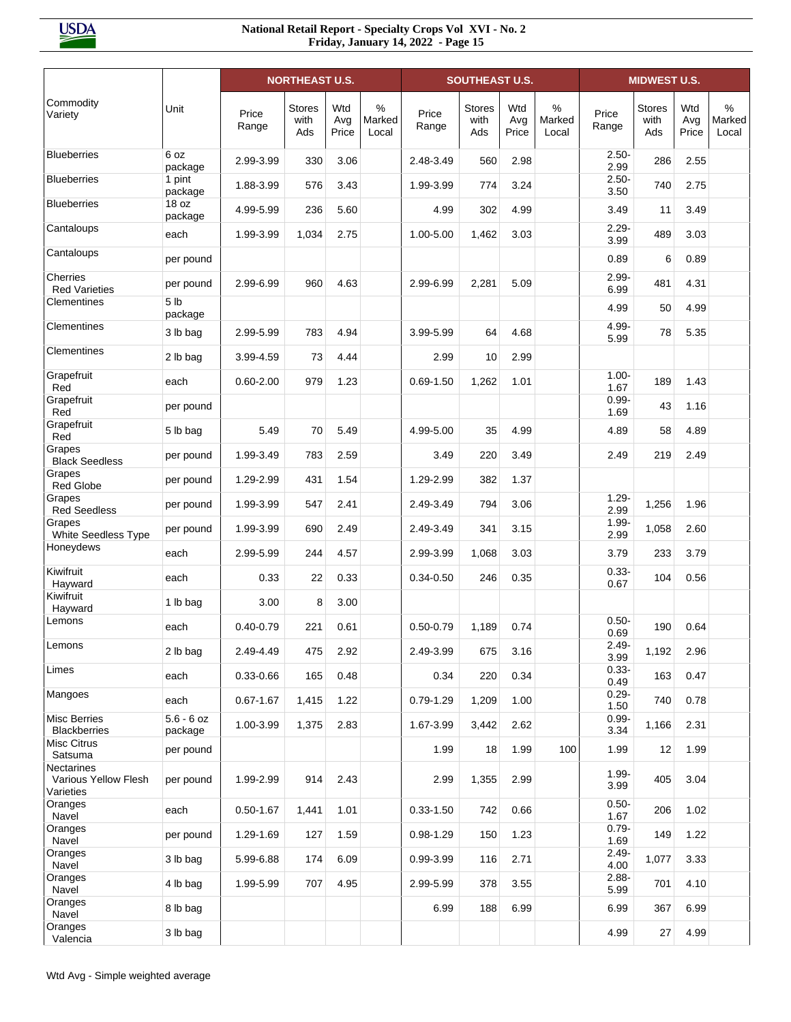|                                                        |                             |                | <b>NORTHEAST U.S.</b>        |                     |                      |                | <b>SOUTHEAST U.S.</b>        |                     |                      |                  | <b>MIDWEST U.S.</b>          |                     |                         |
|--------------------------------------------------------|-----------------------------|----------------|------------------------------|---------------------|----------------------|----------------|------------------------------|---------------------|----------------------|------------------|------------------------------|---------------------|-------------------------|
| Commodity<br>Variety                                   | Unit                        | Price<br>Range | <b>Stores</b><br>with<br>Ads | Wtd<br>Avg<br>Price | %<br>Marked<br>Local | Price<br>Range | <b>Stores</b><br>with<br>Ads | Wtd<br>Avg<br>Price | %<br>Marked<br>Local | Price<br>Range   | <b>Stores</b><br>with<br>Ads | Wtd<br>Avg<br>Price | $\%$<br>Marked<br>Local |
| <b>Blueberries</b>                                     | 6 oz<br>package             | 2.99-3.99      | 330                          | 3.06                |                      | 2.48-3.49      | 560                          | 2.98                |                      | $2.50 -$<br>2.99 | 286                          | 2.55                |                         |
| <b>Blueberries</b>                                     | 1 pint<br>package           | 1.88-3.99      | 576                          | 3.43                |                      | 1.99-3.99      | 774                          | 3.24                |                      | $2.50 -$<br>3.50 | 740                          | 2.75                |                         |
| <b>Blueberries</b>                                     | 18 <sub>oz</sub><br>package | 4.99-5.99      | 236                          | 5.60                |                      | 4.99           | 302                          | 4.99                |                      | 3.49             | 11                           | 3.49                |                         |
| Cantaloups                                             | each                        | 1.99-3.99      | 1,034                        | 2.75                |                      | 1.00-5.00      | 1,462                        | 3.03                |                      | $2.29 -$<br>3.99 | 489                          | 3.03                |                         |
| Cantaloups                                             | per pound                   |                |                              |                     |                      |                |                              |                     |                      | 0.89             | 6                            | 0.89                |                         |
| Cherries<br><b>Red Varieties</b>                       | per pound                   | 2.99-6.99      | 960                          | 4.63                |                      | 2.99-6.99      | 2,281                        | 5.09                |                      | $2.99 -$<br>6.99 | 481                          | 4.31                |                         |
| Clementines                                            | 5 <sub>lb</sub><br>package  |                |                              |                     |                      |                |                              |                     |                      | 4.99             | 50                           | 4.99                |                         |
| Clementines                                            | 3 lb bag                    | 2.99-5.99      | 783                          | 4.94                |                      | 3.99-5.99      | 64                           | 4.68                |                      | 4.99-<br>5.99    | 78                           | 5.35                |                         |
| Clementines                                            | 2 lb bag                    | 3.99-4.59      | 73                           | 4.44                |                      | 2.99           | 10                           | 2.99                |                      |                  |                              |                     |                         |
| Grapefruit<br>Red                                      | each                        | $0.60 - 2.00$  | 979                          | 1.23                |                      | $0.69 - 1.50$  | 1,262                        | 1.01                |                      | $1.00 -$<br>1.67 | 189                          | 1.43                |                         |
| Grapefruit<br>Red                                      | per pound                   |                |                              |                     |                      |                |                              |                     |                      | $0.99 -$<br>1.69 | 43                           | 1.16                |                         |
| Grapefruit<br>Red                                      | 5 lb bag                    | 5.49           | 70                           | 5.49                |                      | 4.99-5.00      | 35                           | 4.99                |                      | 4.89             | 58                           | 4.89                |                         |
| Grapes<br><b>Black Seedless</b>                        | per pound                   | 1.99-3.49      | 783                          | 2.59                |                      | 3.49           | 220                          | 3.49                |                      | 2.49             | 219                          | 2.49                |                         |
| Grapes<br><b>Red Globe</b>                             | per pound                   | 1.29-2.99      | 431                          | 1.54                |                      | 1.29-2.99      | 382                          | 1.37                |                      |                  |                              |                     |                         |
| Grapes<br><b>Red Seedless</b>                          | per pound                   | 1.99-3.99      | 547                          | 2.41                |                      | 2.49-3.49      | 794                          | 3.06                |                      | $1.29 -$<br>2.99 | 1,256                        | 1.96                |                         |
| Grapes<br>White Seedless Type                          | per pound                   | 1.99-3.99      | 690                          | 2.49                |                      | 2.49-3.49      | 341                          | 3.15                |                      | $1.99 -$<br>2.99 | 1,058                        | 2.60                |                         |
| Honeydews                                              | each                        | 2.99-5.99      | 244                          | 4.57                |                      | 2.99-3.99      | 1,068                        | 3.03                |                      | 3.79             | 233                          | 3.79                |                         |
| Kiwifruit<br>Hayward                                   | each                        | 0.33           | 22                           | 0.33                |                      | $0.34 - 0.50$  | 246                          | 0.35                |                      | $0.33 -$<br>0.67 | 104                          | 0.56                |                         |
| Kiwifruit<br>Hayward                                   | 1 lb bag                    | 3.00           | 8                            | 3.00                |                      |                |                              |                     |                      |                  |                              |                     |                         |
| Lemons                                                 | each                        | $0.40 - 0.79$  | 221                          | 0.61                |                      | $0.50 - 0.79$  | 1,189                        | 0.74                |                      | $0.50 -$<br>0.69 | 190                          | 0.64                |                         |
| Lemons                                                 | 2 lb bag                    | 2.49-4.49      | 475                          | 2.92                |                      | 2.49-3.99      | 675                          | 3.16                |                      | $2.49 -$<br>3.99 | 1,192                        | 2.96                |                         |
| Limes                                                  | each                        | $0.33 - 0.66$  | 165                          | 0.48                |                      | 0.34           | 220                          | 0.34                |                      | $0.33 -$<br>0.49 | 163                          | 0.47                |                         |
| Mangoes                                                | each                        | $0.67 - 1.67$  | 1,415                        | 1.22                |                      | $0.79 - 1.29$  | 1,209                        | 1.00                |                      | $0.29 -$<br>1.50 | 740                          | 0.78                |                         |
| <b>Misc Berries</b><br><b>Blackberries</b>             | $5.6 - 6$ oz<br>package     | 1.00-3.99      | 1,375                        | 2.83                |                      | 1.67-3.99      | 3,442                        | 2.62                |                      | $0.99 -$<br>3.34 | 1,166                        | 2.31                |                         |
| Misc Citrus<br>Satsuma                                 | per pound                   |                |                              |                     |                      | 1.99           | 18                           | 1.99                | 100                  | 1.99             | 12                           | 1.99                |                         |
| <b>Nectarines</b><br>Various Yellow Flesh<br>Varieties | per pound                   | 1.99-2.99      | 914                          | 2.43                |                      | 2.99           | 1,355                        | 2.99                |                      | $1.99 -$<br>3.99 | 405                          | 3.04                |                         |
| Oranges<br>Navel                                       | each                        | $0.50 - 1.67$  | 1,441                        | 1.01                |                      | $0.33 - 1.50$  | 742                          | 0.66                |                      | $0.50 -$<br>1.67 | 206                          | 1.02                |                         |
| Oranges<br>Navel                                       | per pound                   | 1.29-1.69      | 127                          | 1.59                |                      | $0.98 - 1.29$  | 150                          | 1.23                |                      | $0.79 -$<br>1.69 | 149                          | 1.22                |                         |
| Oranges<br>Navel                                       | 3 lb bag                    | 5.99-6.88      | 174                          | 6.09                |                      | 0.99-3.99      | 116                          | 2.71                |                      | $2.49 -$<br>4.00 | 1,077                        | 3.33                |                         |
| Oranges<br>Navel                                       | 4 lb bag                    | 1.99-5.99      | 707                          | 4.95                |                      | 2.99-5.99      | 378                          | 3.55                |                      | $2.88 -$<br>5.99 | 701                          | 4.10                |                         |
| Oranges<br>Navel                                       | 8 lb bag                    |                |                              |                     |                      | 6.99           | 188                          | 6.99                |                      | 6.99             | 367                          | 6.99                |                         |
| Oranges<br>Valencia                                    | 3 lb bag                    |                |                              |                     |                      |                |                              |                     |                      | 4.99             | 27                           | 4.99                |                         |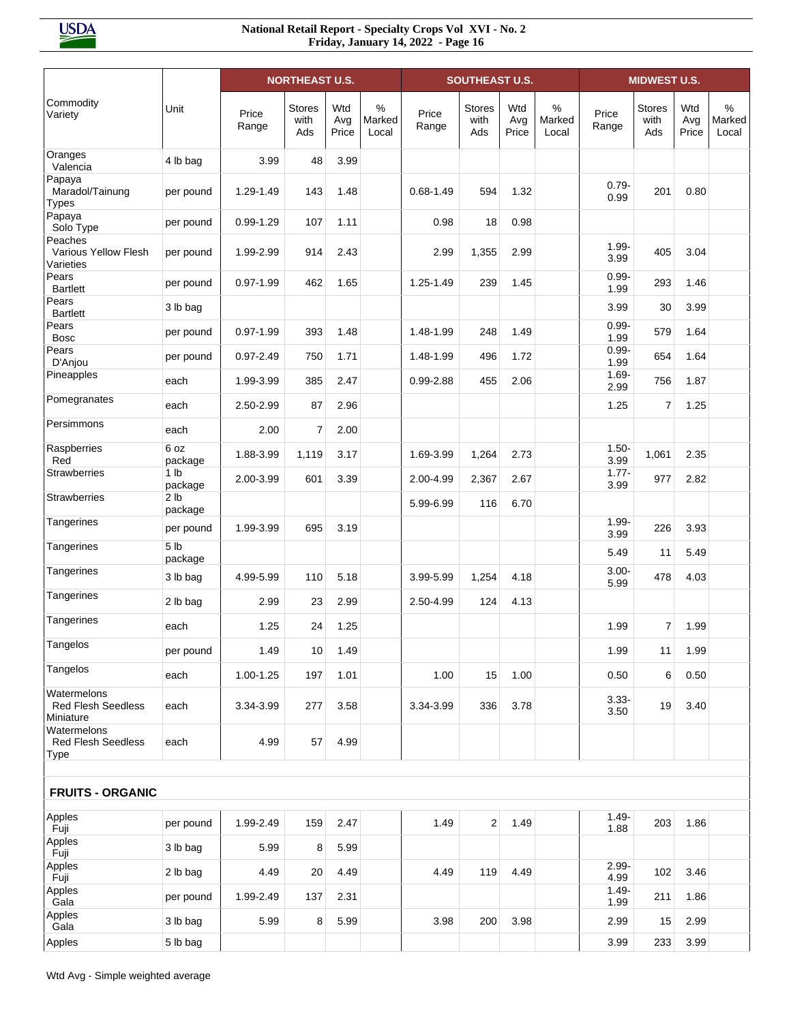|                                                       |                            |                | <b>NORTHEAST U.S.</b>        |                     |                      |                | <b>SOUTHEAST U.S.</b>        |                     |                      |                  | <b>MIDWEST U.S.</b>          |                     |                         |
|-------------------------------------------------------|----------------------------|----------------|------------------------------|---------------------|----------------------|----------------|------------------------------|---------------------|----------------------|------------------|------------------------------|---------------------|-------------------------|
| Commodity<br>Variety                                  | Unit                       | Price<br>Range | <b>Stores</b><br>with<br>Ads | Wtd<br>Avg<br>Price | %<br>Marked<br>Local | Price<br>Range | <b>Stores</b><br>with<br>Ads | Wtd<br>Avg<br>Price | %<br>Marked<br>Local | Price<br>Range   | <b>Stores</b><br>with<br>Ads | Wtd<br>Avg<br>Price | $\%$<br>Marked<br>Local |
| Oranges<br>Valencia                                   | 4 lb bag                   | 3.99           | 48                           | 3.99                |                      |                |                              |                     |                      |                  |                              |                     |                         |
| Papaya<br>Maradol/Tainung<br><b>Types</b>             | per pound                  | 1.29-1.49      | 143                          | 1.48                |                      | $0.68 - 1.49$  | 594                          | 1.32                |                      | $0.79 -$<br>0.99 | 201                          | 0.80                |                         |
| Papaya<br>Solo Type                                   | per pound                  | $0.99 - 1.29$  | 107                          | 1.11                |                      | 0.98           | 18                           | 0.98                |                      |                  |                              |                     |                         |
| Peaches<br>Various Yellow Flesh<br>Varieties          | per pound                  | 1.99-2.99      | 914                          | 2.43                |                      | 2.99           | 1,355                        | 2.99                |                      | $1.99 -$<br>3.99 | 405                          | 3.04                |                         |
| Pears<br><b>Bartlett</b>                              | per pound                  | $0.97 - 1.99$  | 462                          | 1.65                |                      | 1.25-1.49      | 239                          | 1.45                |                      | $0.99 -$<br>1.99 | 293                          | 1.46                |                         |
| Pears<br><b>Bartlett</b>                              | 3 lb bag                   |                |                              |                     |                      |                |                              |                     |                      | 3.99             | 30                           | 3.99                |                         |
| Pears<br><b>Bosc</b>                                  | per pound                  | $0.97 - 1.99$  | 393                          | 1.48                |                      | 1.48-1.99      | 248                          | 1.49                |                      | $0.99 -$<br>1.99 | 579                          | 1.64                |                         |
| Pears<br>D'Anjou                                      | per pound                  | $0.97 - 2.49$  | 750                          | 1.71                |                      | 1.48-1.99      | 496                          | 1.72                |                      | $0.99 -$<br>1.99 | 654                          | 1.64                |                         |
| Pineapples                                            | each                       | 1.99-3.99      | 385                          | 2.47                |                      | 0.99-2.88      | 455                          | 2.06                |                      | $1.69 -$<br>2.99 | 756                          | 1.87                |                         |
| Pomegranates                                          | each                       | 2.50-2.99      | 87                           | 2.96                |                      |                |                              |                     |                      | 1.25             | 7                            | 1.25                |                         |
| Persimmons                                            | each                       | 2.00           | $\overline{7}$               | 2.00                |                      |                |                              |                     |                      |                  |                              |                     |                         |
| Raspberries<br>Red                                    | 6 oz<br>package            | 1.88-3.99      | 1,119                        | 3.17                |                      | 1.69-3.99      | 1,264                        | 2.73                |                      | $1.50 -$<br>3.99 | 1,061                        | 2.35                |                         |
| <b>Strawberries</b>                                   | 1 <sub>lb</sub><br>package | 2.00-3.99      | 601                          | 3.39                |                      | 2.00-4.99      | 2,367                        | 2.67                |                      | $1.77 -$<br>3.99 | 977                          | 2.82                |                         |
| <b>Strawberries</b>                                   | 2 <sub>1b</sub><br>package |                |                              |                     |                      | 5.99-6.99      | 116                          | 6.70                |                      |                  |                              |                     |                         |
| Tangerines                                            | per pound                  | 1.99-3.99      | 695                          | 3.19                |                      |                |                              |                     |                      | $1.99 -$<br>3.99 | 226                          | 3.93                |                         |
| Tangerines                                            | 5 <sub>1b</sub><br>package |                |                              |                     |                      |                |                              |                     |                      | 5.49             | 11                           | 5.49                |                         |
| Tangerines                                            | 3 lb bag                   | 4.99-5.99      | 110                          | 5.18                |                      | 3.99-5.99      | 1,254                        | 4.18                |                      | $3.00 -$<br>5.99 | 478                          | 4.03                |                         |
| Tangerines                                            | 2 lb bag                   | 2.99           | 23                           | 2.99                |                      | 2.50-4.99      | 124                          | 4.13                |                      |                  |                              |                     |                         |
| Tangerines                                            | each                       | 1.25           | 24                           | 1.25                |                      |                |                              |                     |                      | 1.99             | $\overline{7}$               | 1.99                |                         |
| Tangelos                                              | per pound                  | 1.49           | 10                           | 1.49                |                      |                |                              |                     |                      | 1.99             | 11                           | 1.99                |                         |
| Tangelos                                              | each                       | 1.00-1.25      | 197                          | 1.01                |                      | 1.00           | 15                           | 1.00                |                      | 0.50             | 6                            | 0.50                |                         |
| Watermelons<br><b>Red Flesh Seedless</b><br>Miniature | each                       | 3.34-3.99      | 277                          | 3.58                |                      | 3.34-3.99      | 336                          | 3.78                |                      | $3.33 -$<br>3.50 | 19                           | 3.40                |                         |
| Watermelons<br><b>Red Flesh Seedless</b><br>Type      | each                       | 4.99           | 57                           | 4.99                |                      |                |                              |                     |                      |                  |                              |                     |                         |
| <b>FRUITS - ORGANIC</b>                               |                            |                |                              |                     |                      |                |                              |                     |                      |                  |                              |                     |                         |
| Apples<br>Fuji                                        | per pound                  | 1.99-2.49      | 159                          | 2.47                |                      | 1.49           | $\overline{2}$               | 1.49                |                      | $1.49 -$<br>1.88 | 203                          | 1.86                |                         |
| Apples<br>Fuji                                        | 3 lb bag                   | 5.99           | 8                            | 5.99                |                      |                |                              |                     |                      |                  |                              |                     |                         |
| Apples<br>Fuji                                        | 2 lb bag                   | 4.49           | 20                           | 4.49                |                      | 4.49           | 119                          | 4.49                |                      | $2.99 -$<br>4.99 | 102                          | 3.46                |                         |
| Apples<br>Gala                                        | per pound                  | 1.99-2.49      | 137                          | 2.31                |                      |                |                              |                     |                      | $1.49 -$<br>1.99 | 211                          | 1.86                |                         |
| Apples<br>Gala                                        | 3 lb bag                   | 5.99           | 8                            | 5.99                |                      | 3.98           | 200                          | 3.98                |                      | 2.99             | 15                           | 2.99                |                         |
| Apples                                                | 5 lb bag                   |                |                              |                     |                      |                |                              |                     |                      | 3.99             | 233                          | 3.99                |                         |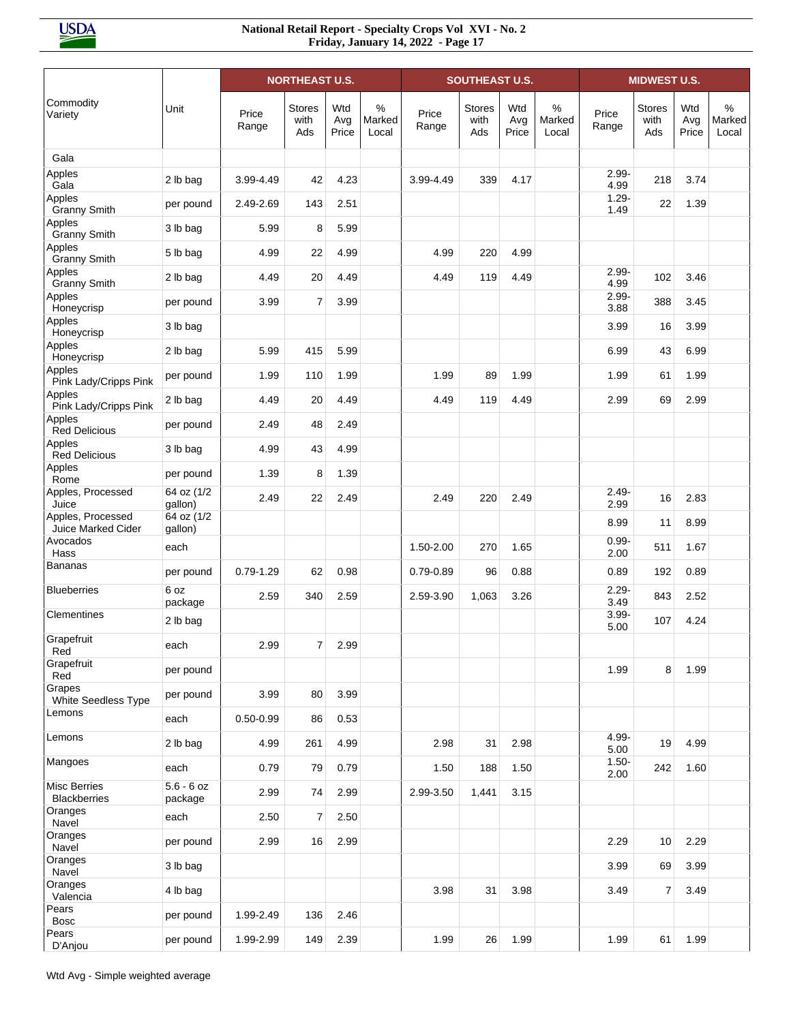|                                         |                         |                | <b>NORTHEAST U.S.</b>        |                     |                         |                | <b>SOUTHEAST U.S.</b>        |                     |                      |                  | <b>MIDWEST U.S.</b>          |                     |                                  |
|-----------------------------------------|-------------------------|----------------|------------------------------|---------------------|-------------------------|----------------|------------------------------|---------------------|----------------------|------------------|------------------------------|---------------------|----------------------------------|
| Commodity<br>Variety                    | Unit                    | Price<br>Range | <b>Stores</b><br>with<br>Ads | Wtd<br>Avg<br>Price | $\%$<br>Marked<br>Local | Price<br>Range | <b>Stores</b><br>with<br>Ads | Wtd<br>Avg<br>Price | %<br>Marked<br>Local | Price<br>Range   | <b>Stores</b><br>with<br>Ads | Wtd<br>Avg<br>Price | $\frac{0}{0}$<br>Marked<br>Local |
| Gala                                    |                         |                |                              |                     |                         |                |                              |                     |                      |                  |                              |                     |                                  |
| Apples<br>Gala                          | 2 lb bag                | 3.99-4.49      | 42                           | 4.23                |                         | 3.99-4.49      | 339                          | 4.17                |                      | $2.99 -$<br>4.99 | 218                          | 3.74                |                                  |
| Apples<br><b>Granny Smith</b>           | per pound               | 2.49-2.69      | 143                          | 2.51                |                         |                |                              |                     |                      | $1.29 -$<br>1.49 | 22                           | 1.39                |                                  |
| Apples<br><b>Granny Smith</b>           | 3 lb bag                | 5.99           | 8                            | 5.99                |                         |                |                              |                     |                      |                  |                              |                     |                                  |
| Apples<br><b>Granny Smith</b>           | 5 lb bag                | 4.99           | 22                           | 4.99                |                         | 4.99           | 220                          | 4.99                |                      |                  |                              |                     |                                  |
| Apples<br><b>Granny Smith</b>           | 2 lb bag                | 4.49           | 20                           | 4.49                |                         | 4.49           | 119                          | 4.49                |                      | $2.99 -$<br>4.99 | 102                          | 3.46                |                                  |
| Apples<br>Honeycrisp                    | per pound               | 3.99           | $\overline{7}$               | 3.99                |                         |                |                              |                     |                      | $2.99 -$<br>3.88 | 388                          | 3.45                |                                  |
| Apples<br>Honeycrisp                    | 3 lb bag                |                |                              |                     |                         |                |                              |                     |                      | 3.99             | 16                           | 3.99                |                                  |
| Apples<br>Honeycrisp                    | 2 lb bag                | 5.99           | 415                          | 5.99                |                         |                |                              |                     |                      | 6.99             | 43                           | 6.99                |                                  |
| Apples<br>Pink Lady/Cripps Pink         | per pound               | 1.99           | 110                          | 1.99                |                         | 1.99           | 89                           | 1.99                |                      | 1.99             | 61                           | 1.99                |                                  |
| Apples<br>Pink Lady/Cripps Pink         | 2 lb bag                | 4.49           | 20                           | 4.49                |                         | 4.49           | 119                          | 4.49                |                      | 2.99             | 69                           | 2.99                |                                  |
| Apples<br><b>Red Delicious</b>          | per pound               | 2.49           | 48                           | 2.49                |                         |                |                              |                     |                      |                  |                              |                     |                                  |
| Apples<br><b>Red Delicious</b>          | 3 lb bag                | 4.99           | 43                           | 4.99                |                         |                |                              |                     |                      |                  |                              |                     |                                  |
| Apples<br>Rome                          | per pound               | 1.39           | 8                            | 1.39                |                         |                |                              |                     |                      |                  |                              |                     |                                  |
| Apples, Processed<br>Juice              | 64 oz (1/2<br>gallon)   | 2.49           | 22                           | 2.49                |                         | 2.49           | 220                          | 2.49                |                      | $2.49 -$<br>2.99 | 16                           | 2.83                |                                  |
| Apples, Processed<br>Juice Marked Cider | 64 oz (1/2<br>gallon)   |                |                              |                     |                         |                |                              |                     |                      | 8.99             | 11                           | 8.99                |                                  |
| Avocados<br>Hass                        | each                    |                |                              |                     |                         | 1.50-2.00      | 270                          | 1.65                |                      | $0.99 -$<br>2.00 | 511                          | 1.67                |                                  |
| <b>Bananas</b>                          | per pound               | $0.79 - 1.29$  | 62                           | 0.98                |                         | $0.79 - 0.89$  | 96                           | 0.88                |                      | 0.89             | 192                          | 0.89                |                                  |
| <b>Blueberries</b>                      | 6 oz<br>package         | 2.59           | 340                          | 2.59                |                         | 2.59-3.90      | 1,063                        | 3.26                |                      | $2.29 -$<br>3.49 | 843                          | 2.52                |                                  |
| Clementines                             | 2 lb bag                |                |                              |                     |                         |                |                              |                     |                      | $3.99 -$<br>5.00 | 107                          | 4.24                |                                  |
| Grapefruit<br>Red                       | each                    | 2.99           | 7                            | 2.99                |                         |                |                              |                     |                      |                  |                              |                     |                                  |
| Grapefruit<br>Red                       | per pound               |                |                              |                     |                         |                |                              |                     |                      | 1.99             | 8                            | 1.99                |                                  |
| Grapes<br>White Seedless Type           | per pound               | 3.99           | 80                           | 3.99                |                         |                |                              |                     |                      |                  |                              |                     |                                  |
| Lemons                                  | each                    | $0.50 - 0.99$  | 86                           | 0.53                |                         |                |                              |                     |                      |                  |                              |                     |                                  |
| Lemons                                  | 2 lb bag                | 4.99           | 261                          | 4.99                |                         | 2.98           | 31                           | 2.98                |                      | 4.99-<br>5.00    | 19                           | 4.99                |                                  |
| Mangoes                                 | each                    | 0.79           | 79                           | 0.79                |                         | 1.50           | 188                          | 1.50                |                      | $1.50 -$<br>2.00 | 242                          | 1.60                |                                  |
| Misc Berries<br><b>Blackberries</b>     | $5.6 - 6$ oz<br>package | 2.99           | 74                           | 2.99                |                         | 2.99-3.50      | 1,441                        | 3.15                |                      |                  |                              |                     |                                  |
| Oranges<br>Navel                        | each                    | 2.50           | $\overline{7}$               | 2.50                |                         |                |                              |                     |                      |                  |                              |                     |                                  |
| Oranges<br>Navel                        | per pound               | 2.99           | 16                           | 2.99                |                         |                |                              |                     |                      | 2.29             | 10                           | 2.29                |                                  |
| Oranges<br>Navel                        | 3 lb bag                |                |                              |                     |                         |                |                              |                     |                      | 3.99             | 69                           | 3.99                |                                  |
| Oranges<br>Valencia                     | 4 lb bag                |                |                              |                     |                         | 3.98           | 31                           | 3.98                |                      | 3.49             | $\overline{7}$               | 3.49                |                                  |
| Pears<br><b>Bosc</b>                    | per pound               | 1.99-2.49      | 136                          | 2.46                |                         |                |                              |                     |                      |                  |                              |                     |                                  |
| Pears<br>D'Anjou                        | per pound               | 1.99-2.99      | 149                          | 2.39                |                         | 1.99           | 26                           | 1.99                |                      | 1.99             | 61                           | 1.99                |                                  |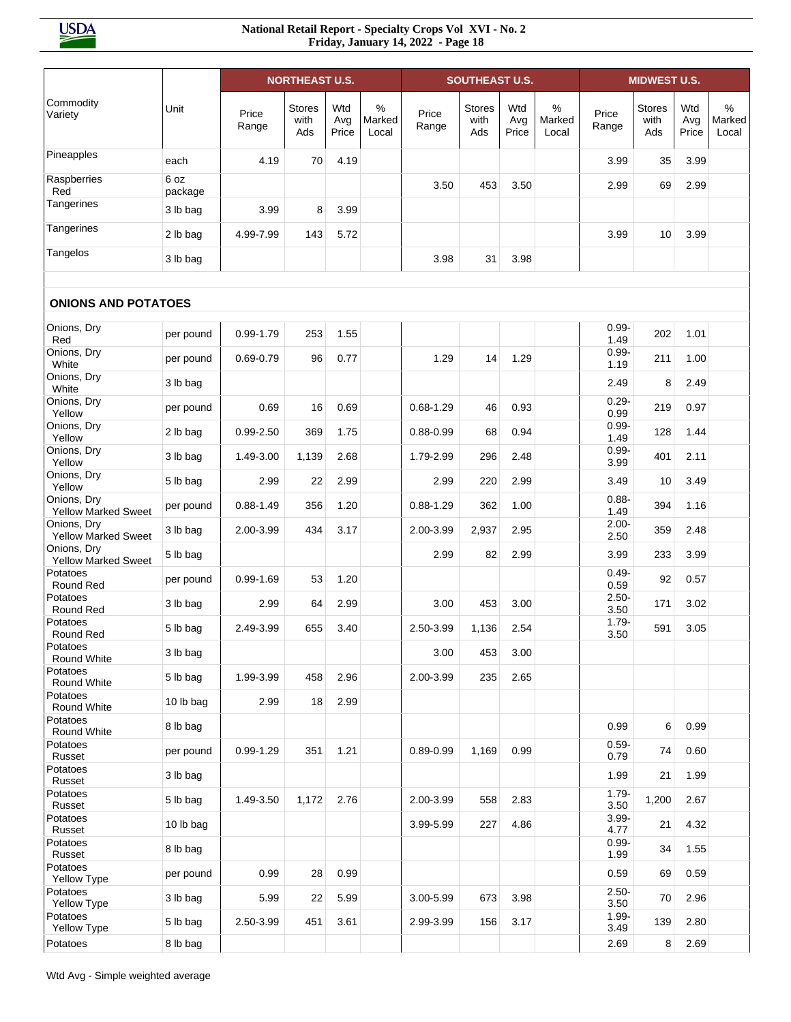|                                           |                 |                | <b>NORTHEAST U.S.</b>        |                     |                      |                | <b>SOUTHEAST U.S.</b>        |                     |                      |                  | <b>MIDWEST U.S.</b>          |                     |                      |
|-------------------------------------------|-----------------|----------------|------------------------------|---------------------|----------------------|----------------|------------------------------|---------------------|----------------------|------------------|------------------------------|---------------------|----------------------|
| Commodity<br>Variety                      | Unit            | Price<br>Range | <b>Stores</b><br>with<br>Ads | Wtd<br>Avg<br>Price | %<br>Marked<br>Local | Price<br>Range | <b>Stores</b><br>with<br>Ads | Wtd<br>Avg<br>Price | %<br>Marked<br>Local | Price<br>Range   | <b>Stores</b><br>with<br>Ads | Wtd<br>Avg<br>Price | %<br>Marked<br>Local |
| Pineapples                                | each            | 4.19           | 70                           | 4.19                |                      |                |                              |                     |                      | 3.99             | 35                           | 3.99                |                      |
| Raspberries<br>Red                        | 6 oz<br>package |                |                              |                     |                      | 3.50           | 453                          | 3.50                |                      | 2.99             | 69                           | 2.99                |                      |
| Tangerines                                | 3 lb bag        | 3.99           | 8                            | 3.99                |                      |                |                              |                     |                      |                  |                              |                     |                      |
| Tangerines                                | 2 lb bag        | 4.99-7.99      | 143                          | 5.72                |                      |                |                              |                     |                      | 3.99             | 10                           | 3.99                |                      |
| Tangelos                                  | 3 lb bag        |                |                              |                     |                      | 3.98           | 31                           | 3.98                |                      |                  |                              |                     |                      |
|                                           |                 |                |                              |                     |                      |                |                              |                     |                      |                  |                              |                     |                      |
| <b>ONIONS AND POTATOES</b>                |                 |                |                              |                     |                      |                |                              |                     |                      |                  |                              |                     |                      |
| Onions, Dry<br>Red                        | per pound       | 0.99-1.79      | 253                          | 1.55                |                      |                |                              |                     |                      | $0.99 -$<br>1.49 | 202                          | 1.01                |                      |
| Onions, Dry<br>White                      | per pound       | $0.69 - 0.79$  | 96                           | 0.77                |                      | 1.29           | 14                           | 1.29                |                      | $0.99 -$<br>1.19 | 211                          | 1.00                |                      |
| Onions, Dry<br>White                      | 3 lb bag        |                |                              |                     |                      |                |                              |                     |                      | 2.49             | 8                            | 2.49                |                      |
| Onions, Dry<br>Yellow                     | per pound       | 0.69           | 16                           | 0.69                |                      | 0.68-1.29      | 46                           | 0.93                |                      | $0.29 -$<br>0.99 | 219                          | 0.97                |                      |
| Onions, Dry<br>Yellow                     | 2 lb bag        | $0.99 - 2.50$  | 369                          | 1.75                |                      | $0.88 - 0.99$  | 68                           | 0.94                |                      | $0.99 -$<br>1.49 | 128                          | 1.44                |                      |
| Onions, Dry<br>Yellow                     | 3 lb bag        | 1.49-3.00      | 1,139                        | 2.68                |                      | 1.79-2.99      | 296                          | 2.48                |                      | $0.99 -$<br>3.99 | 401                          | 2.11                |                      |
| Onions, Dry<br>Yellow                     | 5 lb bag        | 2.99           | 22                           | 2.99                |                      | 2.99           | 220                          | 2.99                |                      | 3.49             | 10                           | 3.49                |                      |
| Onions, Dry<br><b>Yellow Marked Sweet</b> | per pound       | $0.88 - 1.49$  | 356                          | 1.20                |                      | $0.88 - 1.29$  | 362                          | 1.00                |                      | $0.88 -$<br>1.49 | 394                          | 1.16                |                      |
| Onions, Dry<br><b>Yellow Marked Sweet</b> | 3 lb bag        | 2.00-3.99      | 434                          | 3.17                |                      | 2.00-3.99      | 2,937                        | 2.95                |                      | $2.00 -$<br>2.50 | 359                          | 2.48                |                      |
| Onions, Dry<br><b>Yellow Marked Sweet</b> | 5 lb bag        |                |                              |                     |                      | 2.99           | 82                           | 2.99                |                      | 3.99             | 233                          | 3.99                |                      |
| Potatoes<br>Round Red                     | per pound       | $0.99 - 1.69$  | 53                           | 1.20                |                      |                |                              |                     |                      | $0.49 -$<br>0.59 | 92                           | 0.57                |                      |
| Potatoes<br>Round Red                     | 3 lb bag        | 2.99           | 64                           | 2.99                |                      | 3.00           | 453                          | 3.00                |                      | $2.50 -$<br>3.50 | 171                          | 3.02                |                      |
| Potatoes<br>Round Red                     | 5 lb bag        | 2.49-3.99      | 655                          | 3.40                |                      | 2.50-3.99      | 1,136                        | 2.54                |                      | $1.79 -$<br>3.50 | 591                          | 3.05                |                      |
| Potatoes<br>Round White                   | 3 lb bag        |                |                              |                     |                      | 3.00           | 453                          | 3.00                |                      |                  |                              |                     |                      |
| Potatoes<br>Round White                   | 5 lb bag        | 1.99-3.99      | 458                          | 2.96                |                      | 2.00-3.99      | 235                          | 2.65                |                      |                  |                              |                     |                      |
| Potatoes<br>Round White                   | 10 lb bag       | 2.99           | 18                           | 2.99                |                      |                |                              |                     |                      |                  |                              |                     |                      |
| Potatoes<br>Round White                   | 8 lb bag        |                |                              |                     |                      |                |                              |                     |                      | 0.99             | 6                            | 0.99                |                      |
| Potatoes<br>Russet                        | per pound       | $0.99 - 1.29$  | 351                          | 1.21                |                      | $0.89 - 0.99$  | 1,169                        | 0.99                |                      | $0.59 -$<br>0.79 | 74                           | 0.60                |                      |
| Potatoes<br>Russet                        | 3 lb bag        |                |                              |                     |                      |                |                              |                     |                      | 1.99             | 21                           | 1.99                |                      |
| Potatoes<br>Russet                        | 5 lb bag        | 1.49-3.50      | 1,172                        | 2.76                |                      | 2.00-3.99      | 558                          | 2.83                |                      | $1.79 -$<br>3.50 | 1,200                        | 2.67                |                      |
| Potatoes<br>Russet                        | 10 lb bag       |                |                              |                     |                      | 3.99-5.99      | 227                          | 4.86                |                      | $3.99 -$<br>4.77 | 21                           | 4.32                |                      |
| Potatoes<br>Russet                        | 8 lb bag        |                |                              |                     |                      |                |                              |                     |                      | $0.99 -$<br>1.99 | 34                           | 1.55                |                      |
| Potatoes<br>Yellow Type                   | per pound       | 0.99           | 28                           | 0.99                |                      |                |                              |                     |                      | 0.59             | 69                           | 0.59                |                      |
| Potatoes<br>Yellow Type                   | 3 lb bag        | 5.99           | 22                           | 5.99                |                      | 3.00-5.99      | 673                          | 3.98                |                      | $2.50 -$<br>3.50 | 70                           | 2.96                |                      |
| Potatoes<br>Yellow Type                   | 5 lb bag        | 2.50-3.99      | 451                          | 3.61                |                      | 2.99-3.99      | 156                          | 3.17                |                      | $1.99 -$<br>3.49 | 139                          | 2.80                |                      |
| Potatoes                                  | 8 lb bag        |                |                              |                     |                      |                |                              |                     |                      | 2.69             | 8                            | 2.69                |                      |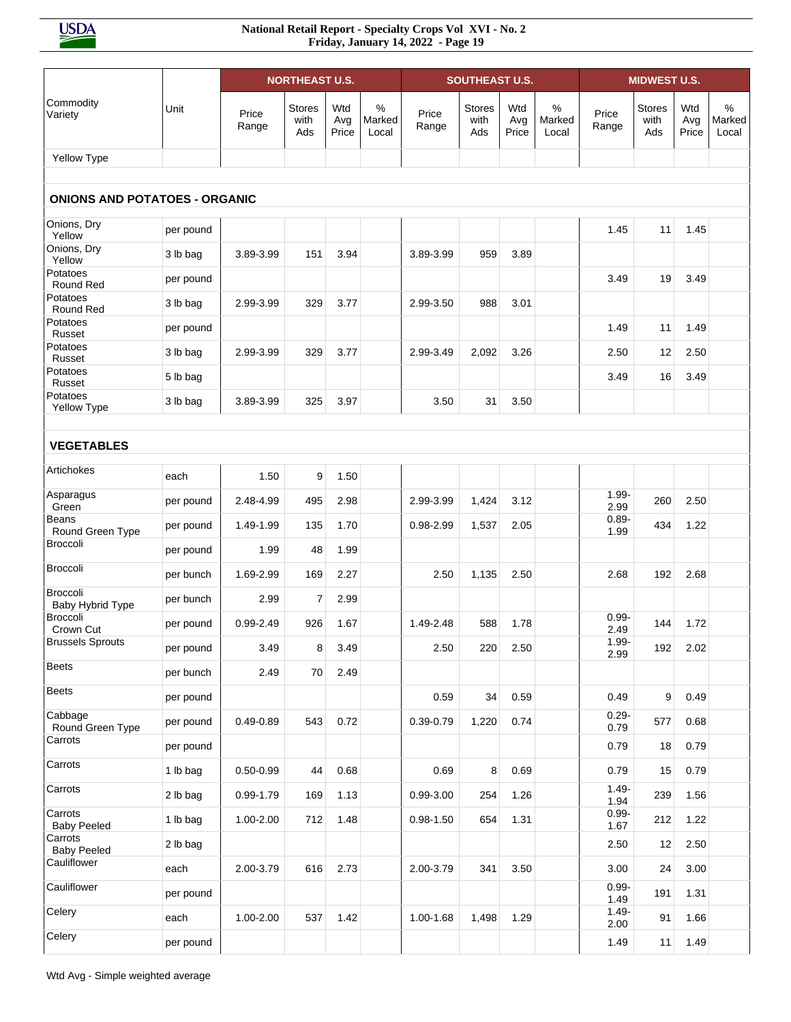|                                      |           |                | <b>NORTHEAST U.S.</b>        |                     |                      |                | <b>SOUTHEAST U.S.</b>        |                     |                      |                  | <b>MIDWEST U.S.</b>          |                     |                                  |
|--------------------------------------|-----------|----------------|------------------------------|---------------------|----------------------|----------------|------------------------------|---------------------|----------------------|------------------|------------------------------|---------------------|----------------------------------|
| Commodity<br>Variety                 | Unit      | Price<br>Range | <b>Stores</b><br>with<br>Ads | Wtd<br>Avg<br>Price | %<br>Marked<br>Local | Price<br>Range | <b>Stores</b><br>with<br>Ads | Wtd<br>Avg<br>Price | %<br>Marked<br>Local | Price<br>Range   | <b>Stores</b><br>with<br>Ads | Wtd<br>Avg<br>Price | $\frac{0}{0}$<br>Marked<br>Local |
| Yellow Type                          |           |                |                              |                     |                      |                |                              |                     |                      |                  |                              |                     |                                  |
| <b>ONIONS AND POTATOES - ORGANIC</b> |           |                |                              |                     |                      |                |                              |                     |                      |                  |                              |                     |                                  |
| Onions, Dry<br>Yellow                | per pound |                |                              |                     |                      |                |                              |                     |                      | 1.45             | 11                           | 1.45                |                                  |
| Onions, Dry<br>Yellow                | 3 lb bag  | 3.89-3.99      | 151                          | 3.94                |                      | 3.89-3.99      | 959                          | 3.89                |                      |                  |                              |                     |                                  |
| Potatoes<br>Round Red                | per pound |                |                              |                     |                      |                |                              |                     |                      | 3.49             | 19                           | 3.49                |                                  |
| Potatoes<br>Round Red                | 3 lb bag  | 2.99-3.99      | 329                          | 3.77                |                      | 2.99-3.50      | 988                          | 3.01                |                      |                  |                              |                     |                                  |
| Potatoes<br>Russet                   | per pound |                |                              |                     |                      |                |                              |                     |                      | 1.49             | 11                           | 1.49                |                                  |
| Potatoes<br>Russet                   | 3 lb bag  | 2.99-3.99      | 329                          | 3.77                |                      | 2.99-3.49      | 2,092                        | 3.26                |                      | 2.50             | 12                           | 2.50                |                                  |
| Potatoes<br>Russet                   | 5 lb bag  |                |                              |                     |                      |                |                              |                     |                      | 3.49             | 16                           | 3.49                |                                  |
| Potatoes<br>Yellow Type              | 3 lb bag  | 3.89-3.99      | 325                          | 3.97                |                      | 3.50           | 31                           | 3.50                |                      |                  |                              |                     |                                  |
|                                      |           |                |                              |                     |                      |                |                              |                     |                      |                  |                              |                     |                                  |
| <b>VEGETABLES</b>                    |           |                |                              |                     |                      |                |                              |                     |                      |                  |                              |                     |                                  |
| Artichokes                           | each      | 1.50           | 9                            | 1.50                |                      |                |                              |                     |                      |                  |                              |                     |                                  |
| Asparagus<br>Green                   | per pound | 2.48-4.99      | 495                          | 2.98                |                      | 2.99-3.99      | 1,424                        | 3.12                |                      | $1.99 -$<br>2.99 | 260                          | 2.50                |                                  |
| Beans<br>Round Green Type            | per pound | 1.49-1.99      | 135                          | 1.70                |                      | 0.98-2.99      | 1,537                        | 2.05                |                      | $0.89 -$<br>1.99 | 434                          | 1.22                |                                  |
| Broccoli                             | per pound | 1.99           | 48                           | 1.99                |                      |                |                              |                     |                      |                  |                              |                     |                                  |
| Broccoli                             | per bunch | 1.69-2.99      | 169                          | 2.27                |                      | 2.50           | 1,135                        | 2.50                |                      | 2.68             | 192                          | 2.68                |                                  |
| Broccoli<br>Baby Hybrid Type         | per bunch | 2.99           | 7                            | 2.99                |                      |                |                              |                     |                      |                  |                              |                     |                                  |
| <b>Broccoli</b><br>Crown Cut         | per pound | 0.99-2.49      | 926                          | 1.67                |                      | 1.49-2.48      | 588                          | 1.78                |                      | $0.99 -$<br>2.49 | 144                          | 1.72                |                                  |
| <b>Brussels Sprouts</b>              | per pound | 3.49           | 8                            | 3.49                |                      | 2.50           | 220                          | 2.50                |                      | $1.99 -$<br>2.99 | 192                          | 2.02                |                                  |
| <b>Beets</b>                         | per bunch | 2.49           | $70\,$                       | 2.49                |                      |                |                              |                     |                      |                  |                              |                     |                                  |
| <b>Beets</b>                         | per pound |                |                              |                     |                      | 0.59           | 34                           | 0.59                |                      | 0.49             | 9                            | 0.49                |                                  |
| Cabbage<br>Round Green Type          | per pound | $0.49 - 0.89$  | 543                          | 0.72                |                      | $0.39 - 0.79$  | 1,220                        | 0.74                |                      | $0.29 -$<br>0.79 | 577                          | 0.68                |                                  |
| Carrots                              | per pound |                |                              |                     |                      |                |                              |                     |                      | 0.79             | 18                           | 0.79                |                                  |
| Carrots                              | 1 lb bag  | $0.50 - 0.99$  | 44                           | 0.68                |                      | 0.69           | 8                            | 0.69                |                      | 0.79             | 15                           | 0.79                |                                  |
| Carrots                              | 2 lb bag  | 0.99-1.79      | 169                          | 1.13                |                      | $0.99 - 3.00$  | 254                          | 1.26                |                      | $1.49 -$<br>1.94 | 239                          | 1.56                |                                  |
| Carrots<br><b>Baby Peeled</b>        | 1 lb bag  | 1.00-2.00      | 712                          | 1.48                |                      | $0.98 - 1.50$  | 654                          | 1.31                |                      | $0.99 -$<br>1.67 | 212                          | 1.22                |                                  |
| Carrots<br><b>Baby Peeled</b>        | 2 lb bag  |                |                              |                     |                      |                |                              |                     |                      | 2.50             | 12                           | 2.50                |                                  |
| Cauliflower                          | each      | 2.00-3.79      | 616                          | 2.73                |                      | 2.00-3.79      | 341                          | 3.50                |                      | 3.00             | 24                           | 3.00                |                                  |
| Cauliflower                          | per pound |                |                              |                     |                      |                |                              |                     |                      | $0.99 -$<br>1.49 | 191                          | 1.31                |                                  |
| Celery                               | each      | 1.00-2.00      | 537                          | 1.42                |                      | 1.00-1.68      | 1,498                        | 1.29                |                      | $1.49 -$<br>2.00 | 91                           | 1.66                |                                  |
| Celery                               | per pound |                |                              |                     |                      |                |                              |                     |                      | 1.49             | 11                           | 1.49                |                                  |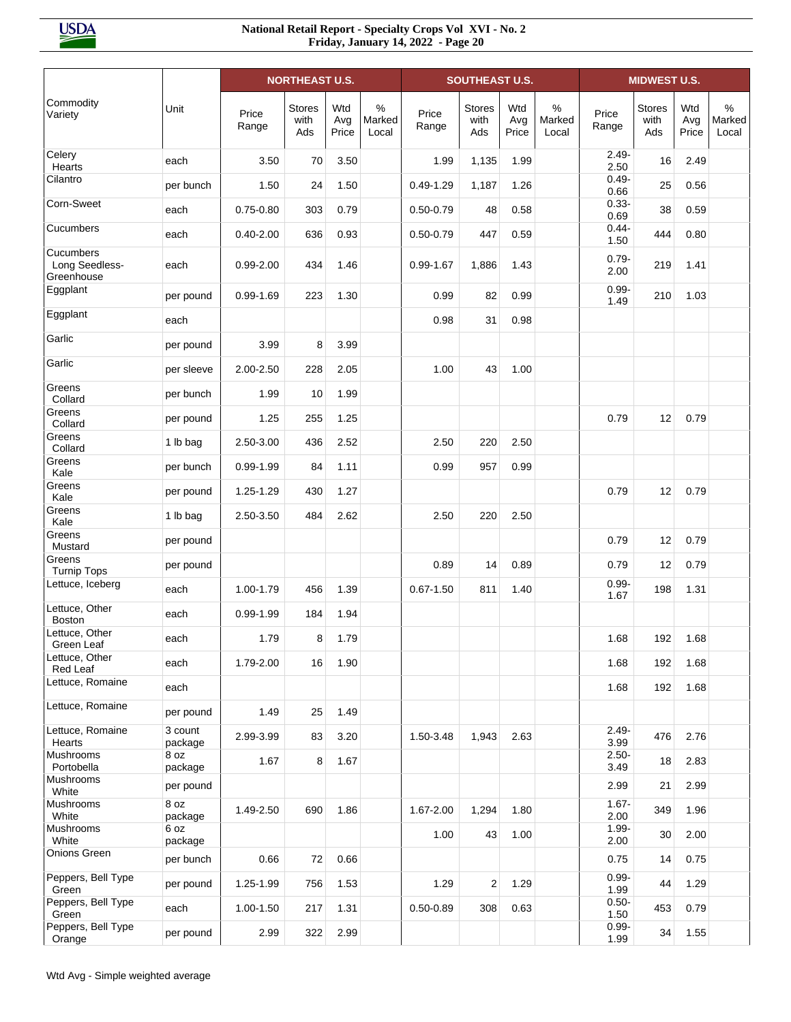|                                           |                    |                | <b>NORTHEAST U.S.</b> |                     |                      |                | <b>SOUTHEAST U.S.</b>        |                     |                      |                  | <b>MIDWEST U.S.</b>          |                     |                         |
|-------------------------------------------|--------------------|----------------|-----------------------|---------------------|----------------------|----------------|------------------------------|---------------------|----------------------|------------------|------------------------------|---------------------|-------------------------|
| Commodity<br>Variety                      | Unit               | Price<br>Range | Stores<br>with<br>Ads | Wtd<br>Avg<br>Price | %<br>Marked<br>Local | Price<br>Range | <b>Stores</b><br>with<br>Ads | Wtd<br>Avg<br>Price | %<br>Marked<br>Local | Price<br>Range   | <b>Stores</b><br>with<br>Ads | Wtd<br>Avg<br>Price | $\%$<br>Marked<br>Local |
| Celery<br>Hearts                          | each               | 3.50           | 70                    | 3.50                |                      | 1.99           | 1,135                        | 1.99                |                      | $2.49 -$<br>2.50 | 16                           | 2.49                |                         |
| Cilantro                                  | per bunch          | 1.50           | 24                    | 1.50                |                      | $0.49 - 1.29$  | 1,187                        | 1.26                |                      | $0.49 -$<br>0.66 | 25                           | 0.56                |                         |
| Corn-Sweet                                | each               | $0.75 - 0.80$  | 303                   | 0.79                |                      | $0.50 - 0.79$  | 48                           | 0.58                |                      | $0.33 -$<br>0.69 | 38                           | 0.59                |                         |
| Cucumbers                                 | each               | $0.40 - 2.00$  | 636                   | 0.93                |                      | $0.50 - 0.79$  | 447                          | 0.59                |                      | $0.44 -$<br>1.50 | 444                          | 0.80                |                         |
| Cucumbers<br>Long Seedless-<br>Greenhouse | each               | $0.99 - 2.00$  | 434                   | 1.46                |                      | $0.99 - 1.67$  | 1,886                        | 1.43                |                      | $0.79 -$<br>2.00 | 219                          | 1.41                |                         |
| Eggplant                                  | per pound          | $0.99 - 1.69$  | 223                   | 1.30                |                      | 0.99           | 82                           | 0.99                |                      | $0.99 -$<br>1.49 | 210                          | 1.03                |                         |
| Eggplant                                  | each               |                |                       |                     |                      | 0.98           | 31                           | 0.98                |                      |                  |                              |                     |                         |
| Garlic                                    | per pound          | 3.99           | 8                     | 3.99                |                      |                |                              |                     |                      |                  |                              |                     |                         |
| Garlic                                    | per sleeve         | 2.00-2.50      | 228                   | 2.05                |                      | 1.00           | 43                           | 1.00                |                      |                  |                              |                     |                         |
| Greens<br>Collard                         | per bunch          | 1.99           | 10                    | 1.99                |                      |                |                              |                     |                      |                  |                              |                     |                         |
| Greens<br>Collard                         | per pound          | 1.25           | 255                   | 1.25                |                      |                |                              |                     |                      | 0.79             | 12                           | 0.79                |                         |
| Greens<br>Collard                         | 1 lb bag           | 2.50-3.00      | 436                   | 2.52                |                      | 2.50           | 220                          | 2.50                |                      |                  |                              |                     |                         |
| Greens<br>Kale                            | per bunch          | $0.99 - 1.99$  | 84                    | 1.11                |                      | 0.99           | 957                          | 0.99                |                      |                  |                              |                     |                         |
| Greens<br>Kale                            | per pound          | 1.25-1.29      | 430                   | 1.27                |                      |                |                              |                     |                      | 0.79             | 12                           | 0.79                |                         |
| Greens<br>Kale                            | 1 lb bag           | 2.50-3.50      | 484                   | 2.62                |                      | 2.50           | 220                          | 2.50                |                      |                  |                              |                     |                         |
| Greens<br>Mustard                         | per pound          |                |                       |                     |                      |                |                              |                     |                      | 0.79             | 12                           | 0.79                |                         |
| Greens<br><b>Turnip Tops</b>              | per pound          |                |                       |                     |                      | 0.89           | 14                           | 0.89                |                      | 0.79             | 12                           | 0.79                |                         |
| Lettuce, Iceberg                          | each               | 1.00-1.79      | 456                   | 1.39                |                      | $0.67 - 1.50$  | 811                          | 1.40                |                      | $0.99 -$<br>1.67 | 198                          | 1.31                |                         |
| Lettuce, Other<br><b>Boston</b>           | each               | $0.99 - 1.99$  | 184                   | 1.94                |                      |                |                              |                     |                      |                  |                              |                     |                         |
| Lettuce, Other<br>Green Leaf              | each               | 1.79           | 8                     | 1.79                |                      |                |                              |                     |                      | 1.68             | 192                          | 1.68                |                         |
| Lettuce, Other<br>Red Leaf                | each               | 1.79-2.00      | 16                    | 1.90                |                      |                |                              |                     |                      | 1.68             | 192                          | 1.68                |                         |
| Lettuce, Romaine                          | each               |                |                       |                     |                      |                |                              |                     |                      | 1.68             | 192                          | 1.68                |                         |
| Lettuce, Romaine                          | per pound          | 1.49           | 25                    | 1.49                |                      |                |                              |                     |                      |                  |                              |                     |                         |
| Lettuce, Romaine<br>Hearts                | 3 count<br>package | 2.99-3.99      | 83                    | 3.20                |                      | 1.50-3.48      | 1,943                        | 2.63                |                      | $2.49 -$<br>3.99 | 476                          | 2.76                |                         |
| Mushrooms<br>Portobella                   | 8 oz<br>package    | 1.67           | 8                     | 1.67                |                      |                |                              |                     |                      | $2.50 -$<br>3.49 | 18                           | 2.83                |                         |
| Mushrooms<br>White                        | per pound          |                |                       |                     |                      |                |                              |                     |                      | 2.99             | 21                           | 2.99                |                         |
| Mushrooms<br>White                        | 8 oz<br>package    | 1.49-2.50      | 690                   | 1.86                |                      | 1.67-2.00      | 1,294                        | 1.80                |                      | $1.67 -$<br>2.00 | 349                          | 1.96                |                         |
| Mushrooms<br>White                        | 6 oz<br>package    |                |                       |                     |                      | 1.00           | 43                           | 1.00                |                      | $1.99 -$<br>2.00 | 30                           | 2.00                |                         |
| Onions Green                              | per bunch          | 0.66           | 72                    | 0.66                |                      |                |                              |                     |                      | 0.75             | 14                           | 0.75                |                         |
| Peppers, Bell Type<br>Green               | per pound          | 1.25-1.99      | 756                   | 1.53                |                      | 1.29           | 2                            | 1.29                |                      | $0.99 -$<br>1.99 | 44                           | 1.29                |                         |
| Peppers, Bell Type<br>Green               | each               | 1.00-1.50      | 217                   | 1.31                |                      | $0.50 - 0.89$  | 308                          | 0.63                |                      | $0.50 -$<br>1.50 | 453                          | 0.79                |                         |
| Peppers, Bell Type<br>Orange              | per pound          | 2.99           | 322                   | 2.99                |                      |                |                              |                     |                      | $0.99 -$<br>1.99 | 34                           | 1.55                |                         |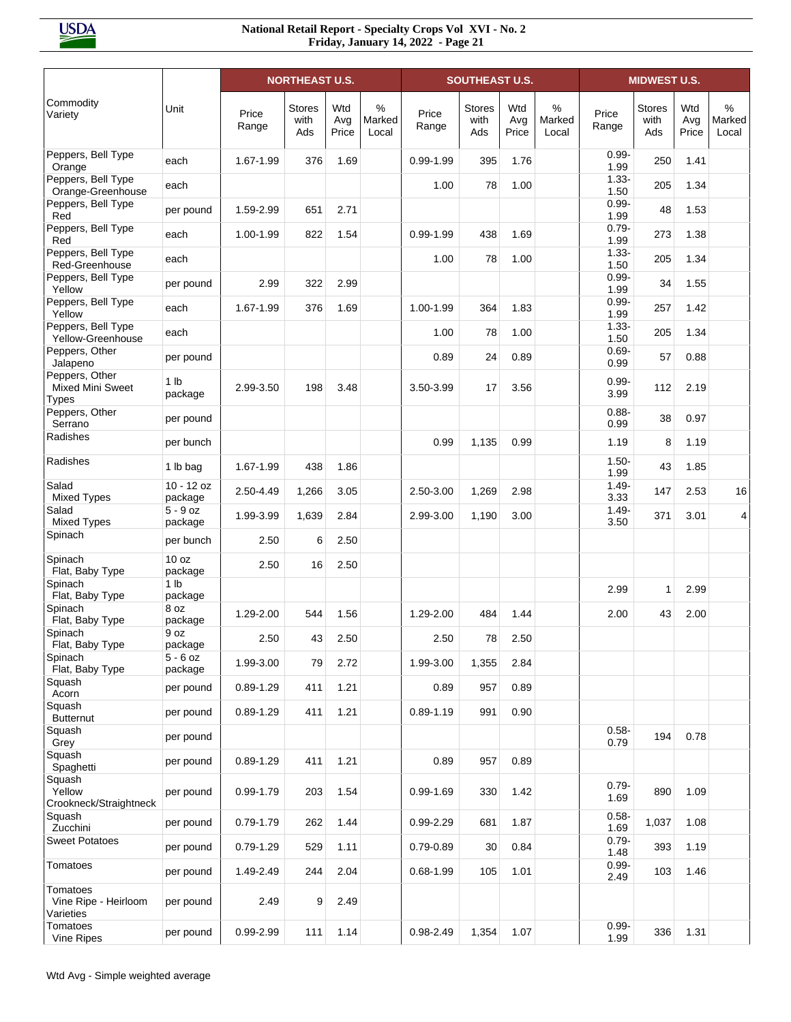|                                                           |                             |                | <b>NORTHEAST U.S.</b>        |                     |                      |                | <b>SOUTHEAST U.S.</b>        |                     |                      |                  | <b>MIDWEST U.S.</b>   |                     |                                  |
|-----------------------------------------------------------|-----------------------------|----------------|------------------------------|---------------------|----------------------|----------------|------------------------------|---------------------|----------------------|------------------|-----------------------|---------------------|----------------------------------|
| Commodity<br>Variety                                      | Unit                        | Price<br>Range | <b>Stores</b><br>with<br>Ads | Wtd<br>Avg<br>Price | %<br>Marked<br>Local | Price<br>Range | <b>Stores</b><br>with<br>Ads | Wtd<br>Avg<br>Price | %<br>Marked<br>Local | Price<br>Range   | Stores<br>with<br>Ads | Wtd<br>Avg<br>Price | $\frac{0}{0}$<br>Marked<br>Local |
| Peppers, Bell Type<br>Orange                              | each                        | 1.67-1.99      | 376                          | 1.69                |                      | $0.99 - 1.99$  | 395                          | 1.76                |                      | $0.99 -$<br>1.99 | 250                   | 1.41                |                                  |
| Peppers, Bell Type<br>Orange-Greenhouse                   | each                        |                |                              |                     |                      | 1.00           | 78                           | 1.00                |                      | $1.33 -$<br>1.50 | 205                   | 1.34                |                                  |
| Peppers, Bell Type<br>Red                                 | per pound                   | 1.59-2.99      | 651                          | 2.71                |                      |                |                              |                     |                      | $0.99 -$<br>1.99 | 48                    | 1.53                |                                  |
| Peppers, Bell Type<br>Red                                 | each                        | 1.00-1.99      | 822                          | 1.54                |                      | $0.99 - 1.99$  | 438                          | 1.69                |                      | $0.79 -$<br>1.99 | 273                   | 1.38                |                                  |
| Peppers, Bell Type<br>Red-Greenhouse                      | each                        |                |                              |                     |                      | 1.00           | 78                           | 1.00                |                      | $1.33 -$<br>1.50 | 205                   | 1.34                |                                  |
| Peppers, Bell Type<br>Yellow                              | per pound                   | 2.99           | 322                          | 2.99                |                      |                |                              |                     |                      | $0.99 -$<br>1.99 | 34                    | 1.55                |                                  |
| Peppers, Bell Type<br>Yellow                              | each                        | 1.67-1.99      | 376                          | 1.69                |                      | 1.00-1.99      | 364                          | 1.83                |                      | $0.99 -$<br>1.99 | 257                   | 1.42                |                                  |
| Peppers, Bell Type<br>Yellow-Greenhouse                   | each                        |                |                              |                     |                      | 1.00           | 78                           | 1.00                |                      | $1.33 -$<br>1.50 | 205                   | 1.34                |                                  |
| Peppers, Other<br>Jalapeno                                | per pound                   |                |                              |                     |                      | 0.89           | 24                           | 0.89                |                      | $0.69 -$<br>0.99 | 57                    | 0.88                |                                  |
| Peppers, Other<br><b>Mixed Mini Sweet</b><br><b>Types</b> | 1 <sub>lb</sub><br>package  | 2.99-3.50      | 198                          | 3.48                |                      | 3.50-3.99      | 17                           | 3.56                |                      | $0.99 -$<br>3.99 | 112                   | 2.19                |                                  |
| Peppers, Other<br>Serrano                                 | per pound                   |                |                              |                     |                      |                |                              |                     |                      | $0.88 -$<br>0.99 | 38                    | 0.97                |                                  |
| Radishes                                                  | per bunch                   |                |                              |                     |                      | 0.99           | 1,135                        | 0.99                |                      | 1.19             | 8                     | 1.19                |                                  |
| Radishes                                                  | 1 lb bag                    | 1.67-1.99      | 438                          | 1.86                |                      |                |                              |                     |                      | $1.50 -$<br>1.99 | 43                    | 1.85                |                                  |
| Salad<br><b>Mixed Types</b>                               | $10 - 12$ oz<br>package     | 2.50-4.49      | 1,266                        | 3.05                |                      | 2.50-3.00      | 1,269                        | 2.98                |                      | $1.49 -$<br>3.33 | 147                   | 2.53                | 16                               |
| Salad<br><b>Mixed Types</b>                               | $5 - 9$ oz<br>package       | 1.99-3.99      | 1,639                        | 2.84                |                      | 2.99-3.00      | 1,190                        | 3.00                |                      | $1.49 -$<br>3.50 | 371                   | 3.01                | 4                                |
| Spinach                                                   | per bunch                   | 2.50           | 6                            | 2.50                |                      |                |                              |                     |                      |                  |                       |                     |                                  |
| Spinach<br>Flat, Baby Type                                | 10 <sub>oz</sub><br>package | 2.50           | 16                           | 2.50                |                      |                |                              |                     |                      |                  |                       |                     |                                  |
| Spinach<br>Flat, Baby Type                                | 1 <sub>lb</sub><br>package  |                |                              |                     |                      |                |                              |                     |                      | 2.99             | $\mathbf{1}$          | 2.99                |                                  |
| Spinach<br>Flat, Baby Type                                | 8 oz<br>package             | 1.29-2.00      | 544                          | 1.56                |                      | 1.29-2.00      | 484                          | 1.44                |                      | 2.00             | 43                    | 2.00                |                                  |
| Spinach<br>Flat, Baby Type                                | 9 oz<br>package             | 2.50           | 43                           | 2.50                |                      | 2.50           | 78                           | 2.50                |                      |                  |                       |                     |                                  |
| Spinach<br>Flat, Baby Type                                | $5 - 6$ oz<br>package       | 1.99-3.00      | 79                           | 2.72                |                      | 1.99-3.00      | 1,355                        | 2.84                |                      |                  |                       |                     |                                  |
| Squash<br>Acorn                                           | per pound                   | $0.89 - 1.29$  | 411                          | 1.21                |                      | 0.89           | 957                          | 0.89                |                      |                  |                       |                     |                                  |
| Squash<br><b>Butternut</b>                                | per pound                   | $0.89 - 1.29$  | 411                          | 1.21                |                      | $0.89 - 1.19$  | 991                          | 0.90                |                      |                  |                       |                     |                                  |
| Squash<br>Grey                                            | per pound                   |                |                              |                     |                      |                |                              |                     |                      | $0.58 -$<br>0.79 | 194                   | 0.78                |                                  |
| Squash<br>Spaghetti                                       | per pound                   | $0.89 - 1.29$  | 411                          | 1.21                |                      | 0.89           | 957                          | 0.89                |                      |                  |                       |                     |                                  |
| Squash<br>Yellow<br>Crookneck/Straightneck                | per pound                   | 0.99-1.79      | 203                          | 1.54                |                      | $0.99 - 1.69$  | 330                          | 1.42                |                      | $0.79 -$<br>1.69 | 890                   | 1.09                |                                  |
| Squash<br>Zucchini                                        | per pound                   | $0.79 - 1.79$  | 262                          | 1.44                |                      | $0.99 - 2.29$  | 681                          | 1.87                |                      | $0.58 -$<br>1.69 | 1,037                 | 1.08                |                                  |
| <b>Sweet Potatoes</b>                                     | per pound                   | $0.79 - 1.29$  | 529                          | 1.11                |                      | $0.79 - 0.89$  | 30                           | 0.84                |                      | $0.79 -$<br>1.48 | 393                   | 1.19                |                                  |
| Tomatoes                                                  | per pound                   | 1.49-2.49      | 244                          | 2.04                |                      | $0.68 - 1.99$  | 105                          | 1.01                |                      | $0.99 -$<br>2.49 | 103                   | 1.46                |                                  |
| Tomatoes<br>Vine Ripe - Heirloom<br>Varieties             | per pound                   | 2.49           | 9                            | 2.49                |                      |                |                              |                     |                      |                  |                       |                     |                                  |
| Tomatoes<br>Vine Ripes                                    | per pound                   | 0.99-2.99      | 111                          | 1.14                |                      | 0.98-2.49      | 1,354                        | 1.07                |                      | $0.99 -$<br>1.99 | 336                   | 1.31                |                                  |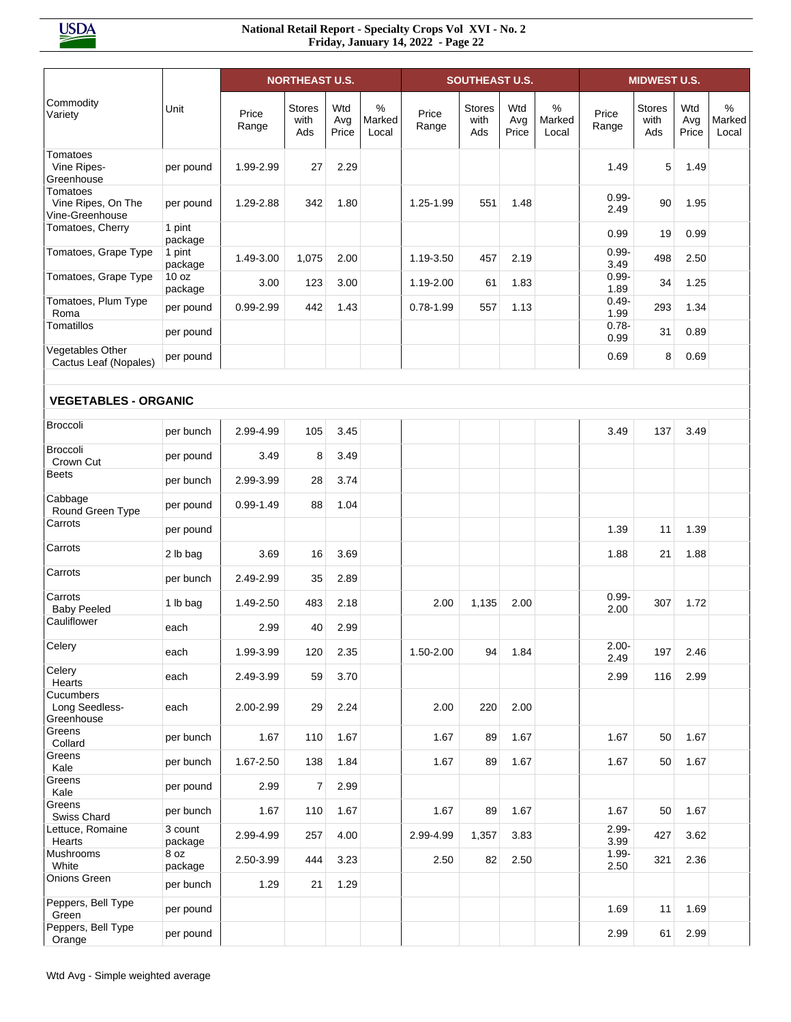|                                                   |                             |                | <b>NORTHEAST U.S.</b> |                     |                      |                | <b>SOUTHEAST U.S.</b>        |                     |                      |                  | <b>MIDWEST U.S.</b>          |                     |                         |
|---------------------------------------------------|-----------------------------|----------------|-----------------------|---------------------|----------------------|----------------|------------------------------|---------------------|----------------------|------------------|------------------------------|---------------------|-------------------------|
| Commodity<br>Variety                              | Unit                        | Price<br>Range | Stores<br>with<br>Ads | Wtd<br>Avg<br>Price | %<br>Marked<br>Local | Price<br>Range | <b>Stores</b><br>with<br>Ads | Wtd<br>Avg<br>Price | %<br>Marked<br>Local | Price<br>Range   | <b>Stores</b><br>with<br>Ads | Wtd<br>Avg<br>Price | $\%$<br>Marked<br>Local |
| Tomatoes<br>Vine Ripes-<br>Greenhouse             | per pound                   | 1.99-2.99      | 27                    | 2.29                |                      |                |                              |                     |                      | 1.49             | 5                            | 1.49                |                         |
| Tomatoes<br>Vine Ripes, On The<br>Vine-Greenhouse | per pound                   | 1.29-2.88      | 342                   | 1.80                |                      | 1.25-1.99      | 551                          | 1.48                |                      | $0.99 -$<br>2.49 | 90                           | 1.95                |                         |
| Tomatoes, Cherry                                  | 1 pint<br>package           |                |                       |                     |                      |                |                              |                     |                      | 0.99             | 19                           | 0.99                |                         |
| Tomatoes, Grape Type                              | 1 pint<br>package           | 1.49-3.00      | 1,075                 | 2.00                |                      | 1.19-3.50      | 457                          | 2.19                |                      | $0.99 -$<br>3.49 | 498                          | 2.50                |                         |
| Tomatoes, Grape Type                              | 10 <sub>oz</sub><br>package | 3.00           | 123                   | 3.00                |                      | 1.19-2.00      | 61                           | 1.83                |                      | $0.99 -$<br>1.89 | 34                           | 1.25                |                         |
| Tomatoes, Plum Type<br>Roma                       | per pound                   | 0.99-2.99      | 442                   | 1.43                |                      | $0.78 - 1.99$  | 557                          | 1.13                |                      | $0.49 -$<br>1.99 | 293                          | 1.34                |                         |
| Tomatillos                                        | per pound                   |                |                       |                     |                      |                |                              |                     |                      | $0.78 -$<br>0.99 | 31                           | 0.89                |                         |
| Vegetables Other<br>Cactus Leaf (Nopales)         | per pound                   |                |                       |                     |                      |                |                              |                     |                      | 0.69             | 8                            | 0.69                |                         |
| <b>VEGETABLES - ORGANIC</b>                       |                             |                |                       |                     |                      |                |                              |                     |                      |                  |                              |                     |                         |
| <b>Broccoli</b>                                   | per bunch                   | 2.99-4.99      | 105                   | 3.45                |                      |                |                              |                     |                      | 3.49             | 137                          | 3.49                |                         |
| <b>Broccoli</b><br>Crown Cut                      | per pound                   | 3.49           | 8                     | 3.49                |                      |                |                              |                     |                      |                  |                              |                     |                         |
| <b>Beets</b>                                      | per bunch                   | 2.99-3.99      | 28                    | 3.74                |                      |                |                              |                     |                      |                  |                              |                     |                         |
| Cabbage<br>Round Green Type                       | per pound                   | $0.99 - 1.49$  | 88                    | 1.04                |                      |                |                              |                     |                      |                  |                              |                     |                         |
| Carrots                                           | per pound                   |                |                       |                     |                      |                |                              |                     |                      | 1.39             | 11                           | 1.39                |                         |
| Carrots                                           | 2 lb bag                    | 3.69           | 16                    | 3.69                |                      |                |                              |                     |                      | 1.88             | 21                           | 1.88                |                         |
| Carrots                                           | per bunch                   | 2.49-2.99      | 35                    | 2.89                |                      |                |                              |                     |                      |                  |                              |                     |                         |
| Carrots<br><b>Baby Peeled</b>                     | 1 lb bag                    | 1.49-2.50      | 483                   | 2.18                |                      | 2.00           | 1,135                        | 2.00                |                      | $0.99 -$<br>2.00 | 307                          | 1.72                |                         |
| Cauliflower                                       | each                        | 2.99           | 40                    | 2.99                |                      |                |                              |                     |                      |                  |                              |                     |                         |
| Celery                                            | each                        | 1.99-3.99      | 120                   | 2.35                |                      | 1.50-2.00      | 94                           | 1.84                |                      | $2.00 -$<br>2.49 | 197                          | 2.46                |                         |
| Celery<br>Hearts                                  | each                        | 2.49-3.99      | 59                    | 3.70                |                      |                |                              |                     |                      | 2.99             | 116                          | 2.99                |                         |
| Cucumbers<br>Long Seedless-<br>Greenhouse         | each                        | 2.00-2.99      | 29                    | 2.24                |                      | 2.00           | 220                          | 2.00                |                      |                  |                              |                     |                         |
| Greens<br>Collard                                 | per bunch                   | 1.67           | 110                   | 1.67                |                      | 1.67           | 89                           | 1.67                |                      | 1.67             | 50                           | 1.67                |                         |
| Greens<br>Kale                                    | per bunch                   | 1.67-2.50      | 138                   | 1.84                |                      | 1.67           | 89                           | 1.67                |                      | 1.67             | 50                           | 1.67                |                         |
| Greens<br>Kale                                    | per pound                   | 2.99           | $\overline{7}$        | 2.99                |                      |                |                              |                     |                      |                  |                              |                     |                         |
| Greens<br>Swiss Chard                             | per bunch                   | 1.67           | 110                   | 1.67                |                      | 1.67           | 89                           | 1.67                |                      | 1.67             | 50                           | 1.67                |                         |
| Lettuce, Romaine<br>Hearts                        | 3 count<br>package          | 2.99-4.99      | 257                   | 4.00                |                      | 2.99-4.99      | 1,357                        | 3.83                |                      | $2.99 -$<br>3.99 | 427                          | 3.62                |                         |
| Mushrooms<br>White                                | 8 oz<br>package             | 2.50-3.99      | 444                   | 3.23                |                      | 2.50           | 82                           | 2.50                |                      | 1.99-<br>2.50    | 321                          | 2.36                |                         |
| Onions Green                                      | per bunch                   | 1.29           | 21                    | 1.29                |                      |                |                              |                     |                      |                  |                              |                     |                         |
| Peppers, Bell Type<br>Green                       | per pound                   |                |                       |                     |                      |                |                              |                     |                      | 1.69             | 11                           | 1.69                |                         |
| Peppers, Bell Type<br>Orange                      | per pound                   |                |                       |                     |                      |                |                              |                     |                      | 2.99             | 61                           | 2.99                |                         |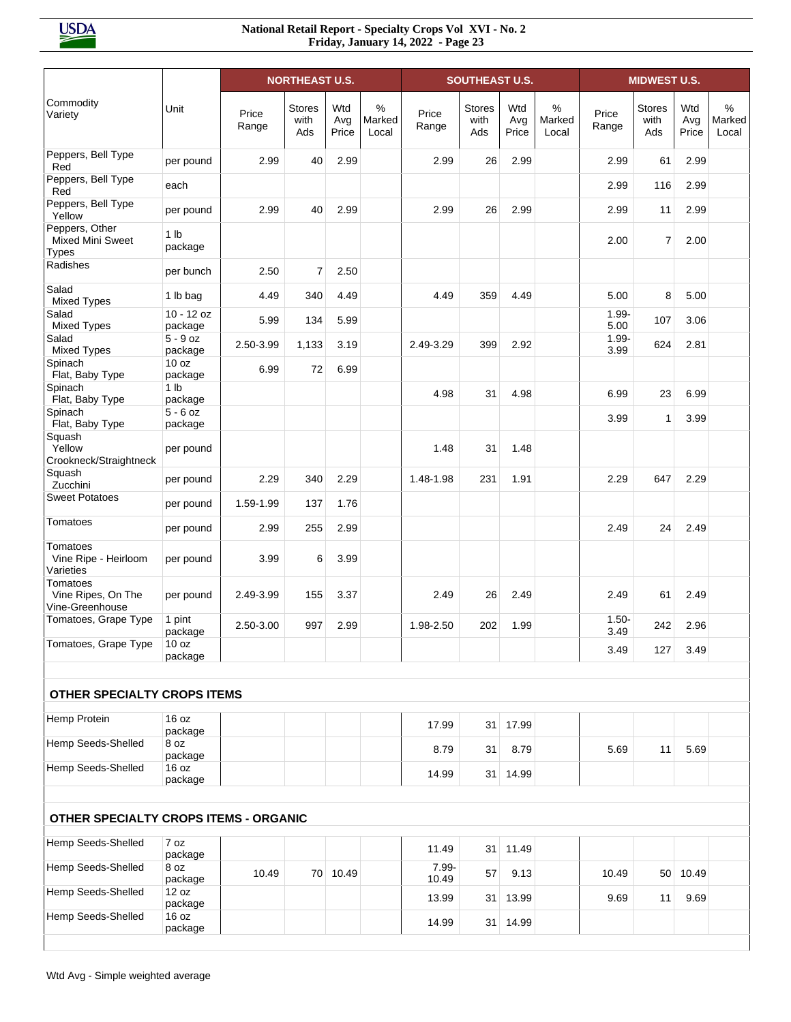| Commodity<br>Variety<br>Peppers, Bell Type<br>Red<br>Peppers, Bell Type<br>Red<br>Peppers, Bell Type<br>Yellow<br>Peppers, Other<br><b>Mixed Mini Sweet</b><br><b>Types</b> | Unit<br>per pound<br>each<br>per pound<br>1 <sub>lb</sub><br>package | Price<br>Range<br>2.99<br>2.99 | <b>Stores</b><br>with<br>Ads<br>40 | Wtd<br>Avg<br>Price<br>2.99 | %<br>Marked<br>Local | Price<br>Range | <b>Stores</b><br>with<br>Ads | Wtd<br>Avg | %<br>Marked | Price            | <b>Stores</b><br>with | Wtd<br>Avg | $\%$            |
|-----------------------------------------------------------------------------------------------------------------------------------------------------------------------------|----------------------------------------------------------------------|--------------------------------|------------------------------------|-----------------------------|----------------------|----------------|------------------------------|------------|-------------|------------------|-----------------------|------------|-----------------|
|                                                                                                                                                                             |                                                                      |                                |                                    |                             |                      |                |                              | Price      | Local       | Range            | Ads                   | Price      | Marked<br>Local |
|                                                                                                                                                                             |                                                                      |                                |                                    |                             |                      | 2.99           | 26                           | 2.99       |             | 2.99             | 61                    | 2.99       |                 |
|                                                                                                                                                                             |                                                                      |                                |                                    |                             |                      |                |                              |            |             | 2.99             | 116                   | 2.99       |                 |
|                                                                                                                                                                             |                                                                      |                                | 40                                 | 2.99                        |                      | 2.99           | 26                           | 2.99       |             | 2.99             | 11                    | 2.99       |                 |
|                                                                                                                                                                             |                                                                      |                                |                                    |                             |                      |                |                              |            |             | 2.00             | $\overline{7}$        | 2.00       |                 |
| Radishes                                                                                                                                                                    | per bunch                                                            | 2.50                           | $\overline{7}$                     | 2.50                        |                      |                |                              |            |             |                  |                       |            |                 |
| Salad<br><b>Mixed Types</b>                                                                                                                                                 | 1 lb bag                                                             | 4.49                           | 340                                | 4.49                        |                      | 4.49           | 359                          | 4.49       |             | 5.00             | 8                     | 5.00       |                 |
| Salad<br><b>Mixed Types</b>                                                                                                                                                 | $10 - 12$ oz<br>package                                              | 5.99                           | 134                                | 5.99                        |                      |                |                              |            |             | $1.99 -$<br>5.00 | 107                   | 3.06       |                 |
| Salad<br><b>Mixed Types</b>                                                                                                                                                 | $5 - 9$ oz<br>package                                                | 2.50-3.99                      | 1,133                              | 3.19                        |                      | 2.49-3.29      | 399                          | 2.92       |             | $1.99 -$<br>3.99 | 624                   | 2.81       |                 |
| Spinach<br>Flat, Baby Type                                                                                                                                                  | 10 oz<br>package                                                     | 6.99                           | 72                                 | 6.99                        |                      |                |                              |            |             |                  |                       |            |                 |
| Spinach<br>Flat, Baby Type<br>Spinach                                                                                                                                       | 1 <sub>lb</sub><br>package<br>$5 - 6$ oz                             |                                |                                    |                             |                      | 4.98           | 31                           | 4.98       |             | 6.99             | 23                    | 6.99       |                 |
| Flat, Baby Type<br>Squash                                                                                                                                                   | package                                                              |                                |                                    |                             |                      |                |                              |            |             | 3.99             | 1                     | 3.99       |                 |
| Yellow<br>Crookneck/Straightneck                                                                                                                                            | per pound                                                            |                                |                                    |                             |                      | 1.48           | 31                           | 1.48       |             |                  |                       |            |                 |
| Squash<br>Zucchini                                                                                                                                                          | per pound                                                            | 2.29                           | 340                                | 2.29                        |                      | 1.48-1.98      | 231                          | 1.91       |             | 2.29             | 647                   | 2.29       |                 |
| <b>Sweet Potatoes</b>                                                                                                                                                       | per pound                                                            | 1.59-1.99                      | 137                                | 1.76                        |                      |                |                              |            |             |                  |                       |            |                 |
| Tomatoes                                                                                                                                                                    | per pound                                                            | 2.99                           | 255                                | 2.99                        |                      |                |                              |            |             | 2.49             | 24                    | 2.49       |                 |
| Tomatoes<br>Vine Ripe - Heirloom<br>Varieties                                                                                                                               | per pound                                                            | 3.99                           | 6                                  | 3.99                        |                      |                |                              |            |             |                  |                       |            |                 |
| <b>Tomatoes</b><br>Vine Ripes, On The<br>Vine-Greenhouse                                                                                                                    | per pound                                                            | 2.49-3.99                      | 155                                | 3.37                        |                      | 2.49           | 26                           | 2.49       |             | 2.49             | 61                    | 2.49       |                 |
| Tomatoes, Grape Type                                                                                                                                                        | 1 pint<br>package                                                    | 2.50-3.00                      | 997                                | 2.99                        |                      | 1.98-2.50      | 202                          | 1.99       |             | $1.50 -$<br>3.49 | 242                   | 2.96       |                 |
| Tomatoes, Grape Type                                                                                                                                                        | 10 oz<br>package                                                     |                                |                                    |                             |                      |                |                              |            |             | 3.49             | 127                   | 3.49       |                 |
| OTHER SPECIALTY CROPS ITEMS                                                                                                                                                 |                                                                      |                                |                                    |                             |                      |                |                              |            |             |                  |                       |            |                 |
| Hemp Protein                                                                                                                                                                | 16 oz                                                                |                                |                                    |                             |                      |                |                              |            |             |                  |                       |            |                 |
| Hemp Seeds-Shelled                                                                                                                                                          | package<br>8 oz                                                      |                                |                                    |                             |                      | 17.99          | 31                           | 17.99      |             |                  |                       |            |                 |
| Hemp Seeds-Shelled                                                                                                                                                          | package<br>16 oz                                                     |                                |                                    |                             |                      | 8.79           | 31                           | 8.79       |             | 5.69             | 11                    | 5.69       |                 |
|                                                                                                                                                                             | package                                                              |                                |                                    |                             |                      | 14.99          |                              | 31 14.99   |             |                  |                       |            |                 |
| OTHER SPECIALTY CROPS ITEMS - ORGANIC                                                                                                                                       |                                                                      |                                |                                    |                             |                      |                |                              |            |             |                  |                       |            |                 |
| Hemp Seeds-Shelled                                                                                                                                                          | 7 oz<br>package                                                      |                                |                                    |                             |                      | 11.49          | 31                           | 11.49      |             |                  |                       |            |                 |
| Hemp Seeds-Shelled                                                                                                                                                          | 8 oz<br>package                                                      | 10.49                          |                                    | 70 10.49                    |                      | 7.99-<br>10.49 | 57                           | 9.13       |             | 10.49            |                       | 50 10.49   |                 |
| Hemp Seeds-Shelled                                                                                                                                                          | 12 oz<br>package                                                     |                                |                                    |                             |                      | 13.99          |                              | 31 13.99   |             | 9.69             | 11                    | 9.69       |                 |
| Hemp Seeds-Shelled                                                                                                                                                          | 16 oz<br>package                                                     |                                |                                    |                             |                      | 14.99          |                              | 31 14.99   |             |                  |                       |            |                 |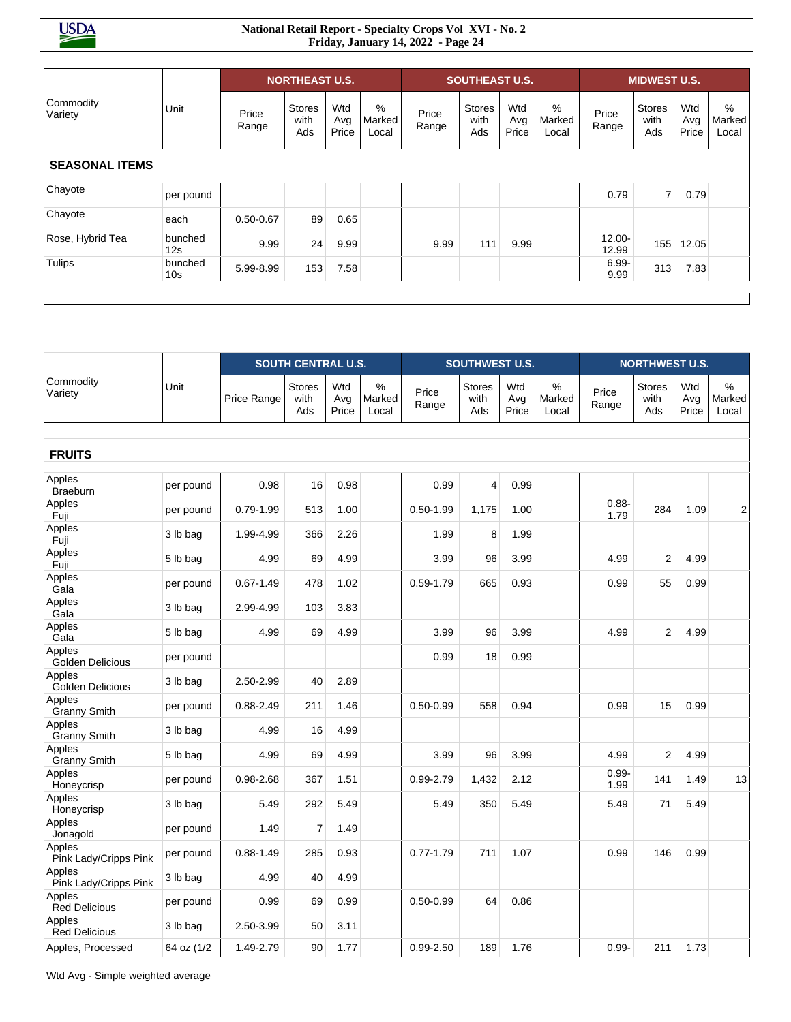#### **National Retail Report - Specialty Crops Vol XVI - No. 2 Friday, January 14, 2022 - Page 24**

| Unit           | Price<br>Range | <b>Stores</b><br>with<br>Ads | Wtd<br>Avg<br>Price | %<br>Marked<br>Local  | Price<br>Range | <b>Stores</b><br>with<br>Ads | Wtd<br>Avg<br>Price | %<br>Marked<br>Local  | Price<br>Range     | <b>Stores</b><br>with<br>Ads | Wtd<br>Avg<br>Price | $\%$<br>Marked<br>Local               |
|----------------|----------------|------------------------------|---------------------|-----------------------|----------------|------------------------------|---------------------|-----------------------|--------------------|------------------------------|---------------------|---------------------------------------|
|                |                |                              |                     |                       |                |                              |                     |                       |                    |                              |                     |                                       |
|                |                |                              |                     |                       |                |                              |                     |                       |                    |                              |                     |                                       |
| per pound      |                |                              |                     |                       |                |                              |                     |                       | 0.79               |                              | 0.79                |                                       |
| each           | $0.50 - 0.67$  | 89                           | 0.65                |                       |                |                              |                     |                       |                    |                              |                     |                                       |
| bunched<br>12s | 9.99           | 24                           | 9.99                |                       | 9.99           | 111                          | 9.99                |                       | $12.00 -$<br>12.99 | 155                          | 12.05               |                                       |
| bunched<br>10s | 5.99-8.99      | 153                          | 7.58                |                       |                |                              |                     |                       | $6.99 -$<br>9.99   | 313                          | 7.83                |                                       |
|                |                |                              |                     | <b>NORTHEAST U.S.</b> |                |                              |                     | <b>SOUTHEAST U.S.</b> |                    |                              |                     | <b>MIDWEST U.S.</b><br>7 <sup>1</sup> |

|                                 |            |               | <b>SOUTH CENTRAL U.S.</b> |                     |                         |                | <b>SOUTHWEST U.S.</b>        |                     |                         |                  | <b>NORTHWEST U.S.</b>        |                     |                         |
|---------------------------------|------------|---------------|---------------------------|---------------------|-------------------------|----------------|------------------------------|---------------------|-------------------------|------------------|------------------------------|---------------------|-------------------------|
| Commodity<br>Variety            | Unit       | Price Range   | Stores<br>with<br>Ads     | Wtd<br>Avg<br>Price | $\%$<br>Marked<br>Local | Price<br>Range | <b>Stores</b><br>with<br>Ads | Wtd<br>Avg<br>Price | $\%$<br>Marked<br>Local | Price<br>Range   | <b>Stores</b><br>with<br>Ads | Wtd<br>Avg<br>Price | $\%$<br>Marked<br>Local |
| <b>FRUITS</b>                   |            |               |                           |                     |                         |                |                              |                     |                         |                  |                              |                     |                         |
| Apples<br><b>Braeburn</b>       | per pound  | 0.98          | 16                        | 0.98                |                         | 0.99           | 4                            | 0.99                |                         |                  |                              |                     |                         |
| Apples<br>Fuji                  | per pound  | 0.79-1.99     | 513                       | 1.00                |                         | $0.50 - 1.99$  | 1,175                        | 1.00                |                         | $0.88 -$<br>1.79 | 284                          | 1.09                | 2                       |
| Apples<br>Fuji                  | 3 lb bag   | 1.99-4.99     | 366                       | 2.26                |                         | 1.99           | 8                            | 1.99                |                         |                  |                              |                     |                         |
| Apples<br>Fuji                  | 5 lb bag   | 4.99          | 69                        | 4.99                |                         | 3.99           | 96                           | 3.99                |                         | 4.99             | $\overline{2}$               | 4.99                |                         |
| Apples<br>Gala                  | per pound  | $0.67 - 1.49$ | 478                       | 1.02                |                         | $0.59 - 1.79$  | 665                          | 0.93                |                         | 0.99             | 55                           | 0.99                |                         |
| Apples<br>Gala                  | 3 lb bag   | 2.99-4.99     | 103                       | 3.83                |                         |                |                              |                     |                         |                  |                              |                     |                         |
| Apples<br>Gala                  | 5 lb bag   | 4.99          | 69                        | 4.99                |                         | 3.99           | 96                           | 3.99                |                         | 4.99             | 2                            | 4.99                |                         |
| Apples<br>Golden Delicious      | per pound  |               |                           |                     |                         | 0.99           | 18                           | 0.99                |                         |                  |                              |                     |                         |
| Apples<br>Golden Delicious      | 3 lb bag   | 2.50-2.99     | 40                        | 2.89                |                         |                |                              |                     |                         |                  |                              |                     |                         |
| Apples<br><b>Granny Smith</b>   | per pound  | $0.88 - 2.49$ | 211                       | 1.46                |                         | $0.50 - 0.99$  | 558                          | 0.94                |                         | 0.99             | 15                           | 0.99                |                         |
| Apples<br><b>Granny Smith</b>   | 3 lb bag   | 4.99          | 16                        | 4.99                |                         |                |                              |                     |                         |                  |                              |                     |                         |
| Apples<br><b>Granny Smith</b>   | 5 lb bag   | 4.99          | 69                        | 4.99                |                         | 3.99           | 96                           | 3.99                |                         | 4.99             | $\overline{2}$               | 4.99                |                         |
| Apples<br>Honeycrisp            | per pound  | 0.98-2.68     | 367                       | 1.51                |                         | 0.99-2.79      | 1,432                        | 2.12                |                         | $0.99 -$<br>1.99 | 141                          | 1.49                | 13                      |
| Apples<br>Honeycrisp            | 3 lb bag   | 5.49          | 292                       | 5.49                |                         | 5.49           | 350                          | 5.49                |                         | 5.49             | 71                           | 5.49                |                         |
| Apples<br>Jonagold              | per pound  | 1.49          | $\overline{7}$            | 1.49                |                         |                |                              |                     |                         |                  |                              |                     |                         |
| Apples<br>Pink Lady/Cripps Pink | per pound  | $0.88 - 1.49$ | 285                       | 0.93                |                         | $0.77 - 1.79$  | 711                          | 1.07                |                         | 0.99             | 146                          | 0.99                |                         |
| Apples<br>Pink Lady/Cripps Pink | 3 lb bag   | 4.99          | 40                        | 4.99                |                         |                |                              |                     |                         |                  |                              |                     |                         |
| Apples<br><b>Red Delicious</b>  | per pound  | 0.99          | 69                        | 0.99                |                         | $0.50 - 0.99$  | 64                           | 0.86                |                         |                  |                              |                     |                         |
| Apples<br><b>Red Delicious</b>  | 3 lb bag   | 2.50-3.99     | 50                        | 3.11                |                         |                |                              |                     |                         |                  |                              |                     |                         |
| Apples, Processed               | 64 oz (1/2 | 1.49-2.79     | 90                        | 1.77                |                         | $0.99 - 2.50$  | 189                          | 1.76                |                         | $0.99 -$         | 211                          | 1.73                |                         |

Wtd Avg - Simple weighted average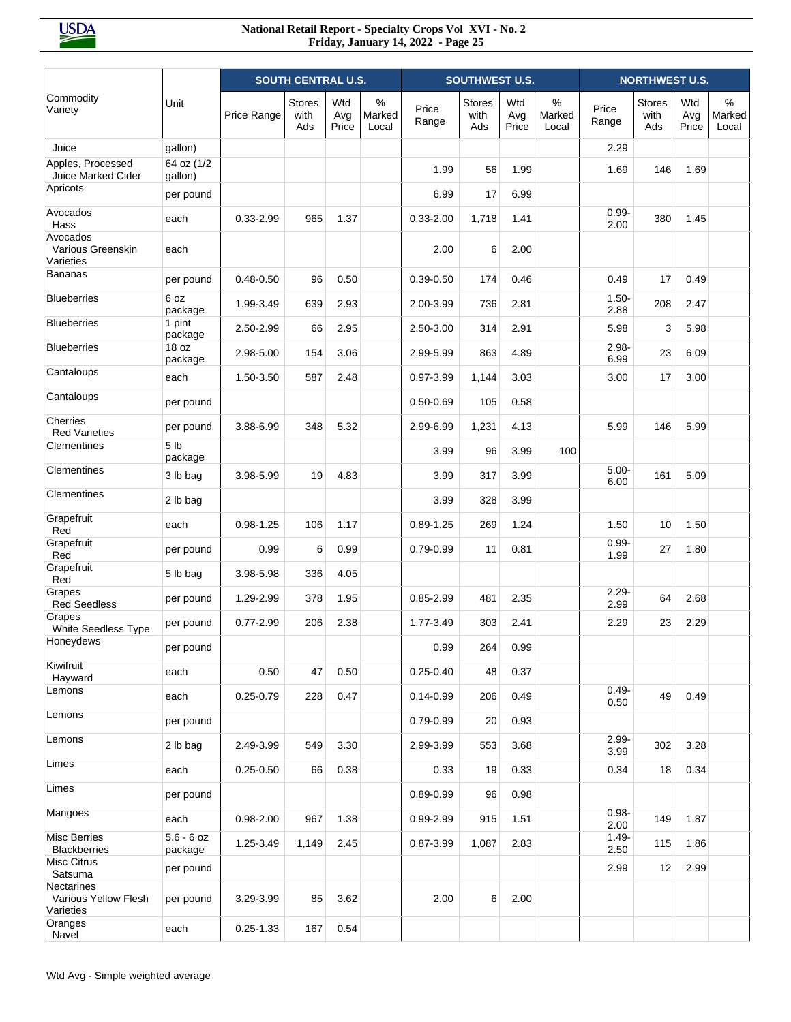|                                                 |                            |               | <b>SOUTH CENTRAL U.S.</b>    |                     |                      |                | <b>SOUTHWEST U.S.</b>        |                     |                      |                  | <b>NORTHWEST U.S.</b>        |                     |                      |
|-------------------------------------------------|----------------------------|---------------|------------------------------|---------------------|----------------------|----------------|------------------------------|---------------------|----------------------|------------------|------------------------------|---------------------|----------------------|
| Commodity<br>Variety                            | Unit                       | Price Range   | <b>Stores</b><br>with<br>Ads | Wtd<br>Avg<br>Price | %<br>Marked<br>Local | Price<br>Range | <b>Stores</b><br>with<br>Ads | Wtd<br>Avg<br>Price | %<br>Marked<br>Local | Price<br>Range   | <b>Stores</b><br>with<br>Ads | Wtd<br>Avg<br>Price | %<br>Marked<br>Local |
| Juice                                           | gallon)                    |               |                              |                     |                      |                |                              |                     |                      | 2.29             |                              |                     |                      |
| Apples, Processed<br>Juice Marked Cider         | 64 oz (1/2<br>gallon)      |               |                              |                     |                      | 1.99           | 56                           | 1.99                |                      | 1.69             | 146                          | 1.69                |                      |
| Apricots                                        | per pound                  |               |                              |                     |                      | 6.99           | 17                           | 6.99                |                      |                  |                              |                     |                      |
| Avocados<br>Hass                                | each                       | 0.33-2.99     | 965                          | 1.37                |                      | $0.33 - 2.00$  | 1,718                        | 1.41                |                      | $0.99 -$<br>2.00 | 380                          | 1.45                |                      |
| Avocados<br>Various Greenskin<br>Varieties      | each                       |               |                              |                     |                      | 2.00           | 6                            | 2.00                |                      |                  |                              |                     |                      |
| <b>Bananas</b>                                  | per pound                  | $0.48 - 0.50$ | 96                           | 0.50                |                      | $0.39 - 0.50$  | 174                          | 0.46                |                      | 0.49             | 17                           | 0.49                |                      |
| <b>Blueberries</b>                              | 6 oz<br>package            | 1.99-3.49     | 639                          | 2.93                |                      | 2.00-3.99      | 736                          | 2.81                |                      | $1.50 -$<br>2.88 | 208                          | 2.47                |                      |
| <b>Blueberries</b>                              | 1 pint<br>package          | 2.50-2.99     | 66                           | 2.95                |                      | 2.50-3.00      | 314                          | 2.91                |                      | 5.98             | 3                            | 5.98                |                      |
| <b>Blueberries</b>                              | 18 oz<br>package           | 2.98-5.00     | 154                          | 3.06                |                      | 2.99-5.99      | 863                          | 4.89                |                      | $2.98 -$<br>6.99 | 23                           | 6.09                |                      |
| Cantaloups                                      | each                       | 1.50-3.50     | 587                          | 2.48                |                      | 0.97-3.99      | 1,144                        | 3.03                |                      | 3.00             | 17                           | 3.00                |                      |
| Cantaloups                                      | per pound                  |               |                              |                     |                      | $0.50 - 0.69$  | 105                          | 0.58                |                      |                  |                              |                     |                      |
| Cherries<br><b>Red Varieties</b>                | per pound                  | 3.88-6.99     | 348                          | 5.32                |                      | 2.99-6.99      | 1,231                        | 4.13                |                      | 5.99             | 146                          | 5.99                |                      |
| Clementines                                     | 5 <sub>lb</sub><br>package |               |                              |                     |                      | 3.99           | 96                           | 3.99                | 100                  |                  |                              |                     |                      |
| Clementines                                     | 3 lb bag                   | 3.98-5.99     | 19                           | 4.83                |                      | 3.99           | 317                          | 3.99                |                      | $5.00 -$<br>6.00 | 161                          | 5.09                |                      |
| Clementines                                     | 2 lb bag                   |               |                              |                     |                      | 3.99           | 328                          | 3.99                |                      |                  |                              |                     |                      |
| Grapefruit<br>Red                               | each                       | $0.98 - 1.25$ | 106                          | 1.17                |                      | $0.89 - 1.25$  | 269                          | 1.24                |                      | 1.50             | 10                           | 1.50                |                      |
| Grapefruit<br>Red                               | per pound                  | 0.99          | 6                            | 0.99                |                      | 0.79-0.99      | 11                           | 0.81                |                      | $0.99 -$<br>1.99 | 27                           | 1.80                |                      |
| Grapefruit<br>Red                               | 5 lb bag                   | 3.98-5.98     | 336                          | 4.05                |                      |                |                              |                     |                      |                  |                              |                     |                      |
| Grapes<br><b>Red Seedless</b>                   | per pound                  | 1.29-2.99     | 378                          | 1.95                |                      | $0.85 - 2.99$  | 481                          | 2.35                |                      | $2.29 -$<br>2.99 | 64                           | 2.68                |                      |
| Grapes<br><b>White Seedless Type</b>            | per pound                  | $0.77 - 2.99$ | 206                          | 2.38                |                      | 1.77-3.49      | 303                          | 2.41                |                      | 2.29             | 23                           | 2.29                |                      |
| Honeydews                                       | per pound                  |               |                              |                     |                      | 0.99           | 264                          | 0.99                |                      |                  |                              |                     |                      |
| Kiwifruit<br>Hayward                            | each                       | 0.50          | 47                           | 0.50                |                      | $0.25 - 0.40$  | 48                           | 0.37                |                      |                  |                              |                     |                      |
| Lemons                                          | each                       | $0.25 - 0.79$ | 228                          | 0.47                |                      | $0.14 - 0.99$  | 206                          | 0.49                |                      | $0.49 -$<br>0.50 | 49                           | 0.49                |                      |
| Lemons                                          | per pound                  |               |                              |                     |                      | $0.79 - 0.99$  | 20                           | 0.93                |                      |                  |                              |                     |                      |
| Lemons                                          | 2 lb bag                   | 2.49-3.99     | 549                          | 3.30                |                      | 2.99-3.99      | 553                          | 3.68                |                      | $2.99 -$<br>3.99 | 302                          | 3.28                |                      |
| Limes                                           | each                       | $0.25 - 0.50$ | 66                           | 0.38                |                      | 0.33           | 19                           | 0.33                |                      | 0.34             | 18                           | 0.34                |                      |
| Limes                                           | per pound                  |               |                              |                     |                      | $0.89 - 0.99$  | 96                           | 0.98                |                      |                  |                              |                     |                      |
| Mangoes                                         | each                       | $0.98 - 2.00$ | 967                          | 1.38                |                      | 0.99-2.99      | 915                          | 1.51                |                      | $0.98 -$<br>2.00 | 149                          | 1.87                |                      |
| Misc Berries<br><b>Blackberries</b>             | $5.6 - 6$ oz<br>package    | 1.25-3.49     | 1,149                        | 2.45                |                      | 0.87-3.99      | 1,087                        | 2.83                |                      | $1.49 -$<br>2.50 | 115                          | 1.86                |                      |
| <b>Misc Citrus</b><br>Satsuma                   | per pound                  |               |                              |                     |                      |                |                              |                     |                      | 2.99             | 12                           | 2.99                |                      |
| Nectarines<br>Various Yellow Flesh<br>Varieties | per pound                  | 3.29-3.99     | 85                           | 3.62                |                      | 2.00           | 6                            | 2.00                |                      |                  |                              |                     |                      |
| Oranges<br>Navel                                | each                       | $0.25 - 1.33$ | 167                          | 0.54                |                      |                |                              |                     |                      |                  |                              |                     |                      |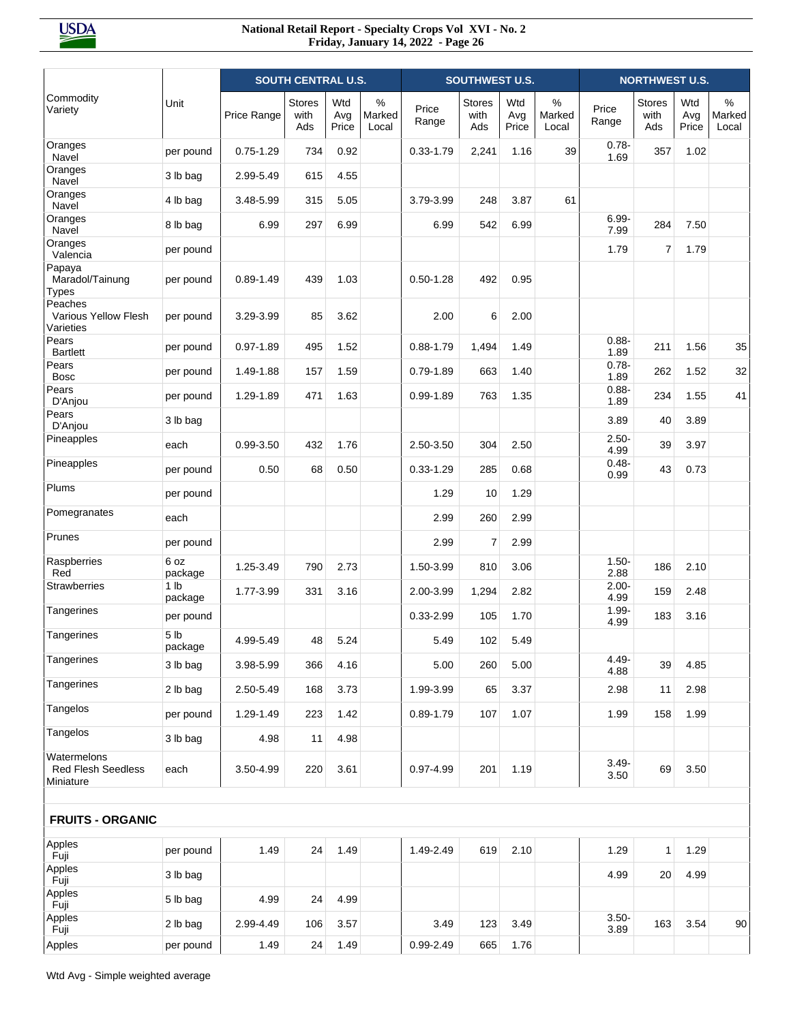|                                                       |                            |               | <b>SOUTH CENTRAL U.S.</b> |                     |                         |                | SOUTHWEST U.S.               |                     |                         |                  | <b>NORTHWEST U.S.</b>        |                     |                         |
|-------------------------------------------------------|----------------------------|---------------|---------------------------|---------------------|-------------------------|----------------|------------------------------|---------------------|-------------------------|------------------|------------------------------|---------------------|-------------------------|
| Commodity<br>Variety                                  | Unit                       | Price Range   | Stores<br>with<br>Ads     | Wtd<br>Avg<br>Price | $\%$<br>Marked<br>Local | Price<br>Range | <b>Stores</b><br>with<br>Ads | Wtd<br>Avg<br>Price | $\%$<br>Marked<br>Local | Price<br>Range   | <b>Stores</b><br>with<br>Ads | Wtd<br>Avg<br>Price | $\%$<br>Marked<br>Local |
| Oranges<br>Navel                                      | per pound                  | $0.75 - 1.29$ | 734                       | 0.92                |                         | $0.33 - 1.79$  | 2,241                        | 1.16                | 39                      | $0.78 -$<br>1.69 | 357                          | 1.02                |                         |
| Oranges<br>Navel                                      | 3 lb bag                   | 2.99-5.49     | 615                       | 4.55                |                         |                |                              |                     |                         |                  |                              |                     |                         |
| Oranges<br>Navel                                      | 4 lb bag                   | 3.48-5.99     | 315                       | 5.05                |                         | 3.79-3.99      | 248                          | 3.87                | 61                      |                  |                              |                     |                         |
| Oranges<br>Navel                                      | 8 lb bag                   | 6.99          | 297                       | 6.99                |                         | 6.99           | 542                          | 6.99                |                         | $6.99 -$<br>7.99 | 284                          | 7.50                |                         |
| Oranges<br>Valencia                                   | per pound                  |               |                           |                     |                         |                |                              |                     |                         | 1.79             | 7                            | 1.79                |                         |
| Papaya<br>Maradol/Tainung<br><b>Types</b>             | per pound                  | $0.89 - 1.49$ | 439                       | 1.03                |                         | $0.50 - 1.28$  | 492                          | 0.95                |                         |                  |                              |                     |                         |
| Peaches<br>Various Yellow Flesh<br>Varieties          | per pound                  | 3.29-3.99     | 85                        | 3.62                |                         | 2.00           | 6                            | 2.00                |                         |                  |                              |                     |                         |
| Pears<br><b>Bartlett</b>                              | per pound                  | 0.97-1.89     | 495                       | 1.52                |                         | $0.88 - 1.79$  | 1,494                        | 1.49                |                         | $0.88 -$<br>1.89 | 211                          | 1.56                | 35                      |
| Pears<br><b>Bosc</b>                                  | per pound                  | 1.49-1.88     | 157                       | 1.59                |                         | $0.79 - 1.89$  | 663                          | 1.40                |                         | $0.78 -$<br>1.89 | 262                          | 1.52                | 32                      |
| Pears<br>D'Anjou                                      | per pound                  | 1.29-1.89     | 471                       | 1.63                |                         | $0.99 - 1.89$  | 763                          | 1.35                |                         | $0.88 -$<br>1.89 | 234                          | 1.55                | 41                      |
| Pears<br>D'Anjou                                      | 3 lb bag                   |               |                           |                     |                         |                |                              |                     |                         | 3.89             | 40                           | 3.89                |                         |
| Pineapples                                            | each                       | 0.99-3.50     | 432                       | 1.76                |                         | 2.50-3.50      | 304                          | 2.50                |                         | $2.50 -$<br>4.99 | 39                           | 3.97                |                         |
| Pineapples                                            | per pound                  | 0.50          | 68                        | 0.50                |                         | $0.33 - 1.29$  | 285                          | 0.68                |                         | $0.48 -$<br>0.99 | 43                           | 0.73                |                         |
| Plums                                                 | per pound                  |               |                           |                     |                         | 1.29           | 10                           | 1.29                |                         |                  |                              |                     |                         |
| Pomegranates                                          | each                       |               |                           |                     |                         | 2.99           | 260                          | 2.99                |                         |                  |                              |                     |                         |
| Prunes                                                | per pound                  |               |                           |                     |                         | 2.99           | $\overline{7}$               | 2.99                |                         |                  |                              |                     |                         |
| Raspberries<br>Red                                    | 6 oz<br>package            | 1.25-3.49     | 790                       | 2.73                |                         | 1.50-3.99      | 810                          | 3.06                |                         | $1.50 -$<br>2.88 | 186                          | 2.10                |                         |
| <b>Strawberries</b>                                   | 1 <sub>lb</sub><br>package | 1.77-3.99     | 331                       | 3.16                |                         | 2.00-3.99      | 1,294                        | 2.82                |                         | $2.00 -$<br>4.99 | 159                          | 2.48                |                         |
| Tangerines                                            | per pound                  |               |                           |                     |                         | $0.33 - 2.99$  | 105                          | 1.70                |                         | $1.99 -$<br>4.99 | 183                          | 3.16                |                         |
| Tangerines                                            | 5 <sub>1b</sub><br>package | 4.99-5.49     | 48                        | 5.24                |                         | 5.49           | 102                          | 5.49                |                         |                  |                              |                     |                         |
| Tangerines                                            | 3 lb bag                   | 3.98-5.99     | 366                       | 4.16                |                         | 5.00           | 260                          | 5.00                |                         | 4.49-<br>4.88    | 39                           | 4.85                |                         |
| Tangerines                                            | 2 lb bag                   | 2.50-5.49     | 168                       | 3.73                |                         | 1.99-3.99      | 65                           | 3.37                |                         | 2.98             | 11                           | 2.98                |                         |
| Tangelos                                              | per pound                  | 1.29-1.49     | 223                       | 1.42                |                         | $0.89 - 1.79$  | 107                          | 1.07                |                         | 1.99             | 158                          | 1.99                |                         |
| Tangelos                                              | 3 lb bag                   | 4.98          | 11                        | 4.98                |                         |                |                              |                     |                         |                  |                              |                     |                         |
| Watermelons<br><b>Red Flesh Seedless</b><br>Miniature | each                       | 3.50-4.99     | 220                       | 3.61                |                         | 0.97-4.99      | 201                          | 1.19                |                         | $3.49 -$<br>3.50 | 69                           | 3.50                |                         |
| <b>FRUITS - ORGANIC</b>                               |                            |               |                           |                     |                         |                |                              |                     |                         |                  |                              |                     |                         |
| Apples<br>Fuji                                        | per pound                  | 1.49          | 24                        | 1.49                |                         | 1.49-2.49      | 619                          | 2.10                |                         | 1.29             | 1                            | 1.29                |                         |
| Apples<br>Fuji                                        | 3 lb bag                   |               |                           |                     |                         |                |                              |                     |                         | 4.99             | 20                           | 4.99                |                         |
| Apples                                                | 5 lb bag                   | 4.99          | 24                        | 4.99                |                         |                |                              |                     |                         |                  |                              |                     |                         |
| Fuji<br>Apples                                        | 2 lb bag                   | 2.99-4.49     | 106                       | 3.57                |                         | 3.49           | 123                          | 3.49                |                         | $3.50 -$         | 163                          | 3.54                | 90                      |
| Fuji<br>Apples                                        | per pound                  | 1.49          | 24                        | 1.49                |                         | 0.99-2.49      | 665                          | 1.76                |                         | 3.89             |                              |                     |                         |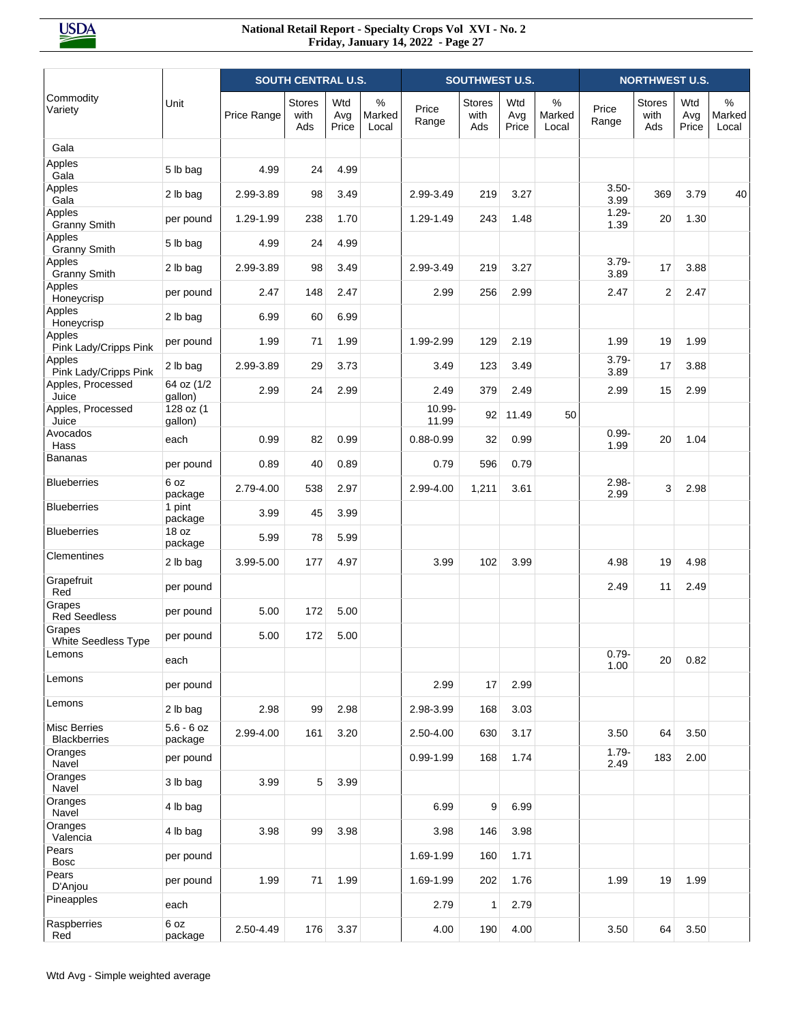|                                            |                         | <b>SOUTH CENTRAL U.S.</b> |                              |                     |                         | SOUTHWEST U.S.  |                       |                     |                         | <b>NORTHWEST U.S.</b> |                              |                     |                         |
|--------------------------------------------|-------------------------|---------------------------|------------------------------|---------------------|-------------------------|-----------------|-----------------------|---------------------|-------------------------|-----------------------|------------------------------|---------------------|-------------------------|
| Commodity<br>Variety                       | Unit                    | Price Range               | <b>Stores</b><br>with<br>Ads | Wtd<br>Avg<br>Price | $\%$<br>Marked<br>Local | Price<br>Range  | Stores<br>with<br>Ads | Wtd<br>Avg<br>Price | $\%$<br>Marked<br>Local | Price<br>Range        | <b>Stores</b><br>with<br>Ads | Wtd<br>Avg<br>Price | $\%$<br>Marked<br>Local |
| Gala                                       |                         |                           |                              |                     |                         |                 |                       |                     |                         |                       |                              |                     |                         |
| Apples<br>Gala                             | 5 lb bag                | 4.99                      | 24                           | 4.99                |                         |                 |                       |                     |                         |                       |                              |                     |                         |
| Apples<br>Gala                             | 2 lb bag                | 2.99-3.89                 | 98                           | 3.49                |                         | 2.99-3.49       | 219                   | 3.27                |                         | $3.50 -$<br>3.99      | 369                          | 3.79                | 40                      |
| Apples<br><b>Granny Smith</b>              | per pound               | 1.29-1.99                 | 238                          | 1.70                |                         | 1.29-1.49       | 243                   | 1.48                |                         | $1.29 -$<br>1.39      | 20                           | 1.30                |                         |
| Apples<br><b>Granny Smith</b>              | 5 lb bag                | 4.99                      | 24                           | 4.99                |                         |                 |                       |                     |                         |                       |                              |                     |                         |
| Apples<br><b>Granny Smith</b>              | 2 lb bag                | 2.99-3.89                 | 98                           | 3.49                |                         | 2.99-3.49       | 219                   | 3.27                |                         | $3.79 -$<br>3.89      | 17                           | 3.88                |                         |
| Apples<br>Honeycrisp                       | per pound               | 2.47                      | 148                          | 2.47                |                         | 2.99            | 256                   | 2.99                |                         | 2.47                  | 2                            | 2.47                |                         |
| Apples<br>Honeycrisp                       | 2 lb bag                | 6.99                      | 60                           | 6.99                |                         |                 |                       |                     |                         |                       |                              |                     |                         |
| Apples<br>Pink Lady/Cripps Pink            | per pound               | 1.99                      | 71                           | 1.99                |                         | 1.99-2.99       | 129                   | 2.19                |                         | 1.99                  | 19                           | 1.99                |                         |
| Apples<br>Pink Lady/Cripps Pink            | 2 lb bag                | 2.99-3.89                 | 29                           | 3.73                |                         | 3.49            | 123                   | 3.49                |                         | $3.79 -$<br>3.89      | 17                           | 3.88                |                         |
| Apples, Processed<br>Juice                 | 64 oz (1/2<br>gallon)   | 2.99                      | 24                           | 2.99                |                         | 2.49            | 379                   | 2.49                |                         | 2.99                  | 15                           | 2.99                |                         |
| Apples, Processed<br>Juice                 | 128 oz (1<br>gallon)    |                           |                              |                     |                         | 10.99-<br>11.99 | 92                    | 11.49               | 50                      |                       |                              |                     |                         |
| Avocados<br>Hass                           | each                    | 0.99                      | 82                           | 0.99                |                         | $0.88 - 0.99$   | 32                    | 0.99                |                         | $0.99 -$<br>1.99      | 20                           | 1.04                |                         |
| <b>Bananas</b>                             | per pound               | 0.89                      | 40                           | 0.89                |                         | 0.79            | 596                   | 0.79                |                         |                       |                              |                     |                         |
| <b>Blueberries</b>                         | 6 oz<br>package         | 2.79-4.00                 | 538                          | 2.97                |                         | 2.99-4.00       | 1,211                 | 3.61                |                         | $2.98 -$<br>2.99      | 3                            | 2.98                |                         |
| <b>Blueberries</b>                         | 1 pint<br>package       | 3.99                      | 45                           | 3.99                |                         |                 |                       |                     |                         |                       |                              |                     |                         |
| <b>Blueberries</b>                         | 18 oz<br>package        | 5.99                      | 78                           | 5.99                |                         |                 |                       |                     |                         |                       |                              |                     |                         |
| Clementines                                | 2 lb bag                | 3.99-5.00                 | 177                          | 4.97                |                         | 3.99            | 102                   | 3.99                |                         | 4.98                  | 19                           | 4.98                |                         |
| Grapefruit<br>Red                          | per pound               |                           |                              |                     |                         |                 |                       |                     |                         | 2.49                  | 11                           | 2.49                |                         |
| Grapes<br><b>Red Seedless</b>              | per pound               | 5.00                      | 172                          | 5.00                |                         |                 |                       |                     |                         |                       |                              |                     |                         |
| Grapes<br>White Seedless Type              | per pound               | 5.00                      | 172                          | 5.00                |                         |                 |                       |                     |                         |                       |                              |                     |                         |
| Lemons                                     | each                    |                           |                              |                     |                         |                 |                       |                     |                         | $0.79 -$<br>1.00      | 20                           | 0.82                |                         |
| Lemons                                     | per pound               |                           |                              |                     |                         | 2.99            | 17                    | 2.99                |                         |                       |                              |                     |                         |
| Lemons                                     | 2 lb bag                | 2.98                      | 99                           | 2.98                |                         | 2.98-3.99       | 168                   | 3.03                |                         |                       |                              |                     |                         |
| <b>Misc Berries</b><br><b>Blackberries</b> | $5.6 - 6$ oz<br>package | 2.99-4.00                 | 161                          | 3.20                |                         | 2.50-4.00       | 630                   | 3.17                |                         | 3.50                  | 64                           | 3.50                |                         |
| Oranges<br>Navel                           | per pound               |                           |                              |                     |                         | $0.99 - 1.99$   | 168                   | 1.74                |                         | $1.79 -$<br>2.49      | 183                          | 2.00                |                         |
| Oranges<br>Navel                           | 3 lb bag                | 3.99                      | 5                            | 3.99                |                         |                 |                       |                     |                         |                       |                              |                     |                         |
| Oranges<br>Navel                           | 4 lb bag                |                           |                              |                     |                         | 6.99            | 9                     | 6.99                |                         |                       |                              |                     |                         |
| Oranges<br>Valencia                        | 4 lb bag                | 3.98                      | 99                           | 3.98                |                         | 3.98            | 146                   | 3.98                |                         |                       |                              |                     |                         |
| Pears<br><b>Bosc</b>                       | per pound               |                           |                              |                     |                         | 1.69-1.99       | 160                   | 1.71                |                         |                       |                              |                     |                         |
| Pears<br>D'Anjou                           | per pound               | 1.99                      | 71                           | 1.99                |                         | 1.69-1.99       | 202                   | 1.76                |                         | 1.99                  | 19                           | 1.99                |                         |
| Pineapples                                 | each                    |                           |                              |                     |                         | 2.79            | $\mathbf{1}$          | 2.79                |                         |                       |                              |                     |                         |
| Raspberries<br>Red                         | 6 oz<br>package         | 2.50-4.49                 | 176                          | 3.37                |                         | 4.00            | 190                   | 4.00                |                         | 3.50                  | 64                           | 3.50                |                         |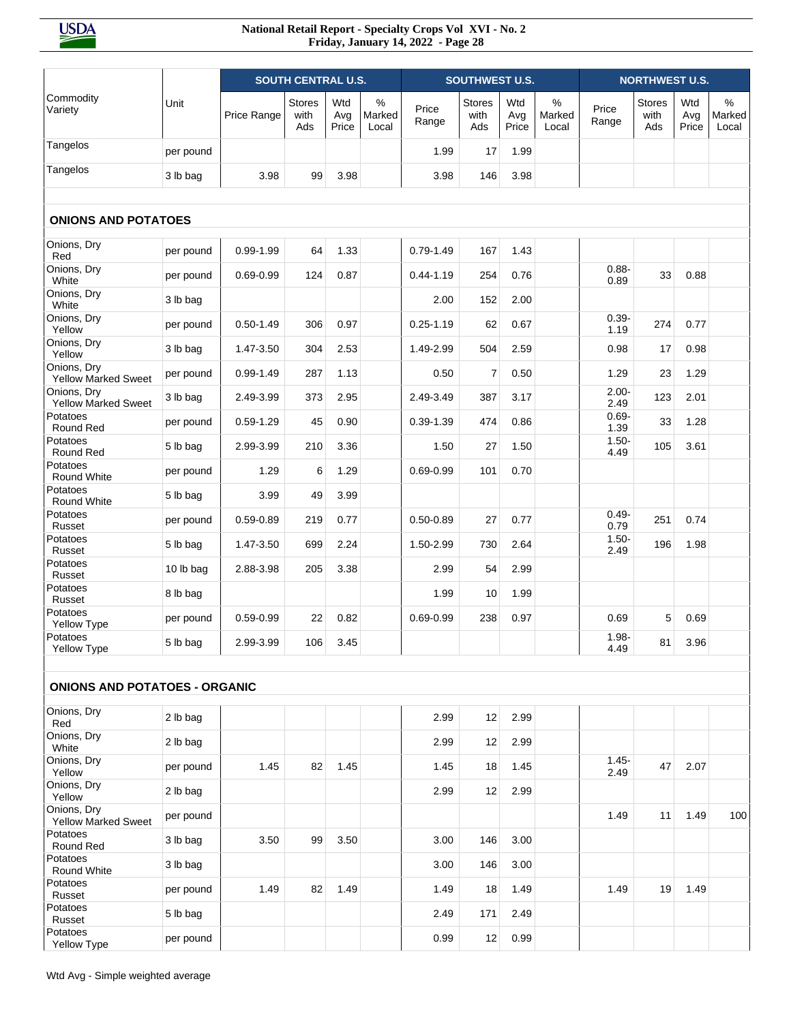|                                           |           |               | <b>SOUTH CENTRAL U.S.</b>    |                     |                         |                | <b>SOUTHWEST U.S.</b>        |                     |                         |                  | <b>NORTHWEST U.S.</b>        |                     |                         |
|-------------------------------------------|-----------|---------------|------------------------------|---------------------|-------------------------|----------------|------------------------------|---------------------|-------------------------|------------------|------------------------------|---------------------|-------------------------|
| Commodity<br>Variety                      | Unit      | Price Range   | <b>Stores</b><br>with<br>Ads | Wtd<br>Avg<br>Price | $\%$<br>Marked<br>Local | Price<br>Range | <b>Stores</b><br>with<br>Ads | Wtd<br>Avg<br>Price | $\%$<br>Marked<br>Local | Price<br>Range   | <b>Stores</b><br>with<br>Ads | Wtd<br>Avg<br>Price | $\%$<br>Marked<br>Local |
| Tangelos                                  | per pound |               |                              |                     |                         | 1.99           | 17                           | 1.99                |                         |                  |                              |                     |                         |
| Tangelos                                  | 3 lb bag  | 3.98          | 99                           | 3.98                |                         | 3.98           | 146                          | 3.98                |                         |                  |                              |                     |                         |
|                                           |           |               |                              |                     |                         |                |                              |                     |                         |                  |                              |                     |                         |
| <b>ONIONS AND POTATOES</b>                |           |               |                              |                     |                         |                |                              |                     |                         |                  |                              |                     |                         |
| Onions, Dry<br>Red                        | per pound | $0.99 - 1.99$ | 64                           | 1.33                |                         | $0.79 - 1.49$  | 167                          | 1.43                |                         |                  |                              |                     |                         |
| Onions, Dry<br>White                      | per pound | $0.69 - 0.99$ | 124                          | 0.87                |                         | $0.44 - 1.19$  | 254                          | 0.76                |                         | $0.88 -$<br>0.89 | 33                           | 0.88                |                         |
| Onions, Dry<br>White                      | 3 lb bag  |               |                              |                     |                         | 2.00           | 152                          | 2.00                |                         |                  |                              |                     |                         |
| Onions, Dry<br>Yellow                     | per pound | $0.50 - 1.49$ | 306                          | 0.97                |                         | $0.25 - 1.19$  | 62                           | 0.67                |                         | $0.39 -$<br>1.19 | 274                          | 0.77                |                         |
| Onions, Dry<br>Yellow                     | 3 lb bag  | 1.47-3.50     | 304                          | 2.53                |                         | 1.49-2.99      | 504                          | 2.59                |                         | 0.98             | 17                           | 0.98                |                         |
| Onions, Dry<br><b>Yellow Marked Sweet</b> | per pound | $0.99 - 1.49$ | 287                          | 1.13                |                         | 0.50           | $\overline{7}$               | 0.50                |                         | 1.29             | 23                           | 1.29                |                         |
| Onions, Dry<br><b>Yellow Marked Sweet</b> | 3 lb bag  | 2.49-3.99     | 373                          | 2.95                |                         | 2.49-3.49      | 387                          | 3.17                |                         | $2.00 -$<br>2.49 | 123                          | 2.01                |                         |
| Potatoes<br>Round Red                     | per pound | $0.59 - 1.29$ | 45                           | 0.90                |                         | $0.39 - 1.39$  | 474                          | 0.86                |                         | $0.69 -$<br>1.39 | 33                           | 1.28                |                         |
| Potatoes<br>Round Red                     | 5 lb bag  | 2.99-3.99     | 210                          | 3.36                |                         | 1.50           | 27                           | 1.50                |                         | $1.50 -$<br>4.49 | 105                          | 3.61                |                         |
| Potatoes<br>Round White                   | per pound | 1.29          | 6                            | 1.29                |                         | $0.69 - 0.99$  | 101                          | 0.70                |                         |                  |                              |                     |                         |
| Potatoes<br>Round White                   | 5 lb bag  | 3.99          | 49                           | 3.99                |                         |                |                              |                     |                         |                  |                              |                     |                         |
| Potatoes<br>Russet                        | per pound | $0.59 - 0.89$ | 219                          | 0.77                |                         | $0.50 - 0.89$  | 27                           | 0.77                |                         | $0.49 -$<br>0.79 | 251                          | 0.74                |                         |
| Potatoes<br>Russet                        | 5 lb bag  | 1.47-3.50     | 699                          | 2.24                |                         | 1.50-2.99      | 730                          | 2.64                |                         | $1.50 -$<br>2.49 | 196                          | 1.98                |                         |
| Potatoes<br>Russet                        | 10 lb bag | 2.88-3.98     | 205                          | 3.38                |                         | 2.99           | 54                           | 2.99                |                         |                  |                              |                     |                         |
| Potatoes<br>Russet                        | 8 lb bag  |               |                              |                     |                         | 1.99           | 10                           | 1.99                |                         |                  |                              |                     |                         |
| Potatoes<br>Yellow Type                   | per pound | $0.59 - 0.99$ | 22                           | 0.82                |                         | $0.69 - 0.99$  | 238                          | 0.97                |                         | 0.69             | 5                            | 0.69                |                         |
| Potatoes<br>Yellow Type                   | 5 lb bag  | 2.99-3.99     | 106                          | 3.45                |                         |                |                              |                     |                         | $1.98 -$<br>4.49 | 81                           | 3.96                |                         |
|                                           |           |               |                              |                     |                         |                |                              |                     |                         |                  |                              |                     |                         |
| <b>ONIONS AND POTATOES - ORGANIC</b>      |           |               |                              |                     |                         |                |                              |                     |                         |                  |                              |                     |                         |
| Onions, Dry<br>Red                        | 2 lb bag  |               |                              |                     |                         | 2.99           | 12                           | 2.99                |                         |                  |                              |                     |                         |
| Onions, Dry<br>White                      | 2 lb bag  |               |                              |                     |                         | 2.99           | 12                           | 2.99                |                         |                  |                              |                     |                         |
| Onions, Dry<br>Yellow                     | per pound | 1.45          | 82                           | 1.45                |                         | 1.45           | 18                           | 1.45                |                         | $1.45 -$<br>2.49 | 47                           | 2.07                |                         |
| Onions, Dry<br>Yellow                     | 2 lb bag  |               |                              |                     |                         | 2.99           | 12                           | 2.99                |                         |                  |                              |                     |                         |
| Onions, Dry<br><b>Yellow Marked Sweet</b> | per pound |               |                              |                     |                         |                |                              |                     |                         | 1.49             | 11                           | 1.49                | 100                     |
| Potatoes<br>Round Red                     | 3 lb bag  | 3.50          | 99                           | 3.50                |                         | 3.00           | 146                          | 3.00                |                         |                  |                              |                     |                         |
| Potatoes<br>Round White                   | 3 lb bag  |               |                              |                     |                         | 3.00           | 146                          | 3.00                |                         |                  |                              |                     |                         |
| Potatoes<br>Russet                        | per pound | 1.49          | 82                           | 1.49                |                         | 1.49           | 18                           | 1.49                |                         | 1.49             | 19                           | 1.49                |                         |
| Potatoes<br>Russet                        | 5 lb bag  |               |                              |                     |                         | 2.49           | 171                          | 2.49                |                         |                  |                              |                     |                         |
| Potatoes<br>Yellow Type                   | per pound |               |                              |                     |                         | 0.99           | 12                           | 0.99                |                         |                  |                              |                     |                         |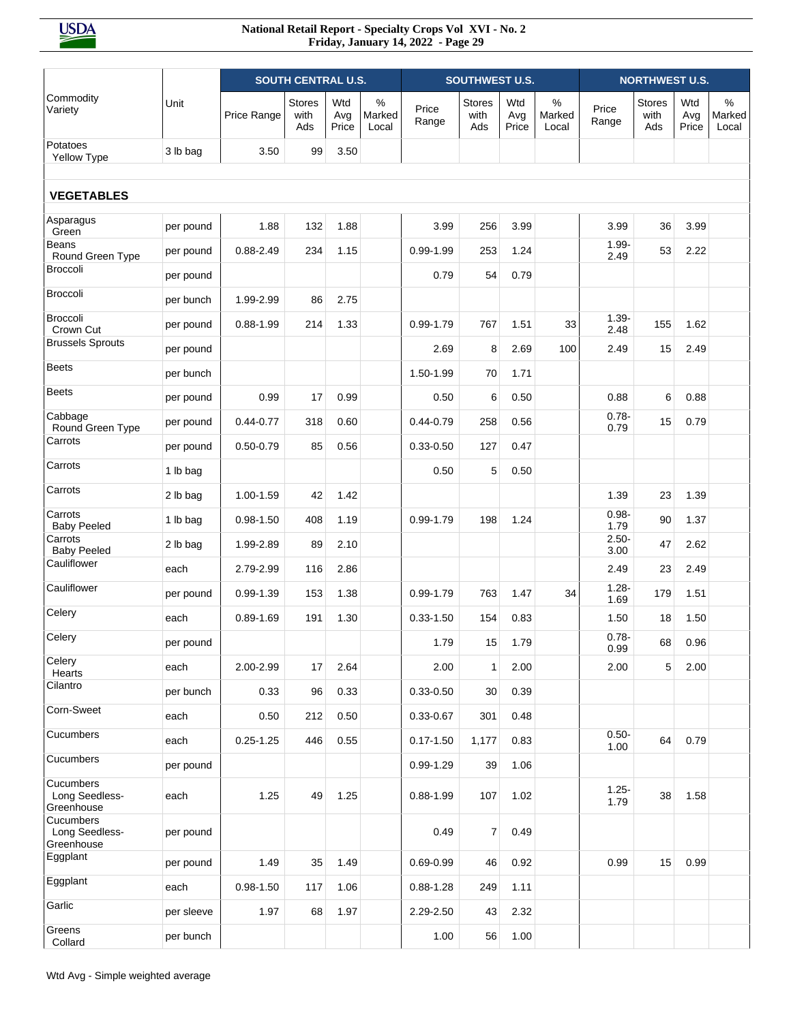|                                           |            |               | <b>SOUTH CENTRAL U.S.</b>    |                     |                         |                | <b>SOUTHWEST U.S.</b>        |                     |                         |                  | <b>NORTHWEST U.S.</b> |                     |                         |
|-------------------------------------------|------------|---------------|------------------------------|---------------------|-------------------------|----------------|------------------------------|---------------------|-------------------------|------------------|-----------------------|---------------------|-------------------------|
| Commodity<br>Variety                      | Unit       | Price Range   | <b>Stores</b><br>with<br>Ads | Wtd<br>Avg<br>Price | $\%$<br>Marked<br>Local | Price<br>Range | <b>Stores</b><br>with<br>Ads | Wtd<br>Avg<br>Price | $\%$<br>Marked<br>Local | Price<br>Range   | Stores<br>with<br>Ads | Wtd<br>Avg<br>Price | $\%$<br>Marked<br>Local |
| Potatoes<br>Yellow Type                   | 3 lb bag   | 3.50          | 99                           | 3.50                |                         |                |                              |                     |                         |                  |                       |                     |                         |
| <b>VEGETABLES</b>                         |            |               |                              |                     |                         |                |                              |                     |                         |                  |                       |                     |                         |
| Asparagus<br>Green                        | per pound  | 1.88          | 132                          | 1.88                |                         | 3.99           | 256                          | 3.99                |                         | 3.99             | 36                    | 3.99                |                         |
| <b>Beans</b><br>Round Green Type          | per pound  | $0.88 - 2.49$ | 234                          | 1.15                |                         | $0.99 - 1.99$  | 253                          | 1.24                |                         | $1.99 -$<br>2.49 | 53                    | 2.22                |                         |
| <b>Broccoli</b>                           | per pound  |               |                              |                     |                         | 0.79           | 54                           | 0.79                |                         |                  |                       |                     |                         |
| <b>Broccoli</b>                           | per bunch  | 1.99-2.99     | 86                           | 2.75                |                         |                |                              |                     |                         |                  |                       |                     |                         |
| Broccoli<br>Crown Cut                     | per pound  | $0.88 - 1.99$ | 214                          | 1.33                |                         | $0.99 - 1.79$  | 767                          | 1.51                | 33                      | $1.39 -$<br>2.48 | 155                   | 1.62                |                         |
| <b>Brussels Sprouts</b>                   | per pound  |               |                              |                     |                         | 2.69           | 8                            | 2.69                | 100                     | 2.49             | 15                    | 2.49                |                         |
| <b>Beets</b>                              | per bunch  |               |                              |                     |                         | 1.50-1.99      | 70                           | 1.71                |                         |                  |                       |                     |                         |
| <b>Beets</b>                              | per pound  | 0.99          | 17                           | 0.99                |                         | 0.50           | 6                            | 0.50                |                         | 0.88             | 6                     | 0.88                |                         |
| Cabbage<br>Round Green Type               | per pound  | $0.44 - 0.77$ | 318                          | 0.60                |                         | $0.44 - 0.79$  | 258                          | 0.56                |                         | $0.78 -$<br>0.79 | 15                    | 0.79                |                         |
| Carrots                                   | per pound  | $0.50 - 0.79$ | 85                           | 0.56                |                         | $0.33 - 0.50$  | 127                          | 0.47                |                         |                  |                       |                     |                         |
| Carrots                                   | 1 lb bag   |               |                              |                     |                         | 0.50           | 5                            | 0.50                |                         |                  |                       |                     |                         |
| Carrots                                   | 2 lb bag   | 1.00-1.59     | 42                           | 1.42                |                         |                |                              |                     |                         | 1.39             | 23                    | 1.39                |                         |
| Carrots<br><b>Baby Peeled</b>             | 1 lb bag   | $0.98 - 1.50$ | 408                          | 1.19                |                         | 0.99-1.79      | 198                          | 1.24                |                         | $0.98 -$<br>1.79 | 90                    | 1.37                |                         |
| Carrots<br><b>Baby Peeled</b>             | 2 lb bag   | 1.99-2.89     | 89                           | 2.10                |                         |                |                              |                     |                         | $2.50 -$<br>3.00 | 47                    | 2.62                |                         |
| Cauliflower                               | each       | 2.79-2.99     | 116                          | 2.86                |                         |                |                              |                     |                         | 2.49             | 23                    | 2.49                |                         |
| Cauliflower                               | per pound  | $0.99 - 1.39$ | 153                          | 1.38                |                         | $0.99 - 1.79$  | 763                          | 1.47                | 34                      | $1.28 -$<br>1.69 | 179                   | 1.51                |                         |
| Celery                                    | each       | $0.89 - 1.69$ | 191                          | 1.30                |                         | $0.33 - 1.50$  | 154                          | 0.83                |                         | 1.50             | 18                    | 1.50                |                         |
| Celery                                    | per pound  |               |                              |                     |                         | 1.79           | 15                           | 1.79                |                         | $0.78 -$<br>0.99 | 68                    | 0.96                |                         |
| Celery<br>Hearts                          | each       | 2.00-2.99     | 17                           | 2.64                |                         | 2.00           | $\mathbf{1}$                 | 2.00                |                         | 2.00             | 5                     | 2.00                |                         |
| Cilantro                                  | per bunch  | 0.33          | 96                           | 0.33                |                         | $0.33 - 0.50$  | 30                           | 0.39                |                         |                  |                       |                     |                         |
| Corn-Sweet                                | each       | 0.50          | 212                          | 0.50                |                         | $0.33 - 0.67$  | 301                          | 0.48                |                         |                  |                       |                     |                         |
| Cucumbers                                 | each       | $0.25 - 1.25$ | 446                          | 0.55                |                         | $0.17 - 1.50$  | 1,177                        | 0.83                |                         | $0.50 -$<br>1.00 | 64                    | 0.79                |                         |
| Cucumbers                                 | per pound  |               |                              |                     |                         | 0.99-1.29      | 39                           | 1.06                |                         |                  |                       |                     |                         |
| Cucumbers<br>Long Seedless-<br>Greenhouse | each       | 1.25          | 49                           | 1.25                |                         | $0.88 - 1.99$  | 107                          | 1.02                |                         | $1.25 -$<br>1.79 | 38                    | 1.58                |                         |
| Cucumbers<br>Long Seedless-<br>Greenhouse | per pound  |               |                              |                     |                         | 0.49           | 7                            | 0.49                |                         |                  |                       |                     |                         |
| Eggplant                                  | per pound  | 1.49          | 35                           | 1.49                |                         | $0.69 - 0.99$  | 46                           | 0.92                |                         | 0.99             | 15                    | 0.99                |                         |
| Eggplant                                  | each       | $0.98 - 1.50$ | 117                          | 1.06                |                         | $0.88 - 1.28$  | 249                          | 1.11                |                         |                  |                       |                     |                         |
| Garlic                                    | per sleeve | 1.97          | 68                           | 1.97                |                         | 2.29-2.50      | 43                           | 2.32                |                         |                  |                       |                     |                         |
| Greens<br>Collard                         | per bunch  |               |                              |                     |                         | 1.00           | 56                           | 1.00                |                         |                  |                       |                     |                         |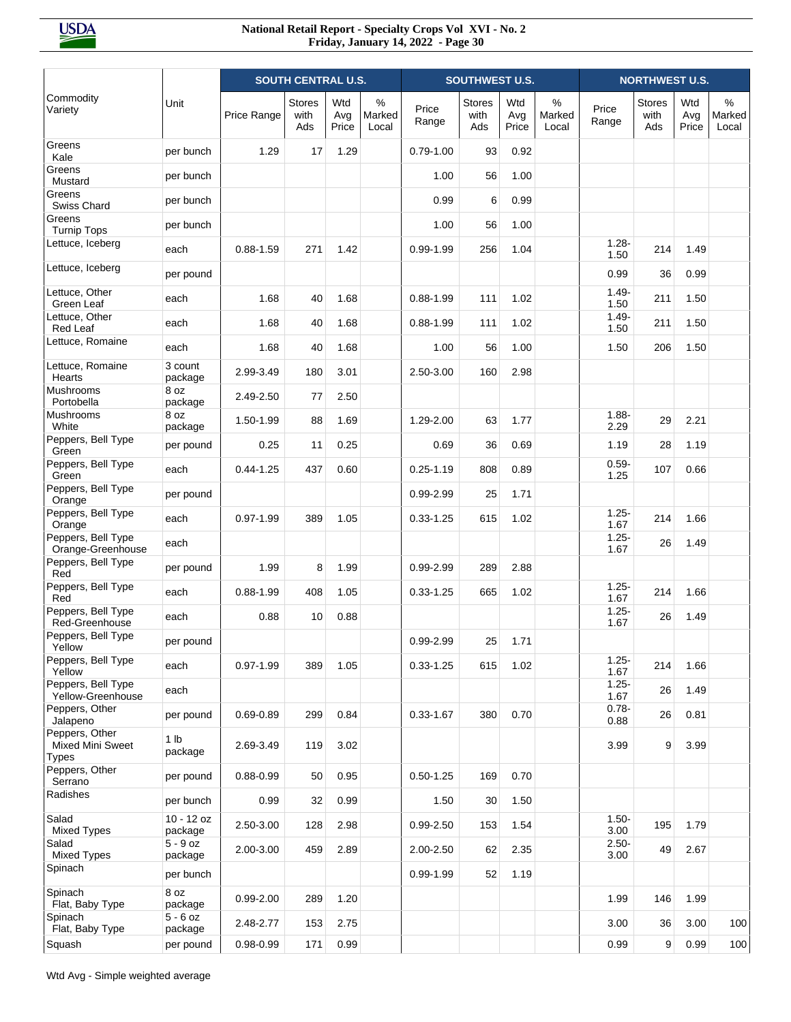|                                                           |                            |               | <b>SOUTH CENTRAL U.S.</b>    |                     |                         |                | SOUTHWEST U.S.               |                     |                      |                  | <b>NORTHWEST U.S.</b>        |                     |                         |
|-----------------------------------------------------------|----------------------------|---------------|------------------------------|---------------------|-------------------------|----------------|------------------------------|---------------------|----------------------|------------------|------------------------------|---------------------|-------------------------|
| Commodity<br>Variety                                      | Unit                       | Price Range   | <b>Stores</b><br>with<br>Ads | Wtd<br>Avg<br>Price | $\%$<br>Marked<br>Local | Price<br>Range | <b>Stores</b><br>with<br>Ads | Wtd<br>Avg<br>Price | %<br>Marked<br>Local | Price<br>Range   | <b>Stores</b><br>with<br>Ads | Wtd<br>Avg<br>Price | $\%$<br>Marked<br>Local |
| Greens<br>Kale                                            | per bunch                  | 1.29          | 17                           | 1.29                |                         | $0.79 - 1.00$  | 93                           | 0.92                |                      |                  |                              |                     |                         |
| Greens<br>Mustard                                         | per bunch                  |               |                              |                     |                         | 1.00           | 56                           | 1.00                |                      |                  |                              |                     |                         |
| Greens<br>Swiss Chard                                     | per bunch                  |               |                              |                     |                         | 0.99           | 6                            | 0.99                |                      |                  |                              |                     |                         |
| Greens<br><b>Turnip Tops</b>                              | per bunch                  |               |                              |                     |                         | 1.00           | 56                           | 1.00                |                      |                  |                              |                     |                         |
| Lettuce, Iceberg                                          | each                       | $0.88 - 1.59$ | 271                          | 1.42                |                         | $0.99 - 1.99$  | 256                          | 1.04                |                      | $1.28 -$<br>1.50 | 214                          | 1.49                |                         |
| Lettuce, Iceberg                                          | per pound                  |               |                              |                     |                         |                |                              |                     |                      | 0.99             | 36                           | 0.99                |                         |
| Lettuce, Other<br>Green Leaf                              | each                       | 1.68          | 40                           | 1.68                |                         | $0.88 - 1.99$  | 111                          | 1.02                |                      | $1.49 -$<br>1.50 | 211                          | 1.50                |                         |
| Lettuce, Other<br><b>Red Leaf</b>                         | each                       | 1.68          | 40                           | 1.68                |                         | $0.88 - 1.99$  | 111                          | 1.02                |                      | $1.49 -$<br>1.50 | 211                          | 1.50                |                         |
| Lettuce, Romaine                                          | each                       | 1.68          | 40                           | 1.68                |                         | 1.00           | 56                           | 1.00                |                      | 1.50             | 206                          | 1.50                |                         |
| Lettuce, Romaine<br>Hearts                                | 3 count<br>package         | 2.99-3.49     | 180                          | 3.01                |                         | 2.50-3.00      | 160                          | 2.98                |                      |                  |                              |                     |                         |
| Mushrooms<br>Portobella                                   | 8 oz<br>package            | 2.49-2.50     | 77                           | 2.50                |                         |                |                              |                     |                      |                  |                              |                     |                         |
| Mushrooms<br>White                                        | 8 oz<br>package            | 1.50-1.99     | 88                           | 1.69                |                         | 1.29-2.00      | 63                           | 1.77                |                      | $1.88 -$<br>2.29 | 29                           | 2.21                |                         |
| Peppers, Bell Type<br>Green                               | per pound                  | 0.25          | 11                           | 0.25                |                         | 0.69           | 36                           | 0.69                |                      | 1.19             | 28                           | 1.19                |                         |
| Peppers, Bell Type<br>Green                               | each                       | $0.44 - 1.25$ | 437                          | 0.60                |                         | $0.25 - 1.19$  | 808                          | 0.89                |                      | $0.59 -$<br>1.25 | 107                          | 0.66                |                         |
| Peppers, Bell Type<br>Orange                              | per pound                  |               |                              |                     |                         | 0.99-2.99      | 25                           | 1.71                |                      |                  |                              |                     |                         |
| Peppers, Bell Type<br>Orange                              | each                       | $0.97 - 1.99$ | 389                          | 1.05                |                         | $0.33 - 1.25$  | 615                          | 1.02                |                      | $1.25 -$<br>1.67 | 214                          | 1.66                |                         |
| Peppers, Bell Type<br>Orange-Greenhouse                   | each                       |               |                              |                     |                         |                |                              |                     |                      | $1.25 -$<br>1.67 | 26                           | 1.49                |                         |
| Peppers, Bell Type<br>Red                                 | per pound                  | 1.99          | 8                            | 1.99                |                         | $0.99 - 2.99$  | 289                          | 2.88                |                      |                  |                              |                     |                         |
| Peppers, Bell Type<br>Red                                 | each                       | $0.88 - 1.99$ | 408                          | 1.05                |                         | $0.33 - 1.25$  | 665                          | 1.02                |                      | $1.25 -$<br>1.67 | 214                          | 1.66                |                         |
| Peppers, Bell Type<br>Red-Greenhouse                      | each                       | 0.88          | 10                           | 0.88                |                         |                |                              |                     |                      | $1.25 -$<br>1.67 | 26                           | 1.49                |                         |
| Peppers, Bell Type<br>Yellow                              | per pound                  |               |                              |                     |                         | 0.99-2.99      | 25                           | 1.71                |                      |                  |                              |                     |                         |
| Peppers, Bell Type<br>Yellow                              | each                       | $0.97 - 1.99$ | 389                          | 1.05                |                         | $0.33 - 1.25$  | 615                          | 1.02                |                      | $1.25 -$<br>1.67 | 214                          | 1.66                |                         |
| Peppers, Bell Type<br>Yellow-Greenhouse                   | each                       |               |                              |                     |                         |                |                              |                     |                      | $1.25 -$<br>1.67 | 26                           | 1.49                |                         |
| Peppers, Other<br>Jalapeno                                | per pound                  | $0.69 - 0.89$ | 299                          | 0.84                |                         | $0.33 - 1.67$  | 380                          | 0.70                |                      | $0.78 -$<br>0.88 | 26                           | 0.81                |                         |
| Peppers, Other<br><b>Mixed Mini Sweet</b><br><b>Types</b> | 1 <sub>lb</sub><br>package | 2.69-3.49     | 119                          | 3.02                |                         |                |                              |                     |                      | 3.99             | 9                            | 3.99                |                         |
| Peppers, Other<br>Serrano                                 | per pound                  | $0.88 - 0.99$ | 50                           | 0.95                |                         | $0.50 - 1.25$  | 169                          | 0.70                |                      |                  |                              |                     |                         |
| Radishes                                                  | per bunch                  | 0.99          | 32                           | 0.99                |                         | 1.50           | 30                           | 1.50                |                      |                  |                              |                     |                         |
| Salad<br><b>Mixed Types</b>                               | $10 - 12$ oz<br>package    | 2.50-3.00     | 128                          | 2.98                |                         | $0.99 - 2.50$  | 153                          | 1.54                |                      | $1.50 -$<br>3.00 | 195                          | 1.79                |                         |
| Salad<br>Mixed Types                                      | $5 - 9$ oz<br>package      | 2.00-3.00     | 459                          | 2.89                |                         | 2.00-2.50      | 62                           | 2.35                |                      | $2.50 -$<br>3.00 | 49                           | 2.67                |                         |
| Spinach                                                   | per bunch                  |               |                              |                     |                         | $0.99 - 1.99$  | 52                           | 1.19                |                      |                  |                              |                     |                         |
| Spinach<br>Flat, Baby Type                                | 8 oz<br>package            | $0.99 - 2.00$ | 289                          | 1.20                |                         |                |                              |                     |                      | 1.99             | 146                          | 1.99                |                         |
| Spinach<br>Flat, Baby Type                                | $5 - 6$ oz<br>package      | 2.48-2.77     | 153                          | 2.75                |                         |                |                              |                     |                      | 3.00             | 36                           | 3.00                | 100                     |
| Squash                                                    | per pound                  | $0.98 - 0.99$ | 171                          | 0.99                |                         |                |                              |                     |                      | 0.99             | 9                            | 0.99                | 100                     |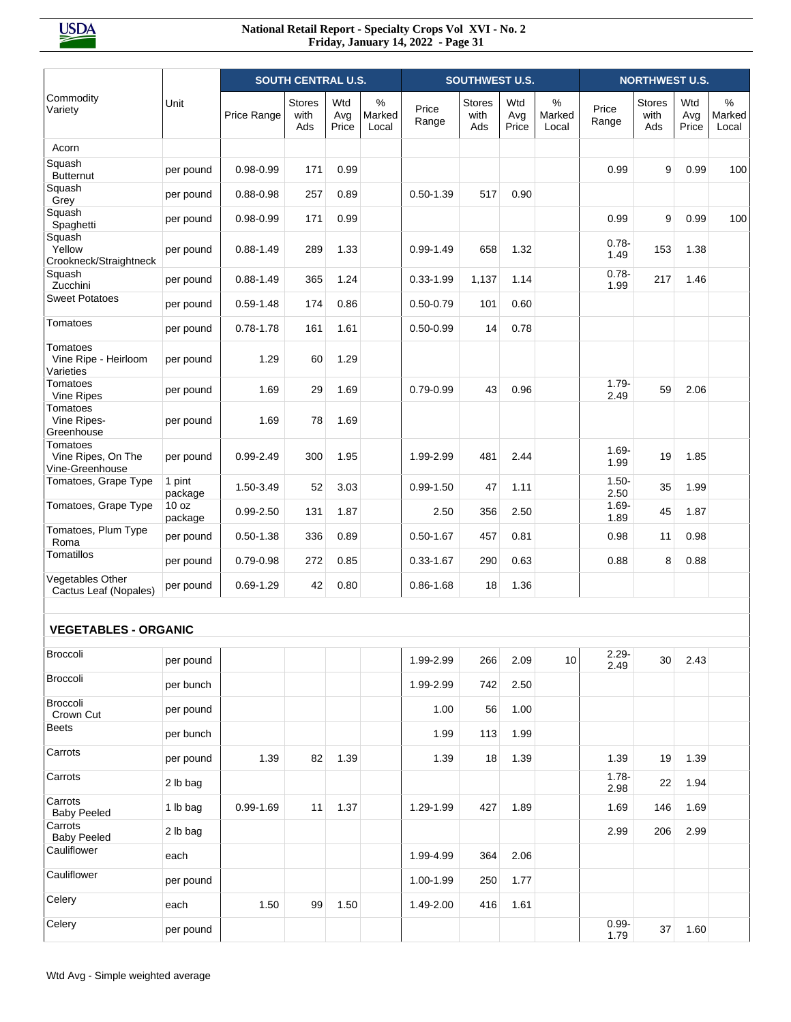|                                                   |                   |               | <b>SOUTH CENTRAL U.S.</b>    |                     |                      |                | <b>SOUTHWEST U.S.</b>        |                     |                      |                  | <b>NORTHWEST U.S.</b>        |                     |                         |
|---------------------------------------------------|-------------------|---------------|------------------------------|---------------------|----------------------|----------------|------------------------------|---------------------|----------------------|------------------|------------------------------|---------------------|-------------------------|
| Commodity<br>Variety                              | Unit              | Price Range   | <b>Stores</b><br>with<br>Ads | Wtd<br>Avg<br>Price | %<br>Marked<br>Local | Price<br>Range | <b>Stores</b><br>with<br>Ads | Wtd<br>Avg<br>Price | %<br>Marked<br>Local | Price<br>Range   | <b>Stores</b><br>with<br>Ads | Wtd<br>Avg<br>Price | $\%$<br>Marked<br>Local |
| Acorn                                             |                   |               |                              |                     |                      |                |                              |                     |                      |                  |                              |                     |                         |
| Squash<br><b>Butternut</b>                        | per pound         | $0.98 - 0.99$ | 171                          | 0.99                |                      |                |                              |                     |                      | 0.99             | 9                            | 0.99                | 100                     |
| Squash<br>Grey                                    | per pound         | $0.88 - 0.98$ | 257                          | 0.89                |                      | $0.50 - 1.39$  | 517                          | 0.90                |                      |                  |                              |                     |                         |
| Squash<br>Spaghetti                               | per pound         | $0.98 - 0.99$ | 171                          | 0.99                |                      |                |                              |                     |                      | 0.99             | 9                            | 0.99                | 100                     |
| Squash<br>Yellow<br>Crookneck/Straightneck        | per pound         | $0.88 - 1.49$ | 289                          | 1.33                |                      | $0.99 - 1.49$  | 658                          | 1.32                |                      | $0.78 -$<br>1.49 | 153                          | 1.38                |                         |
| Squash<br>Zucchini                                | per pound         | $0.88 - 1.49$ | 365                          | 1.24                |                      | $0.33 - 1.99$  | 1,137                        | 1.14                |                      | $0.78 -$<br>1.99 | 217                          | 1.46                |                         |
| <b>Sweet Potatoes</b>                             | per pound         | $0.59 - 1.48$ | 174                          | 0.86                |                      | $0.50 - 0.79$  | 101                          | 0.60                |                      |                  |                              |                     |                         |
| Tomatoes                                          | per pound         | $0.78 - 1.78$ | 161                          | 1.61                |                      | $0.50 - 0.99$  | 14                           | 0.78                |                      |                  |                              |                     |                         |
| Tomatoes<br>Vine Ripe - Heirloom<br>Varieties     | per pound         | 1.29          | 60                           | 1.29                |                      |                |                              |                     |                      |                  |                              |                     |                         |
| Tomatoes<br>Vine Ripes                            | per pound         | 1.69          | 29                           | 1.69                |                      | 0.79-0.99      | 43                           | 0.96                |                      | $1.79 -$<br>2.49 | 59                           | 2.06                |                         |
| Tomatoes<br>Vine Ripes-<br>Greenhouse             | per pound         | 1.69          | 78                           | 1.69                |                      |                |                              |                     |                      |                  |                              |                     |                         |
| Tomatoes<br>Vine Ripes, On The<br>Vine-Greenhouse | per pound         | $0.99 - 2.49$ | 300                          | 1.95                |                      | 1.99-2.99      | 481                          | 2.44                |                      | $1.69 -$<br>1.99 | 19                           | 1.85                |                         |
| Tomatoes, Grape Type                              | 1 pint<br>package | 1.50-3.49     | 52                           | 3.03                |                      | $0.99 - 1.50$  | 47                           | 1.11                |                      | $1.50 -$<br>2.50 | 35                           | 1.99                |                         |
| Tomatoes, Grape Type                              | 10 oz<br>package  | $0.99 - 2.50$ | 131                          | 1.87                |                      | 2.50           | 356                          | 2.50                |                      | $1.69 -$<br>1.89 | 45                           | 1.87                |                         |
| Tomatoes, Plum Type<br>Roma                       | per pound         | $0.50 - 1.38$ | 336                          | 0.89                |                      | $0.50 - 1.67$  | 457                          | 0.81                |                      | 0.98             | 11                           | 0.98                |                         |
| Tomatillos                                        | per pound         | $0.79 - 0.98$ | 272                          | 0.85                |                      | $0.33 - 1.67$  | 290                          | 0.63                |                      | 0.88             | 8                            | 0.88                |                         |
| Vegetables Other<br>Cactus Leaf (Nopales)         | per pound         | $0.69 - 1.29$ | 42                           | 0.80                |                      | $0.86 - 1.68$  | 18                           | 1.36                |                      |                  |                              |                     |                         |
| <b>VEGETABLES - ORGANIC</b>                       |                   |               |                              |                     |                      |                |                              |                     |                      |                  |                              |                     |                         |
| Broccoli                                          | per pound         |               |                              |                     |                      | 1.99-2.99      | 266                          | 2.09                | 10                   | $2.29 -$<br>2.49 | 30                           | 2.43                |                         |
| Broccoli                                          | per bunch         |               |                              |                     |                      | 1.99-2.99      | 742                          | 2.50                |                      |                  |                              |                     |                         |
| <b>Broccoli</b><br>Crown Cut                      | per pound         |               |                              |                     |                      | 1.00           | 56                           | 1.00                |                      |                  |                              |                     |                         |
| <b>Beets</b>                                      | per bunch         |               |                              |                     |                      | 1.99           | 113                          | 1.99                |                      |                  |                              |                     |                         |
| Carrots                                           | per pound         | 1.39          | 82                           | 1.39                |                      | 1.39           | 18                           | 1.39                |                      | 1.39             | 19                           | 1.39                |                         |
| Carrots                                           | 2 lb bag          |               |                              |                     |                      |                |                              |                     |                      | $1.78 -$<br>2.98 | 22                           | 1.94                |                         |
| Carrots<br><b>Baby Peeled</b>                     | 1 lb bag          | 0.99-1.69     | 11                           | 1.37                |                      | 1.29-1.99      | 427                          | 1.89                |                      | 1.69             | 146                          | 1.69                |                         |
| Carrots<br><b>Baby Peeled</b>                     | 2 lb bag          |               |                              |                     |                      |                |                              |                     |                      | 2.99             | 206                          | 2.99                |                         |
| Cauliflower                                       | each              |               |                              |                     |                      | 1.99-4.99      | 364                          | 2.06                |                      |                  |                              |                     |                         |
| Cauliflower                                       | per pound         |               |                              |                     |                      | 1.00-1.99      | 250                          | 1.77                |                      |                  |                              |                     |                         |
| Celery                                            | each              | 1.50          | 99                           | 1.50                |                      | 1.49-2.00      | 416                          | 1.61                |                      |                  |                              |                     |                         |
| Celery                                            | per pound         |               |                              |                     |                      |                |                              |                     |                      | $0.99 -$<br>1.79 | 37                           | 1.60                |                         |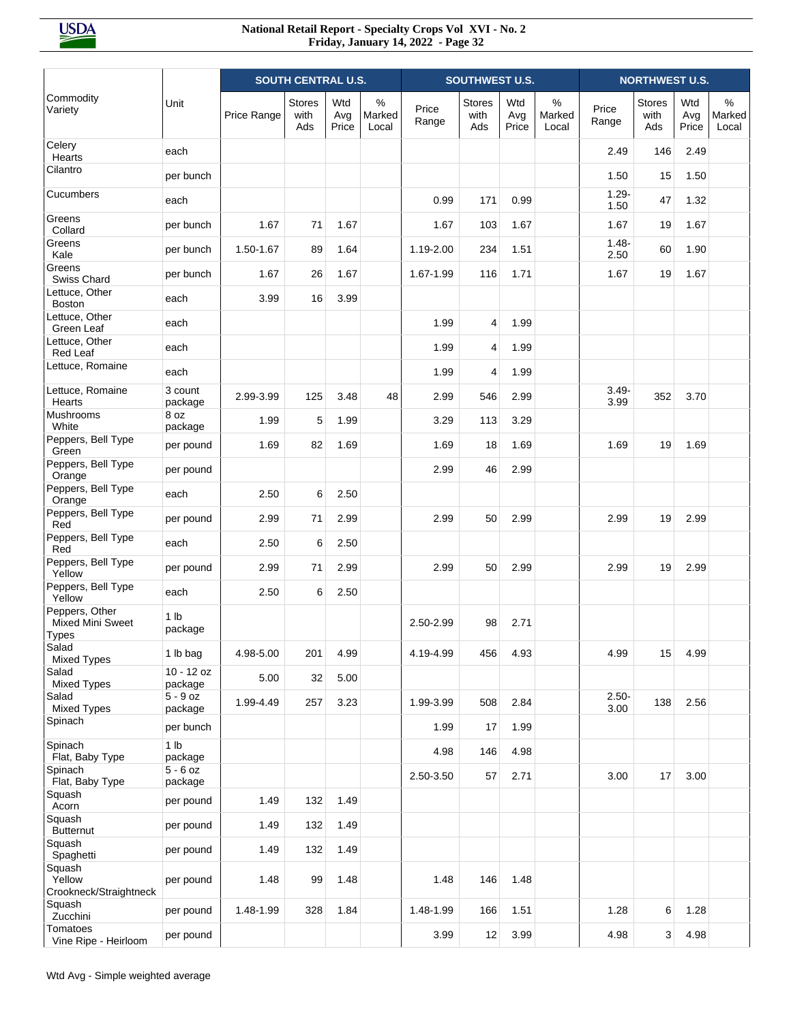|                                                           |                            | <b>SOUTH CENTRAL U.S.</b> |                              |                     |                      | <b>SOUTHWEST U.S.</b> |                              |                     |                      | <b>NORTHWEST U.S.</b> |                              |                     |                      |
|-----------------------------------------------------------|----------------------------|---------------------------|------------------------------|---------------------|----------------------|-----------------------|------------------------------|---------------------|----------------------|-----------------------|------------------------------|---------------------|----------------------|
| Commodity<br>Variety                                      | Unit                       | Price Range               | <b>Stores</b><br>with<br>Ads | Wtd<br>Avg<br>Price | %<br>Marked<br>Local | Price<br>Range        | <b>Stores</b><br>with<br>Ads | Wtd<br>Avg<br>Price | %<br>Marked<br>Local | Price<br>Range        | <b>Stores</b><br>with<br>Ads | Wtd<br>Avg<br>Price | %<br>Marked<br>Local |
| Celery<br>Hearts                                          | each                       |                           |                              |                     |                      |                       |                              |                     |                      | 2.49                  | 146                          | 2.49                |                      |
| Cilantro                                                  | per bunch                  |                           |                              |                     |                      |                       |                              |                     |                      | 1.50                  | 15                           | 1.50                |                      |
| Cucumbers                                                 | each                       |                           |                              |                     |                      | 0.99                  | 171                          | 0.99                |                      | $1.29 -$<br>1.50      | 47                           | 1.32                |                      |
| Greens<br>Collard                                         | per bunch                  | 1.67                      | 71                           | 1.67                |                      | 1.67                  | 103                          | 1.67                |                      | 1.67                  | 19                           | 1.67                |                      |
| Greens<br>Kale                                            | per bunch                  | 1.50-1.67                 | 89                           | 1.64                |                      | 1.19-2.00             | 234                          | 1.51                |                      | $1.48 -$<br>2.50      | 60                           | 1.90                |                      |
| Greens<br>Swiss Chard                                     | per bunch                  | 1.67                      | 26                           | 1.67                |                      | 1.67-1.99             | 116                          | 1.71                |                      | 1.67                  | 19                           | 1.67                |                      |
| Lettuce, Other<br><b>Boston</b>                           | each                       | 3.99                      | 16                           | 3.99                |                      |                       |                              |                     |                      |                       |                              |                     |                      |
| Lettuce, Other<br>Green Leaf                              | each                       |                           |                              |                     |                      | 1.99                  | $\overline{4}$               | 1.99                |                      |                       |                              |                     |                      |
| Lettuce, Other<br>Red Leaf                                | each                       |                           |                              |                     |                      | 1.99                  | 4                            | 1.99                |                      |                       |                              |                     |                      |
| Lettuce, Romaine                                          | each                       |                           |                              |                     |                      | 1.99                  | 4                            | 1.99                |                      |                       |                              |                     |                      |
| Lettuce, Romaine<br>Hearts                                | 3 count<br>package         | 2.99-3.99                 | 125                          | 3.48                | 48                   | 2.99                  | 546                          | 2.99                |                      | $3.49 -$<br>3.99      | 352                          | 3.70                |                      |
| Mushrooms<br>White                                        | 8 oz<br>package            | 1.99                      | 5                            | 1.99                |                      | 3.29                  | 113                          | 3.29                |                      |                       |                              |                     |                      |
| Peppers, Bell Type<br>Green                               | per pound                  | 1.69                      | 82                           | 1.69                |                      | 1.69                  | 18                           | 1.69                |                      | 1.69                  | 19                           | 1.69                |                      |
| Peppers, Bell Type<br>Orange                              | per pound                  |                           |                              |                     |                      | 2.99                  | 46                           | 2.99                |                      |                       |                              |                     |                      |
| Peppers, Bell Type<br>Orange                              | each                       | 2.50                      | 6                            | 2.50                |                      |                       |                              |                     |                      |                       |                              |                     |                      |
| Peppers, Bell Type<br>Red                                 | per pound                  | 2.99                      | 71                           | 2.99                |                      | 2.99                  | 50                           | 2.99                |                      | 2.99                  | 19                           | 2.99                |                      |
| Peppers, Bell Type<br>Red                                 | each                       | 2.50                      | 6                            | 2.50                |                      |                       |                              |                     |                      |                       |                              |                     |                      |
| Peppers, Bell Type<br>Yellow                              | per pound                  | 2.99                      | 71                           | 2.99                |                      | 2.99                  | 50                           | 2.99                |                      | 2.99                  | 19                           | 2.99                |                      |
| Peppers, Bell Type<br>Yellow                              | each                       | 2.50                      | 6                            | 2.50                |                      |                       |                              |                     |                      |                       |                              |                     |                      |
| Peppers, Other<br><b>Mixed Mini Sweet</b><br><b>Types</b> | 1 <sub>lb</sub><br>package |                           |                              |                     |                      | 2.50-2.99             | 98                           | 2.71                |                      |                       |                              |                     |                      |
| Salad<br><b>Mixed Types</b>                               | 1 lb bag                   | 4.98-5.00                 | 201                          | 4.99                |                      | 4.19-4.99             | 456                          | 4.93                |                      | 4.99                  | 15                           | 4.99                |                      |
| Salad<br><b>Mixed Types</b>                               | $10 - 12$ oz<br>package    | 5.00                      | 32                           | 5.00                |                      |                       |                              |                     |                      |                       |                              |                     |                      |
| Salad<br><b>Mixed Types</b>                               | $5 - 9$ oz<br>package      | 1.99-4.49                 | 257                          | 3.23                |                      | 1.99-3.99             | 508                          | 2.84                |                      | $2.50 -$<br>3.00      | 138                          | 2.56                |                      |
| Spinach                                                   | per bunch                  |                           |                              |                     |                      | 1.99                  | 17                           | 1.99                |                      |                       |                              |                     |                      |
| Spinach<br>Flat, Baby Type                                | 1 <sub>lb</sub><br>package |                           |                              |                     |                      | 4.98                  | 146                          | 4.98                |                      |                       |                              |                     |                      |
| Spinach<br>Flat, Baby Type                                | $5 - 6$ oz<br>package      |                           |                              |                     |                      | 2.50-3.50             | 57                           | 2.71                |                      | 3.00                  | 17                           | 3.00                |                      |
| Squash<br>Acorn                                           | per pound                  | 1.49                      | 132                          | 1.49                |                      |                       |                              |                     |                      |                       |                              |                     |                      |
| Squash<br><b>Butternut</b>                                | per pound                  | 1.49                      | 132                          | 1.49                |                      |                       |                              |                     |                      |                       |                              |                     |                      |
| Squash<br>Spaghetti                                       | per pound                  | 1.49                      | 132                          | 1.49                |                      |                       |                              |                     |                      |                       |                              |                     |                      |
| Squash<br>Yellow<br>Crookneck/Straightneck                | per pound                  | 1.48                      | 99                           | 1.48                |                      | 1.48                  | 146                          | 1.48                |                      |                       |                              |                     |                      |
| Squash<br>Zucchini                                        | per pound                  | 1.48-1.99                 | 328                          | 1.84                |                      | 1.48-1.99             | 166                          | 1.51                |                      | 1.28                  | 6                            | 1.28                |                      |
| Tomatoes<br>Vine Ripe - Heirloom                          | per pound                  |                           |                              |                     |                      | 3.99                  | 12                           | 3.99                |                      | 4.98                  | 3                            | 4.98                |                      |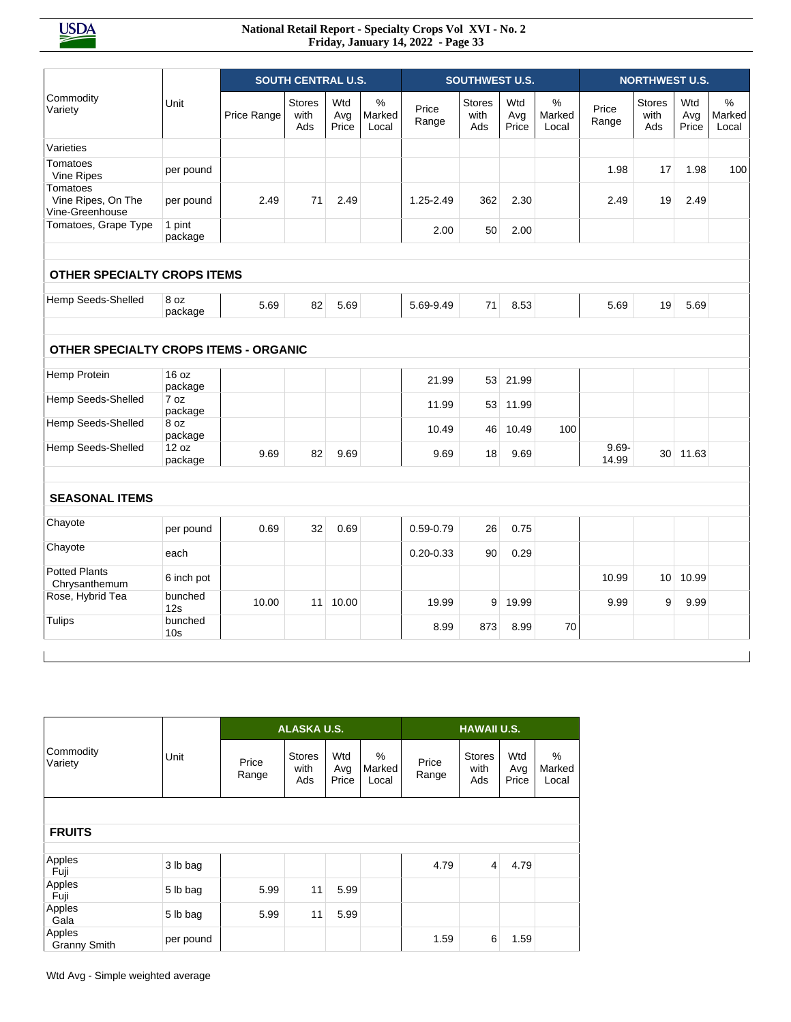|                                                              |                           |             | <b>SOUTH CENTRAL U.S.</b>    |                     |                         |                | <b>SOUTHWEST U.S.</b>        |                     |                         |                   | <b>NORTHWEST U.S.</b>        |                     |                         |
|--------------------------------------------------------------|---------------------------|-------------|------------------------------|---------------------|-------------------------|----------------|------------------------------|---------------------|-------------------------|-------------------|------------------------------|---------------------|-------------------------|
| Commodity<br>Variety                                         | Unit                      | Price Range | <b>Stores</b><br>with<br>Ads | Wtd<br>Avg<br>Price | $\%$<br>Marked<br>Local | Price<br>Range | <b>Stores</b><br>with<br>Ads | Wtd<br>Avg<br>Price | $\%$<br>Marked<br>Local | Price<br>Range    | <b>Stores</b><br>with<br>Ads | Wtd<br>Avg<br>Price | $\%$<br>Marked<br>Local |
| Varieties                                                    |                           |             |                              |                     |                         |                |                              |                     |                         |                   |                              |                     |                         |
| Tomatoes<br>Vine Ripes                                       | per pound                 |             |                              |                     |                         |                |                              |                     |                         | 1.98              | 17                           | 1.98                | 100                     |
| Tomatoes<br>Vine Ripes, On The<br>Vine-Greenhouse            | per pound                 | 2.49        | 71                           | 2.49                |                         | 1.25-2.49      | 362                          | 2.30                |                         | 2.49              | 19                           | 2.49                |                         |
| Tomatoes, Grape Type                                         | 1 pint<br>package         |             |                              |                     |                         | 2.00           | 50                           | 2.00                |                         |                   |                              |                     |                         |
| OTHER SPECIALTY CROPS ITEMS                                  |                           |             |                              |                     |                         |                |                              |                     |                         |                   |                              |                     |                         |
| Hemp Seeds-Shelled                                           | 8 oz<br>package           | 5.69        | 82                           | 5.69                |                         | 5.69-9.49      | 71                           | 8.53                |                         | 5.69              | 19                           | 5.69                |                         |
| <b>OTHER SPECIALTY CROPS ITEMS - ORGANIC</b><br>Hemp Protein | 16 oz                     |             |                              |                     |                         |                |                              |                     |                         |                   |                              |                     |                         |
|                                                              | package                   |             |                              |                     |                         | 21.99          | 53                           | 21.99               |                         |                   |                              |                     |                         |
| Hemp Seeds-Shelled                                           | 7 oz<br>package           |             |                              |                     |                         | 11.99          | 53                           | 11.99               |                         |                   |                              |                     |                         |
| Hemp Seeds-Shelled                                           | 8 oz<br>package           |             |                              |                     |                         | 10.49          | 46                           | 10.49               | 100                     |                   |                              |                     |                         |
| Hemp Seeds-Shelled                                           | 12 oz<br>package          | 9.69        | 82                           | 9.69                |                         | 9.69           | 18                           | 9.69                |                         | $9.69 -$<br>14.99 | 30                           | 11.63               |                         |
|                                                              |                           |             |                              |                     |                         |                |                              |                     |                         |                   |                              |                     |                         |
|                                                              |                           |             |                              |                     |                         |                |                              |                     |                         |                   |                              |                     |                         |
| <b>SEASONAL ITEMS</b>                                        |                           |             |                              |                     |                         |                |                              |                     |                         |                   |                              |                     |                         |
| Chayote                                                      | per pound                 | 0.69        | 32                           | 0.69                |                         | 0.59-0.79      | 26                           | 0.75                |                         |                   |                              |                     |                         |
| Chayote                                                      | each                      |             |                              |                     |                         | $0.20 - 0.33$  | 90                           | 0.29                |                         |                   |                              |                     |                         |
| <b>Potted Plants</b><br>Chrysanthemum                        | 6 inch pot                |             |                              |                     |                         |                |                              |                     |                         | 10.99             | 10                           | 10.99               |                         |
| Rose, Hybrid Tea<br>Tulips                                   | bunched<br>12s<br>bunched | 10.00       | 11                           | 10.00               |                         | 19.99          | 9                            | 19.99               |                         | 9.99              | 9                            | 9.99                |                         |

|                               |           |                | ALASKA U.S.                  |                     |                         |                | <b>HAWAII U.S.</b>           |                     |                      |
|-------------------------------|-----------|----------------|------------------------------|---------------------|-------------------------|----------------|------------------------------|---------------------|----------------------|
| Commodity<br>Variety          | Unit      | Price<br>Range | <b>Stores</b><br>with<br>Ads | Wtd<br>Avg<br>Price | $\%$<br>Marked<br>Local | Price<br>Range | <b>Stores</b><br>with<br>Ads | Wtd<br>Avg<br>Price | %<br>Marked<br>Local |
|                               |           |                |                              |                     |                         |                |                              |                     |                      |
| <b>FRUITS</b>                 |           |                |                              |                     |                         |                |                              |                     |                      |
| Apples<br>Fuji                | 3 lb bag  |                |                              |                     |                         | 4.79           | $\overline{4}$               | 4.79                |                      |
| Apples<br>Fuji                | 5 lb bag  | 5.99           | 11                           | 5.99                |                         |                |                              |                     |                      |
| Apples<br>Gala                | 5 lb bag  | 5.99           | 11                           | 5.99                |                         |                |                              |                     |                      |
| Apples<br><b>Granny Smith</b> | per pound |                |                              |                     |                         | 1.59           | 6                            | 1.59                |                      |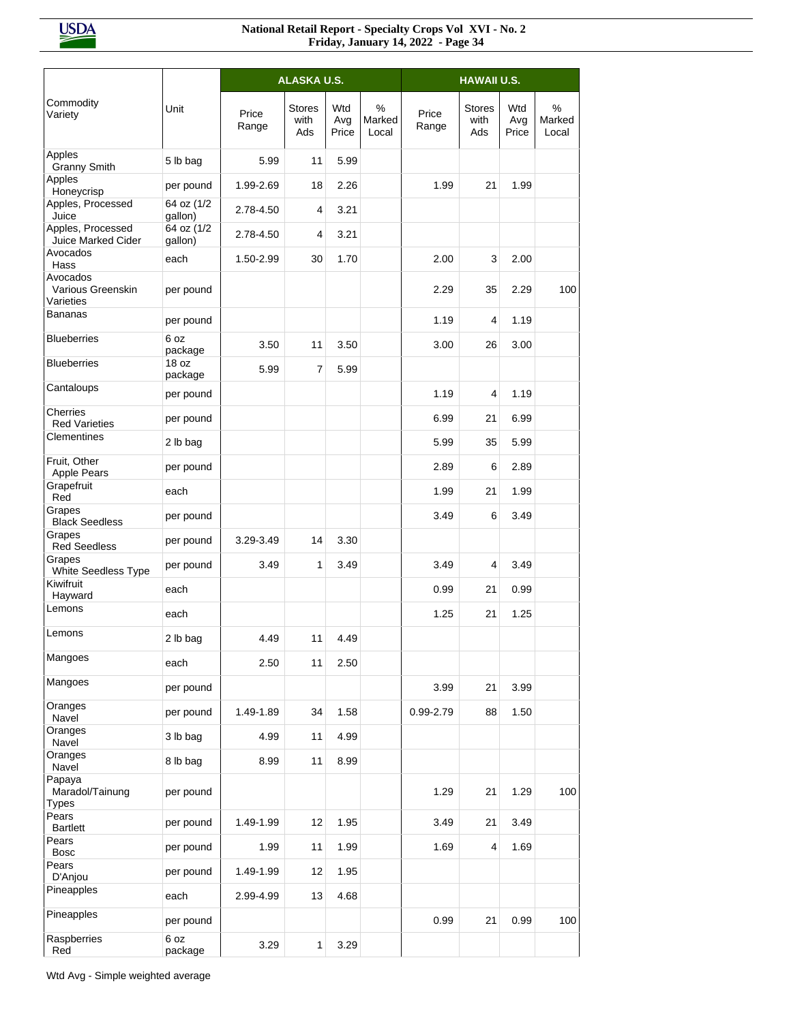|                                            |                       |                | ALASKA U.S.                  |                     |                      |                | <b>HAWAII U.S.</b>           |                     |                      |
|--------------------------------------------|-----------------------|----------------|------------------------------|---------------------|----------------------|----------------|------------------------------|---------------------|----------------------|
| Commodity<br>Variety                       | Unit                  | Price<br>Range | <b>Stores</b><br>with<br>Ads | Wtd<br>Avg<br>Price | %<br>Marked<br>Local | Price<br>Range | <b>Stores</b><br>with<br>Ads | Wtd<br>Avg<br>Price | %<br>Marked<br>Local |
| Apples<br><b>Granny Smith</b>              | 5 lb bag              | 5.99           | 11                           | 5.99                |                      |                |                              |                     |                      |
| Apples<br>Honeycrisp                       | per pound             | 1.99-2.69      | 18                           | 2.26                |                      | 1.99           | 21                           | 1.99                |                      |
| Apples, Processed<br>Juice                 | 64 oz (1/2<br>qallon) | 2.78-4.50      | $\overline{4}$               | 3.21                |                      |                |                              |                     |                      |
| Apples, Processed<br>Juice Marked Cider    | 64 oz (1/2<br>qallon) | 2.78-4.50      | 4                            | 3.21                |                      |                |                              |                     |                      |
| Avocados<br>Hass                           | each                  | 1.50-2.99      | 30                           | 1.70                |                      | 2.00           | 3                            | 2.00                |                      |
| Avocados<br>Various Greenskin<br>Varieties | per pound             |                |                              |                     |                      | 2.29           | 35                           | 2.29                | 100                  |
| Bananas                                    | per pound             |                |                              |                     |                      | 1.19           | 4                            | 1.19                |                      |
| <b>Blueberries</b>                         | 6 oz<br>package       | 3.50           | 11                           | 3.50                |                      | 3.00           | 26                           | 3.00                |                      |
| <b>Blueberries</b>                         | 18 oz<br>package      | 5.99           | $\overline{7}$               | 5.99                |                      |                |                              |                     |                      |
| Cantaloups                                 | per pound             |                |                              |                     |                      | 1.19           | 4                            | 1.19                |                      |
| Cherries<br><b>Red Varieties</b>           | per pound             |                |                              |                     |                      | 6.99           | 21                           | 6.99                |                      |
| Clementines                                | 2 lb bag              |                |                              |                     |                      | 5.99           | 35                           | 5.99                |                      |
| Fruit, Other<br>Apple Pears                | per pound             |                |                              |                     |                      | 2.89           | 6                            | 2.89                |                      |
| Grapefruit<br>Red                          | each                  |                |                              |                     |                      | 1.99           | 21                           | 1.99                |                      |
| Grapes<br><b>Black Seedless</b>            | per pound             |                |                              |                     |                      | 3.49           | 6                            | 3.49                |                      |
| Grapes<br><b>Red Seedless</b>              | per pound             | 3.29-3.49      | 14                           | 3.30                |                      |                |                              |                     |                      |
| Grapes<br>White Seedless Type              | per pound             | 3.49           | 1                            | 3.49                |                      | 3.49           | 4                            | 3.49                |                      |
| Kiwifruit<br>Hayward                       | each                  |                |                              |                     |                      | 0.99           | 21                           | 0.99                |                      |
| Lemons                                     | each                  |                |                              |                     |                      | 1.25           | 21                           | 1.25                |                      |
| Lemons                                     | 2 lb bag              | 4.49           | 11                           | 4.49                |                      |                |                              |                     |                      |
| Mangoes                                    | each                  | 2.50           | 11                           | 2.50                |                      |                |                              |                     |                      |
| Mangoes                                    | per pound             |                |                              |                     |                      | 3.99           | 21                           | 3.99                |                      |
| Oranges<br>Navel                           | per pound             | 1.49-1.89      | 34                           | 1.58                |                      | 0.99-2.79      | 88                           | 1.50                |                      |
| Oranges<br>Navel                           | 3 lb bag              | 4.99           | 11                           | 4.99                |                      |                |                              |                     |                      |
| Oranges<br>Navel                           | 8 lb bag              | 8.99           | 11                           | 8.99                |                      |                |                              |                     |                      |
| Papaya<br>Maradol/Tainung<br>Types         | per pound             |                |                              |                     |                      | 1.29           | 21                           | 1.29                | 100                  |
| Pears<br><b>Bartlett</b>                   | per pound             | 1.49-1.99      | 12                           | 1.95                |                      | 3.49           | 21                           | 3.49                |                      |
| Pears<br><b>Bosc</b>                       | per pound             | 1.99           | 11                           | 1.99                |                      | 1.69           | 4                            | 1.69                |                      |
| Pears<br>D'Anjou                           | per pound             | 1.49-1.99      | 12                           | 1.95                |                      |                |                              |                     |                      |
| Pineapples                                 | each                  | 2.99-4.99      | 13                           | 4.68                |                      |                |                              |                     |                      |
| Pineapples                                 | per pound             |                |                              |                     |                      | 0.99           | 21                           | 0.99                | 100                  |
| Raspberries<br>Red                         | 6 oz<br>package       | 3.29           | 1                            | 3.29                |                      |                |                              |                     |                      |

Wtd Avg - Simple weighted average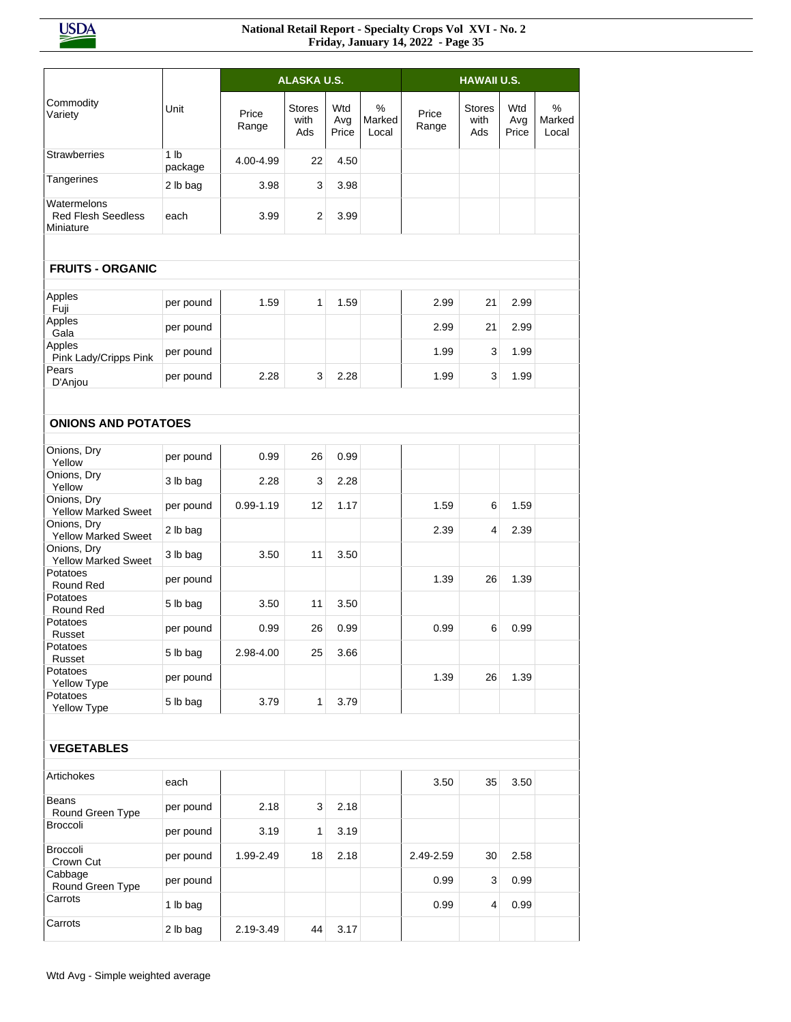|                                                |                            |                | <b>ALASKA U.S.</b>           |                     |                      |                |                              |                     |                      |
|------------------------------------------------|----------------------------|----------------|------------------------------|---------------------|----------------------|----------------|------------------------------|---------------------|----------------------|
|                                                |                            |                |                              |                     |                      |                | <b>HAWAII U.S.</b>           |                     |                      |
| Commodity<br>Variety                           | Unit                       | Price<br>Range | <b>Stores</b><br>with<br>Ads | Wtd<br>Avg<br>Price | %<br>Marked<br>Local | Price<br>Range | <b>Stores</b><br>with<br>Ads | Wtd<br>Avg<br>Price | %<br>Marked<br>Local |
| <b>Strawberries</b>                            | 1 <sub>lb</sub><br>package | 4.00-4.99      | 22                           | 4.50                |                      |                |                              |                     |                      |
| Tangerines                                     | 2 lb bag                   | 3.98           | 3                            | 3.98                |                      |                |                              |                     |                      |
| Watermelons<br>Red Flesh Seedless<br>Miniature | each                       | 3.99           | $\overline{2}$               | 3.99                |                      |                |                              |                     |                      |
|                                                |                            |                |                              |                     |                      |                |                              |                     |                      |
| <b>FRUITS - ORGANIC</b>                        |                            |                |                              |                     |                      |                |                              |                     |                      |
| Apples<br>Fuji                                 | per pound                  | 1.59           | 1                            | 1.59                |                      | 2.99           | 21                           | 2.99                |                      |
| Apples<br>Gala                                 | per pound                  |                |                              |                     |                      | 2.99           | 21                           | 2.99                |                      |
| Apples<br>Pink Lady/Cripps Pink                | per pound                  |                |                              |                     |                      | 1.99           | 3                            | 1.99                |                      |
| Pears<br>D'Anjou                               | per pound                  | 2.28           | 3                            | 2.28                |                      | 1.99           | 3                            | 1.99                |                      |
|                                                |                            |                |                              |                     |                      |                |                              |                     |                      |
| <b>ONIONS AND POTATOES</b>                     |                            |                |                              |                     |                      |                |                              |                     |                      |
| Onions, Dry<br>Yellow                          | per pound                  | 0.99           | 26                           | 0.99                |                      |                |                              |                     |                      |
| Onions, Dry<br>Yellow                          | 3 lb bag                   | 2.28           | 3                            | 2.28                |                      |                |                              |                     |                      |
| Onions, Dry<br><b>Yellow Marked Sweet</b>      | per pound                  | $0.99 - 1.19$  | 12                           | 1.17                |                      | 1.59           | 6                            | 1.59                |                      |
| Onions, Dry<br>Yellow Marked Sweet             | 2 lb bag                   |                |                              |                     |                      | 2.39           | 4                            | 2.39                |                      |
| Onions, Dry<br><b>Yellow Marked Sweet</b>      | 3 lb bag                   | 3.50           | 11                           | 3.50                |                      |                |                              |                     |                      |
| Potatoes<br>Round Red                          | per pound                  |                |                              |                     |                      | 1.39           | 26                           | 1.39                |                      |
| Potatoes<br>Round Red                          | 5 lb bag                   | 3.50           | 11                           | 3.50                |                      |                |                              |                     |                      |
| Potatoes<br>Russet                             | per pound                  | 0.99           | 26                           | 0.99                |                      | 0.99           | 6                            | 0.99                |                      |
| Potatoes<br>Russet                             | 5 lb bag                   | 2.98-4.00      | 25                           | 3.66                |                      |                |                              |                     |                      |
| Potatoes<br>Yellow Type                        | per pound                  |                |                              |                     |                      | 1.39           | 26                           | 1.39                |                      |
| Potatoes<br>Yellow Type                        | 5 lb bag                   | 3.79           | 1                            | 3.79                |                      |                |                              |                     |                      |
|                                                |                            |                |                              |                     |                      |                |                              |                     |                      |
| <b>VEGETABLES</b>                              |                            |                |                              |                     |                      |                |                              |                     |                      |
| Artichokes                                     | each                       |                |                              |                     |                      | 3.50           | 35                           | 3.50                |                      |
| <b>Beans</b><br>Round Green Type               | per pound                  | 2.18           | 3                            | 2.18                |                      |                |                              |                     |                      |
| Broccoli                                       | per pound                  | 3.19           | 1                            | 3.19                |                      |                |                              |                     |                      |
| Broccoli<br>Crown Cut                          | per pound                  | 1.99-2.49      | 18                           | 2.18                |                      | 2.49-2.59      | 30                           | 2.58                |                      |
| Cabbage<br>Round Green Type                    | per pound                  |                |                              |                     |                      | 0.99           | 3                            | 0.99                |                      |
| Carrots                                        | 1 lb bag                   |                |                              |                     |                      | 0.99           | 4                            | 0.99                |                      |
| Carrots                                        | 2 lb bag                   | 2.19-3.49      | 44                           | 3.17                |                      |                |                              |                     |                      |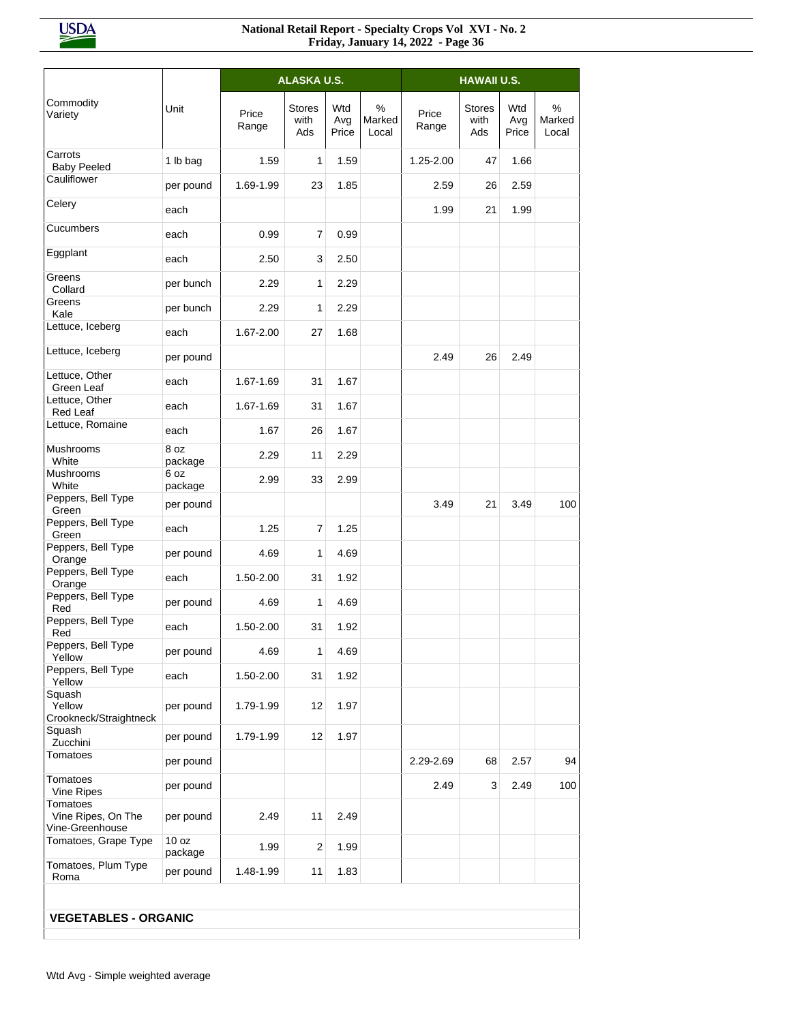|                                                   |                  |                | <b>ALASKA U.S.</b>    |                     |                         |                | <b>HAWAII U.S.</b>           |                     |                      |
|---------------------------------------------------|------------------|----------------|-----------------------|---------------------|-------------------------|----------------|------------------------------|---------------------|----------------------|
| Commodity<br>Variety                              | Unit             | Price<br>Range | Stores<br>with<br>Ads | Wtd<br>Avg<br>Price | $\%$<br>Marked<br>Local | Price<br>Range | <b>Stores</b><br>with<br>Ads | Wtd<br>Avg<br>Price | %<br>Marked<br>Local |
| Carrots<br><b>Baby Peeled</b>                     | 1 lb bag         | 1.59           | 1                     | 1.59                |                         | 1.25-2.00      | 47                           | 1.66                |                      |
| Cauliflower                                       | per pound        | 1.69-1.99      | 23                    | 1.85                |                         | 2.59           | 26                           | 2.59                |                      |
| Celery                                            | each             |                |                       |                     |                         | 1.99           | 21                           | 1.99                |                      |
| Cucumbers                                         | each             | 0.99           | $\overline{7}$        | 0.99                |                         |                |                              |                     |                      |
| Eggplant                                          | each             | 2.50           | 3                     | 2.50                |                         |                |                              |                     |                      |
| Greens<br>Collard                                 | per bunch        | 2.29           | 1                     | 2.29                |                         |                |                              |                     |                      |
| Greens<br>Kale                                    | per bunch        | 2.29           | 1                     | 2.29                |                         |                |                              |                     |                      |
| Lettuce, Iceberg                                  | each             | 1.67-2.00      | 27                    | 1.68                |                         |                |                              |                     |                      |
| Lettuce, Iceberg                                  | per pound        |                |                       |                     |                         | 2.49           | 26                           | 2.49                |                      |
| Lettuce, Other<br>Green Leaf                      | each             | 1.67-1.69      | 31                    | 1.67                |                         |                |                              |                     |                      |
| Lettuce, Other<br>Red Leaf                        | each             | 1.67-1.69      | 31                    | 1.67                |                         |                |                              |                     |                      |
| Lettuce, Romaine                                  | each             | 1.67           | 26                    | 1.67                |                         |                |                              |                     |                      |
| Mushrooms<br>White                                | 8 oz<br>package  | 2.29           | 11                    | 2.29                |                         |                |                              |                     |                      |
| Mushrooms<br>White                                | 6 oz<br>package  | 2.99           | 33                    | 2.99                |                         |                |                              |                     |                      |
| Peppers, Bell Type<br>Green                       | per pound        |                |                       |                     |                         | 3.49           | 21                           | 3.49                | 100                  |
| Peppers, Bell Type<br>Green                       | each             | 1.25           | 7                     | 1.25                |                         |                |                              |                     |                      |
| Peppers, Bell Type<br>Orange                      | per pound        | 4.69           | 1                     | 4.69                |                         |                |                              |                     |                      |
| Peppers, Bell Type<br>Orange                      | each             | 1.50-2.00      | 31                    | 1.92                |                         |                |                              |                     |                      |
| Peppers, Bell Type<br>Red                         | per pound        | 4.69           | 1                     | 4.69                |                         |                |                              |                     |                      |
| Peppers, Bell Type<br>Red                         | each             | 1.50-2.00      | 31                    | 1.92                |                         |                |                              |                     |                      |
| Peppers, Bell Type<br>Yellow                      | per pound        | 4.69           | 1                     | 4.69                |                         |                |                              |                     |                      |
| Peppers, Bell Type<br>Yellow                      | each             | 1.50-2.00      | 31                    | 1.92                |                         |                |                              |                     |                      |
| Squash<br>Yellow<br>Crookneck/Straightneck        | per pound        | 1.79-1.99      | 12                    | 1.97                |                         |                |                              |                     |                      |
| Squash<br>Zucchini                                | per pound        | 1.79-1.99      | 12                    | 1.97                |                         |                |                              |                     |                      |
| Tomatoes                                          | per pound        |                |                       |                     |                         | 2.29-2.69      | 68                           | 2.57                | 94                   |
| Tomatoes<br>Vine Ripes                            | per pound        |                |                       |                     |                         | 2.49           | 3                            | 2.49                | 100                  |
| Tomatoes<br>Vine Ripes, On The<br>Vine-Greenhouse | per pound        | 2.49           | 11                    | 2.49                |                         |                |                              |                     |                      |
| Tomatoes, Grape Type                              | 10 oz<br>package | 1.99           | 2                     | 1.99                |                         |                |                              |                     |                      |
| Tomatoes, Plum Type<br>Roma                       | per pound        | 1.48-1.99      | 11                    | 1.83                |                         |                |                              |                     |                      |
|                                                   |                  |                |                       |                     |                         |                |                              |                     |                      |
| <b>VEGETABLES - ORGANIC</b>                       |                  |                |                       |                     |                         |                |                              |                     |                      |